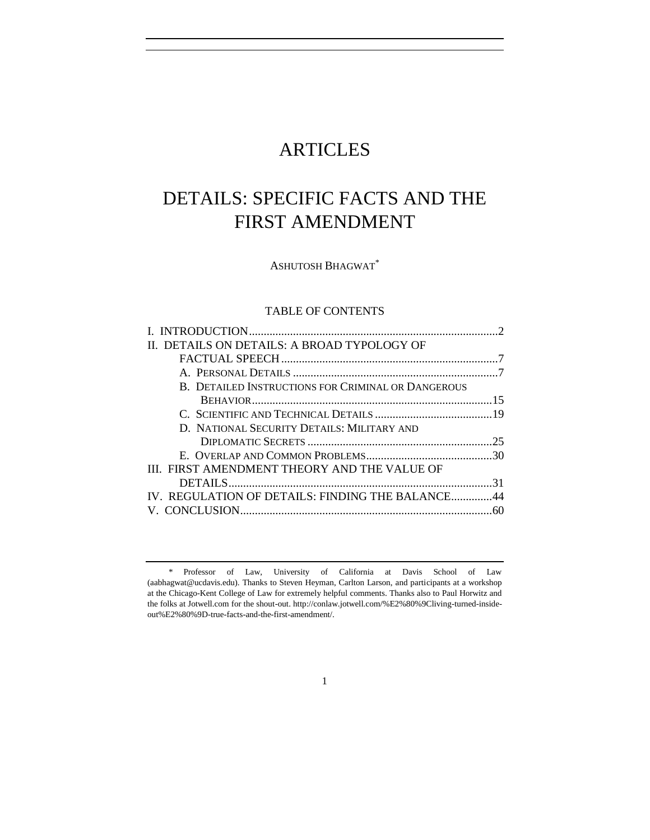## ARTICLES

# DETAILS: SPECIFIC FACTS AND THE FIRST AMENDMENT

ASHUTOSH BHAGWAT\*

## TABLE OF CONTENTS

| II. DETAILS ON DETAILS: A BROAD TYPOLOGY OF               |  |
|-----------------------------------------------------------|--|
|                                                           |  |
|                                                           |  |
| <b>B. DETAILED INSTRUCTIONS FOR CRIMINAL OR DANGEROUS</b> |  |
|                                                           |  |
|                                                           |  |
| D. NATIONAL SECURITY DETAILS: MILITARY AND                |  |
|                                                           |  |
|                                                           |  |
| III. FIRST AMENDMENT THEORY AND THE VALUE OF              |  |
|                                                           |  |
| IV. REGULATION OF DETAILS: FINDING THE BALANCE44          |  |
|                                                           |  |
|                                                           |  |

<sup>\*</sup> Professor of Law, University of California at Davis School of Law (aabhagwat@ucdavis.edu). Thanks to Steven Heyman, Carlton Larson, and participants at a workshop at the Chicago-Kent College of Law for extremely helpful comments. Thanks also to Paul Horwitz and the folks at Jotwell.com for the shout-out. http://conlaw.jotwell.com/%E2%80%9Cliving-turned-insideout%E2%80%9D-true-facts-and-the-first-amendment/.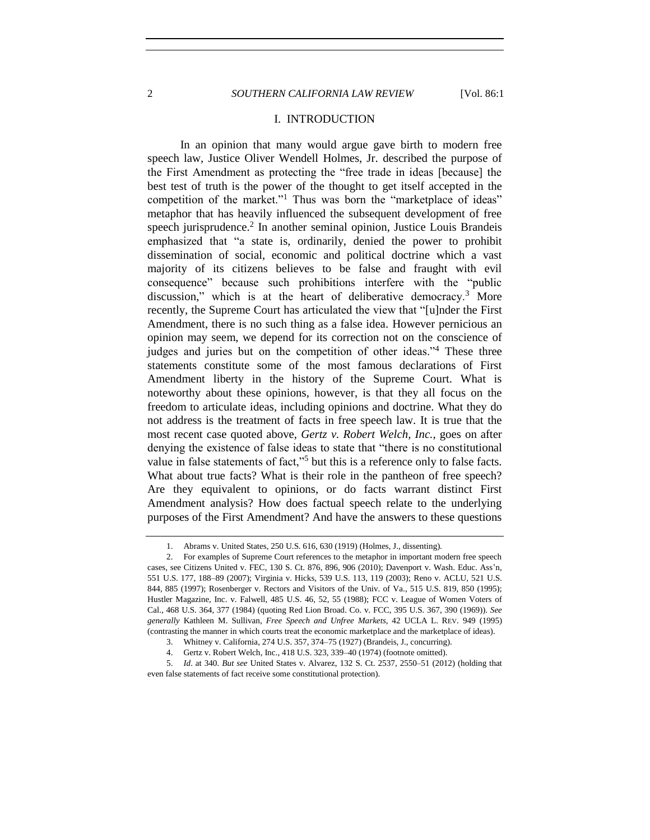## <span id="page-1-1"></span>I. INTRODUCTION

<span id="page-1-0"></span>In an opinion that many would argue gave birth to modern free speech law, Justice Oliver Wendell Holmes, Jr. described the purpose of the First Amendment as protecting the "free trade in ideas [because] the best test of truth is the power of the thought to get itself accepted in the competition of the market."<sup>1</sup> Thus was born the "marketplace of ideas" metaphor that has heavily influenced the subsequent development of free speech jurisprudence.<sup>2</sup> In another seminal opinion, Justice Louis Brandeis emphasized that "a state is, ordinarily, denied the power to prohibit dissemination of social, economic and political doctrine which a vast majority of its citizens believes to be false and fraught with evil consequence" because such prohibitions interfere with the "public discussion," which is at the heart of deliberative democracy. $3$  More recently, the Supreme Court has articulated the view that "[u]nder the First Amendment, there is no such thing as a false idea. However pernicious an opinion may seem, we depend for its correction not on the conscience of judges and juries but on the competition of other ideas."<sup>4</sup> These three statements constitute some of the most famous declarations of First Amendment liberty in the history of the Supreme Court. What is noteworthy about these opinions, however, is that they all focus on the freedom to articulate ideas, including opinions and doctrine. What they do not address is the treatment of facts in free speech law. It is true that the most recent case quoted above, *Gertz v. Robert Welch, Inc.*, goes on after denying the existence of false ideas to state that "there is no constitutional value in false statements of fact,"<sup>5</sup> but this is a reference only to false facts. What about true facts? What is their role in the pantheon of free speech? Are they equivalent to opinions, or do facts warrant distinct First Amendment analysis? How does factual speech relate to the underlying purposes of the First Amendment? And have the answers to these questions

<sup>1.</sup> Abrams v. United States, 250 U.S. 616, 630 (1919) (Holmes, J., dissenting).

<sup>2.</sup> For examples of Supreme Court references to the metaphor in important modern free speech cases, see Citizens United v. FEC, 130 S. Ct. 876, 896, 906 (2010); Davenport v. Wash. Educ. Ass'n, 551 U.S. 177, 188–89 (2007); Virginia v. Hicks, 539 U.S. 113, 119 (2003); Reno v. ACLU, 521 U.S. 844, 885 (1997); Rosenberger v. Rectors and Visitors of the Univ. of Va., 515 U.S. 819, 850 (1995); Hustler Magazine, Inc. v. Falwell, 485 U.S. 46, 52, 55 (1988); FCC v. League of Women Voters of Cal., 468 U.S. 364, 377 (1984) (quoting Red Lion Broad. Co. v. FCC, 395 U.S. 367, 390 (1969)). *See generally* Kathleen M. Sullivan, *Free Speech and Unfree Markets*, 42 UCLA L. REV. 949 (1995) (contrasting the manner in which courts treat the economic marketplace and the marketplace of ideas).

<sup>3.</sup> Whitney v. California, 274 U.S. 357, 374–75 (1927) (Brandeis, J., concurring).

<sup>4.</sup> Gertz v. Robert Welch, Inc., 418 U.S. 323, 339–40 (1974) (footnote omitted).

<sup>5.</sup> *Id*. at 340. *But see* United States v. Alvarez, 132 S. Ct. 2537, 2550–51 (2012) (holding that even false statements of fact receive some constitutional protection).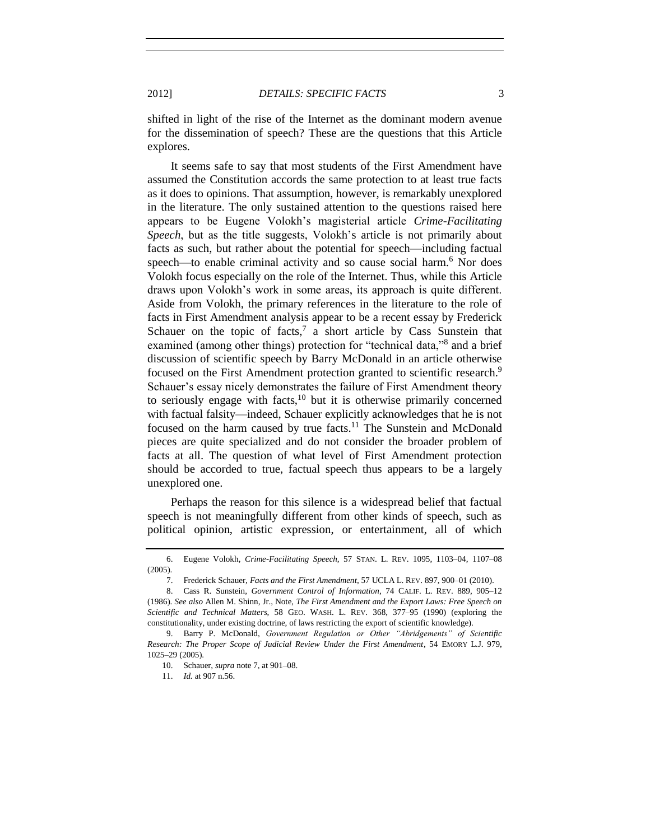shifted in light of the rise of the Internet as the dominant modern avenue for the dissemination of speech? These are the questions that this Article explores.

<span id="page-2-1"></span><span id="page-2-0"></span>It seems safe to say that most students of the First Amendment have assumed the Constitution accords the same protection to at least true facts as it does to opinions. That assumption, however, is remarkably unexplored in the literature. The only sustained attention to the questions raised here appears to be Eugene Volokh's magisterial article *Crime-Facilitating Speech*, but as the title suggests, Volokh's article is not primarily about facts as such, but rather about the potential for speech—including factual speech—to enable criminal activity and so cause social harm.<sup>6</sup> Nor does Volokh focus especially on the role of the Internet. Thus, while this Article draws upon Volokh's work in some areas, its approach is quite different. Aside from Volokh, the primary references in the literature to the role of facts in First Amendment analysis appear to be a recent essay by Frederick Schauer on the topic of facts,<sup>7</sup> a short article by Cass Sunstein that examined (among other things) protection for "technical data,"<sup>8</sup> and a brief discussion of scientific speech by Barry McDonald in an article otherwise focused on the First Amendment protection granted to scientific research.<sup>9</sup> Schauer's essay nicely demonstrates the failure of First Amendment theory to seriously engage with facts, $10$  but it is otherwise primarily concerned with factual falsity—indeed, Schauer explicitly acknowledges that he is not focused on the harm caused by true facts.<sup>11</sup> The Sunstein and McDonald pieces are quite specialized and do not consider the broader problem of facts at all. The question of what level of First Amendment protection should be accorded to true, factual speech thus appears to be a largely unexplored one.

<span id="page-2-2"></span>Perhaps the reason for this silence is a widespread belief that factual speech is not meaningfully different from other kinds of speech, such as political opinion, artistic expression, or entertainment, all of which

10. Schauer, *supra* note [7,](#page-2-0) at 901–08.

11. *Id.* at 907 n.56.

<sup>6.</sup> Eugene Volokh, *Crime-Facilitating Speech*, 57 STAN. L. REV. 1095, 1103–04, 1107–08 (2005).

<sup>7.</sup> Frederick Schauer, *Facts and the First Amendment*, 57 UCLA L. REV. 897, 900–01 (2010).

<sup>8.</sup> Cass R. Sunstein, *Government Control of Information*, 74 CALIF. L. REV. 889, 905–12 (1986). *See also* Allen M. Shinn, Jr., Note, *The First Amendment and the Export Laws: Free Speech on Scientific and Technical Matters*, 58 GEO. WASH. L. REV. 368, 377–95 (1990) (exploring the constitutionality, under existing doctrine, of laws restricting the export of scientific knowledge).

<sup>9.</sup> Barry P. McDonald, *Government Regulation or Other "Abridgements" of Scientific Research: The Proper Scope of Judicial Review Under the First Amendment*, 54 EMORY L.J. 979, 1025–29 (2005).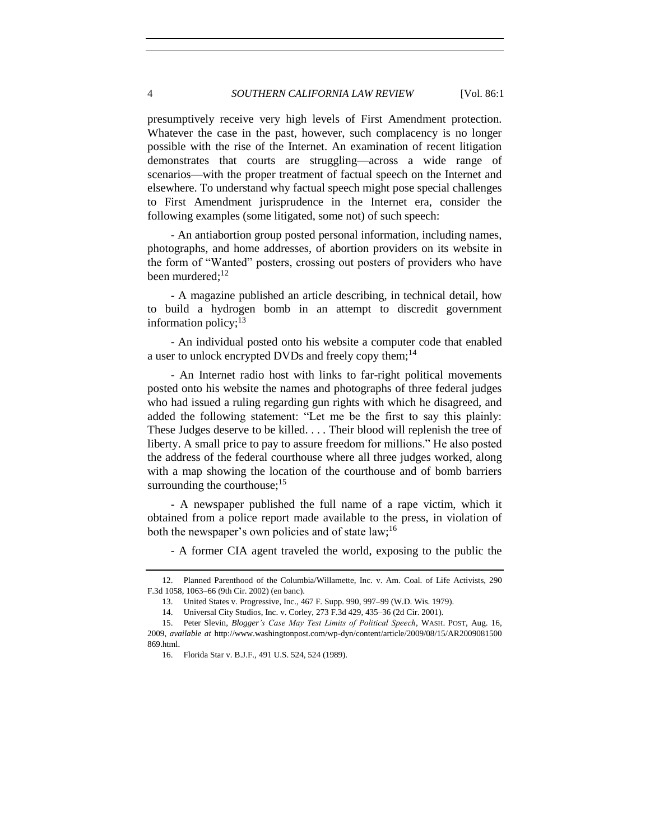presumptively receive very high levels of First Amendment protection. Whatever the case in the past, however, such complacency is no longer possible with the rise of the Internet. An examination of recent litigation demonstrates that courts are struggling—across a wide range of scenarios—with the proper treatment of factual speech on the Internet and elsewhere. To understand why factual speech might pose special challenges to First Amendment jurisprudence in the Internet era, consider the following examples (some litigated, some not) of such speech:

- An antiabortion group posted personal information, including names, photographs, and home addresses, of abortion providers on its website in the form of "Wanted" posters, crossing out posters of providers who have been murdered;<sup>12</sup>

- A magazine published an article describing, in technical detail, how to build a hydrogen bomb in an attempt to discredit government information policy;<sup>13</sup>

- An individual posted onto his website a computer code that enabled a user to unlock encrypted DVDs and freely copy them;<sup>14</sup>

- An Internet radio host with links to far-right political movements posted onto his website the names and photographs of three federal judges who had issued a ruling regarding gun rights with which he disagreed, and added the following statement: "Let me be the first to say this plainly: These Judges deserve to be killed. . . . Their blood will replenish the tree of liberty. A small price to pay to assure freedom for millions." He also posted the address of the federal courthouse where all three judges worked, along with a map showing the location of the courthouse and of bomb barriers surrounding the courthouse;<sup>15</sup>

- A newspaper published the full name of a rape victim, which it obtained from a police report made available to the press, in violation of both the newspaper's own policies and of state law;<sup>16</sup>

<span id="page-3-0"></span>- A former CIA agent traveled the world, exposing to the public the

<sup>12.</sup> Planned Parenthood of the Columbia/Willamette, Inc. v. Am. Coal. of Life Activists, 290 F.3d 1058, 1063–66 (9th Cir. 2002) (en banc).

<sup>13.</sup> United States v. Progressive, Inc., 467 F. Supp. 990, 997–99 (W.D. Wis. 1979).

<sup>14.</sup> Universal City Studios, Inc. v. Corley, 273 F.3d 429, 435–36 (2d Cir. 2001).

<sup>15.</sup> Peter Slevin, *Blogger's Case May Test Limits of Political Speech*, WASH. POST, Aug. 16, 2009, *available at* http://www.washingtonpost.com/wp-dyn/content/article/2009/08/15/AR2009081500 869.html.

<sup>16.</sup> Florida Star v. B.J.F., 491 U.S. 524, 524 (1989).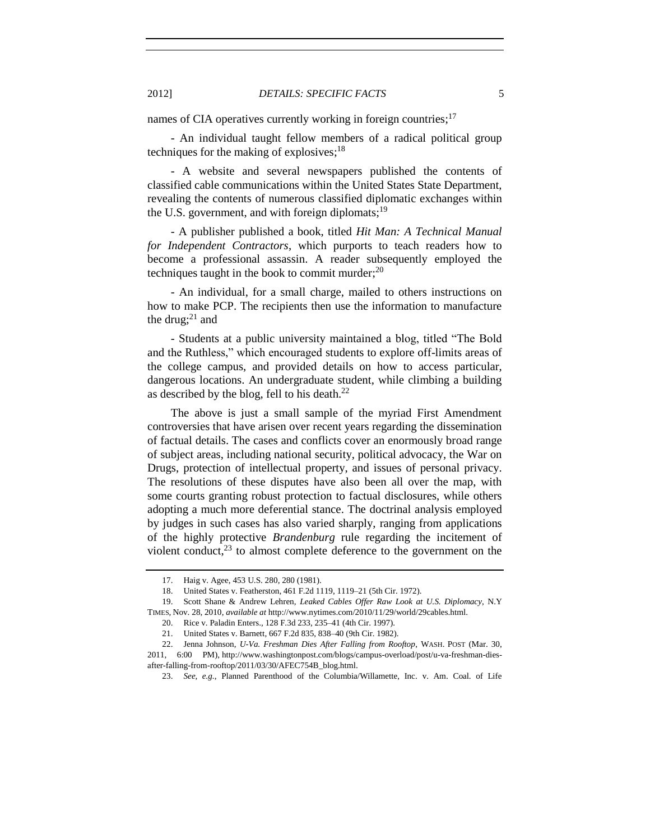names of CIA operatives currently working in foreign countries;<sup>17</sup>

- An individual taught fellow members of a radical political group techniques for the making of explosives;<sup>18</sup>

<span id="page-4-1"></span>- A website and several newspapers published the contents of classified cable communications within the United States State Department, revealing the contents of numerous classified diplomatic exchanges within the U.S. government, and with foreign diplomats;<sup>19</sup>

- A publisher published a book, titled *Hit Man: A Technical Manual for Independent Contractors*, which purports to teach readers how to become a professional assassin. A reader subsequently employed the techniques taught in the book to commit murder; $^{20}$ 

- An individual, for a small charge, mailed to others instructions on how to make PCP. The recipients then use the information to manufacture the drug; $^{21}$  and

- Students at a public university maintained a blog, titled "The Bold and the Ruthless," which encouraged students to explore off-limits areas of the college campus, and provided details on how to access particular, dangerous locations. An undergraduate student, while climbing a building as described by the blog, fell to his death.<sup>22</sup>

<span id="page-4-0"></span>The above is just a small sample of the myriad First Amendment controversies that have arisen over recent years regarding the dissemination of factual details. The cases and conflicts cover an enormously broad range of subject areas, including national security, political advocacy, the War on Drugs, protection of intellectual property, and issues of personal privacy. The resolutions of these disputes have also been all over the map, with some courts granting robust protection to factual disclosures, while others adopting a much more deferential stance. The doctrinal analysis employed by judges in such cases has also varied sharply, ranging from applications of the highly protective *Brandenburg* rule regarding the incitement of violent conduct, $^{23}$  to almost complete deference to the government on the

<sup>17.</sup> Haig v. Agee, 453 U.S. 280, 280 (1981).

<sup>18.</sup> United States v. Featherston, 461 F.2d 1119, 1119–21 (5th Cir. 1972).

<sup>19.</sup> Scott Shane & Andrew Lehren, *Leaked Cables Offer Raw Look at U.S. Diplomacy*, N.Y TIMES, Nov. 28, 2010, *available at* http://www.nytimes.com/2010/11/29/world/29cables.html.

<sup>20.</sup> Rice v. Paladin Enters., 128 F.3d 233, 235–41 (4th Cir. 1997).

<sup>21.</sup> United States v. Barnett, 667 F.2d 835, 838–40 (9th Cir. 1982).

<sup>22.</sup> Jenna Johnson, *U-Va. Freshman Dies After Falling from Rooftop*, WASH. POST (Mar. 30,

<sup>2011, 6:00</sup> PM), http://www.washingtonpost.com/blogs/campus-overload/post/u-va-freshman-diesafter-falling-from-rooftop/2011/03/30/AFEC754B\_blog.html.

<sup>23.</sup> *See, e.g.*, Planned Parenthood of the Columbia/Willamette, Inc. v. Am. Coal. of Life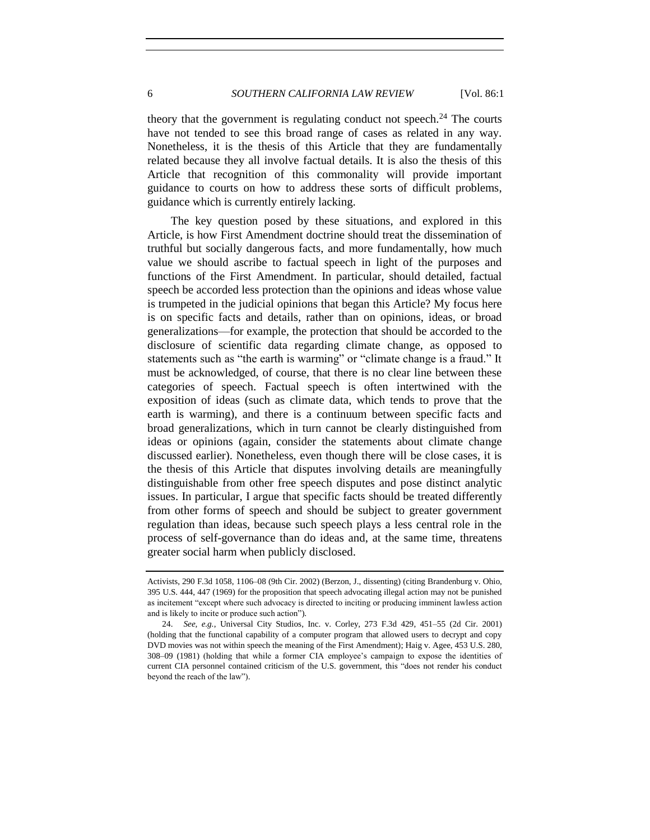theory that the government is regulating conduct not speech. $24$  The courts have not tended to see this broad range of cases as related in any way. Nonetheless, it is the thesis of this Article that they are fundamentally related because they all involve factual details. It is also the thesis of this Article that recognition of this commonality will provide important guidance to courts on how to address these sorts of difficult problems, guidance which is currently entirely lacking.

The key question posed by these situations, and explored in this Article, is how First Amendment doctrine should treat the dissemination of truthful but socially dangerous facts, and more fundamentally, how much value we should ascribe to factual speech in light of the purposes and functions of the First Amendment. In particular, should detailed, factual speech be accorded less protection than the opinions and ideas whose value is trumpeted in the judicial opinions that began this Article? My focus here is on specific facts and details, rather than on opinions, ideas, or broad generalizations—for example, the protection that should be accorded to the disclosure of scientific data regarding climate change, as opposed to statements such as "the earth is warming" or "climate change is a fraud." It must be acknowledged, of course, that there is no clear line between these categories of speech. Factual speech is often intertwined with the exposition of ideas (such as climate data, which tends to prove that the earth is warming), and there is a continuum between specific facts and broad generalizations, which in turn cannot be clearly distinguished from ideas or opinions (again, consider the statements about climate change discussed earlier). Nonetheless, even though there will be close cases, it is the thesis of this Article that disputes involving details are meaningfully distinguishable from other free speech disputes and pose distinct analytic issues. In particular, I argue that specific facts should be treated differently from other forms of speech and should be subject to greater government regulation than ideas, because such speech plays a less central role in the process of self-governance than do ideas and, at the same time, threatens greater social harm when publicly disclosed.

Activists, 290 F.3d 1058, 1106–08 (9th Cir. 2002) (Berzon, J., dissenting) (citing Brandenburg v. Ohio, 395 U.S. 444, 447 (1969) for the proposition that speech advocating illegal action may not be punished as incitement "except where such advocacy is directed to inciting or producing imminent lawless action and is likely to incite or produce such action").

<sup>24.</sup> *See, e.g.*, Universal City Studios, Inc. v. Corley, 273 F.3d 429, 451–55 (2d Cir. 2001) (holding that the functional capability of a computer program that allowed users to decrypt and copy DVD movies was not within speech the meaning of the First Amendment); Haig v. Agee, 453 U.S. 280, 308–09 (1981) (holding that while a former CIA employee's campaign to expose the identities of current CIA personnel contained criticism of the U.S. government, this "does not render his conduct beyond the reach of the law").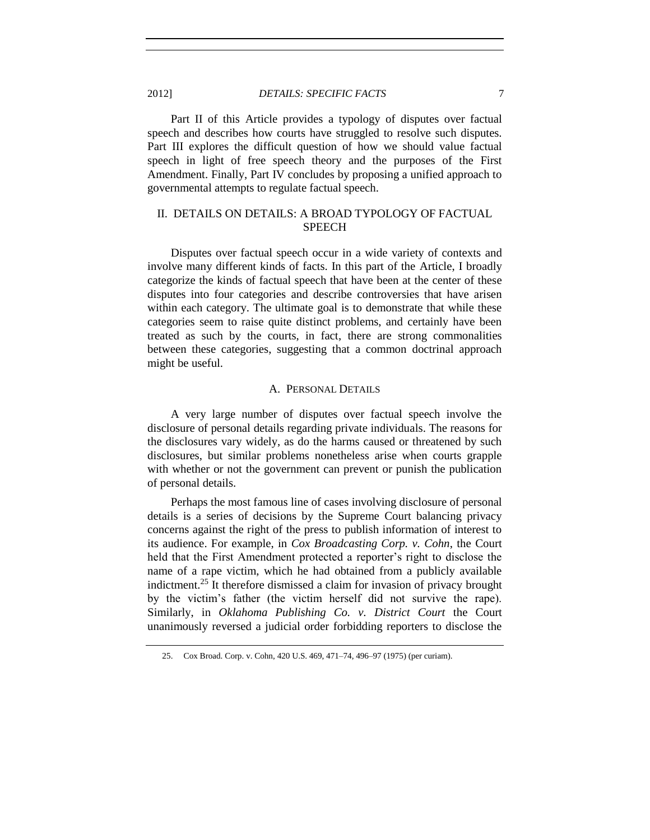Part II of this Article provides a typology of disputes over factual speech and describes how courts have struggled to resolve such disputes. Part III explores the difficult question of how we should value factual speech in light of free speech theory and the purposes of the First Amendment. Finally, Part IV concludes by proposing a unified approach to governmental attempts to regulate factual speech.

## <span id="page-6-0"></span>II. DETAILS ON DETAILS: A BROAD TYPOLOGY OF FACTUAL **SPEECH**

Disputes over factual speech occur in a wide variety of contexts and involve many different kinds of facts. In this part of the Article, I broadly categorize the kinds of factual speech that have been at the center of these disputes into four categories and describe controversies that have arisen within each category. The ultimate goal is to demonstrate that while these categories seem to raise quite distinct problems, and certainly have been treated as such by the courts, in fact, there are strong commonalities between these categories, suggesting that a common doctrinal approach might be useful.

#### A. PERSONAL DETAILS

<span id="page-6-1"></span>A very large number of disputes over factual speech involve the disclosure of personal details regarding private individuals. The reasons for the disclosures vary widely, as do the harms caused or threatened by such disclosures, but similar problems nonetheless arise when courts grapple with whether or not the government can prevent or punish the publication of personal details.

Perhaps the most famous line of cases involving disclosure of personal details is a series of decisions by the Supreme Court balancing privacy concerns against the right of the press to publish information of interest to its audience. For example, in *Cox Broadcasting Corp. v. Cohn*, the Court held that the First Amendment protected a reporter's right to disclose the name of a rape victim, which he had obtained from a publicly available indictment.<sup>25</sup> It therefore dismissed a claim for invasion of privacy brought by the victim's father (the victim herself did not survive the rape). Similarly, in *Oklahoma Publishing Co. v. District Court* the Court unanimously reversed a judicial order forbidding reporters to disclose the

<span id="page-6-2"></span><sup>25.</sup> Cox Broad. Corp. v. Cohn, 420 U.S. 469, 471–74, 496–97 (1975) (per curiam).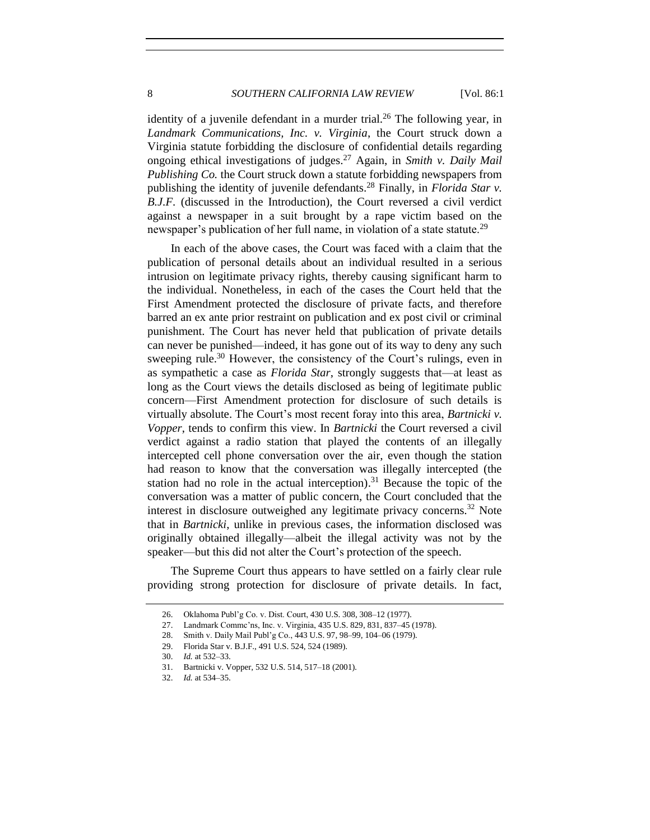identity of a juvenile defendant in a murder trial.<sup>26</sup> The following year, in *Landmark Communications, Inc. v. Virginia*, the Court struck down a Virginia statute forbidding the disclosure of confidential details regarding ongoing ethical investigations of judges.<sup>27</sup> Again, in *Smith v. Daily Mail Publishing Co.* the Court struck down a statute forbidding newspapers from publishing the identity of juvenile defendants.<sup>28</sup> Finally, in *Florida Star v*. *B.J.F.* (discussed in the Introduction), the Court reversed a civil verdict against a newspaper in a suit brought by a rape victim based on the newspaper's publication of her full name, in violation of a state statute.<sup>29</sup>

In each of the above cases, the Court was faced with a claim that the publication of personal details about an individual resulted in a serious intrusion on legitimate privacy rights, thereby causing significant harm to the individual. Nonetheless, in each of the cases the Court held that the First Amendment protected the disclosure of private facts, and therefore barred an ex ante prior restraint on publication and ex post civil or criminal punishment. The Court has never held that publication of private details can never be punished—indeed, it has gone out of its way to deny any such sweeping rule.<sup>30</sup> However, the consistency of the Court's rulings, even in as sympathetic a case as *Florida Star*, strongly suggests that—at least as long as the Court views the details disclosed as being of legitimate public concern—First Amendment protection for disclosure of such details is virtually absolute. The Court's most recent foray into this area, *Bartnicki v. Vopper*, tends to confirm this view. In *Bartnicki* the Court reversed a civil verdict against a radio station that played the contents of an illegally intercepted cell phone conversation over the air, even though the station had reason to know that the conversation was illegally intercepted (the station had no role in the actual interception). <sup>31</sup> Because the topic of the conversation was a matter of public concern, the Court concluded that the interest in disclosure outweighed any legitimate privacy concerns.<sup>32</sup> Note that in *Bartnicki*, unlike in previous cases, the information disclosed was originally obtained illegally—albeit the illegal activity was not by the speaker—but this did not alter the Court's protection of the speech.

The Supreme Court thus appears to have settled on a fairly clear rule providing strong protection for disclosure of private details. In fact,

<sup>26.</sup> Oklahoma Publ'g Co. v. Dist. Court, 430 U.S. 308, 308–12 (1977).

<sup>27.</sup> Landmark Commc'ns, Inc. v. Virginia, 435 U.S. 829, 831, 837–45 (1978).

<sup>28.</sup> Smith v. Daily Mail Publ'g Co., 443 U.S. 97, 98–99, 104–06 (1979).

<sup>29.</sup> Florida Star v. B.J.F., 491 U.S. 524, 524 (1989).

<sup>30.</sup> *Id.* at 532–33.

<sup>31.</sup> Bartnicki v. Vopper, 532 U.S. 514, 517–18 (2001).

<sup>32.</sup> *Id.* at 534–35.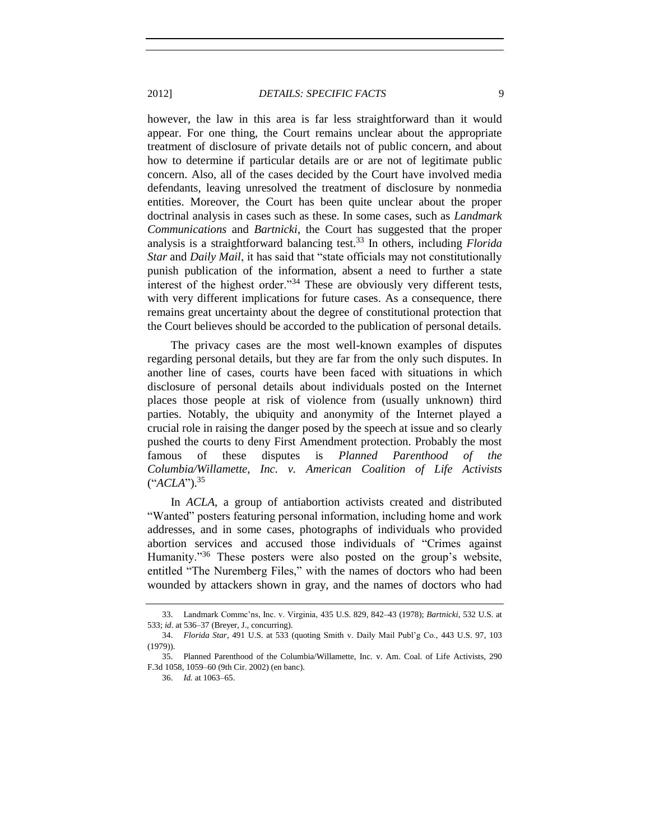however, the law in this area is far less straightforward than it would appear. For one thing, the Court remains unclear about the appropriate treatment of disclosure of private details not of public concern, and about how to determine if particular details are or are not of legitimate public concern. Also, all of the cases decided by the Court have involved media defendants, leaving unresolved the treatment of disclosure by nonmedia entities. Moreover, the Court has been quite unclear about the proper doctrinal analysis in cases such as these. In some cases, such as *Landmark Communications* and *Bartnicki*, the Court has suggested that the proper analysis is a straightforward balancing test.<sup>33</sup> In others, including *Florida Star* and *Daily Mail*, it has said that "state officials may not constitutionally punish publication of the information, absent a need to further a state interest of the highest order."<sup>34</sup> These are obviously very different tests, with very different implications for future cases. As a consequence, there remains great uncertainty about the degree of constitutional protection that the Court believes should be accorded to the publication of personal details.

<span id="page-8-0"></span>The privacy cases are the most well-known examples of disputes regarding personal details, but they are far from the only such disputes. In another line of cases, courts have been faced with situations in which disclosure of personal details about individuals posted on the Internet places those people at risk of violence from (usually unknown) third parties. Notably, the ubiquity and anonymity of the Internet played a crucial role in raising the danger posed by the speech at issue and so clearly pushed the courts to deny First Amendment protection. Probably the most famous of these disputes is *Planned Parenthood of the Columbia/Willamette, Inc. v. American Coalition of Life Activists*  ("*ACLA*").<sup>35</sup>

<span id="page-8-1"></span>In *ACLA*, a group of antiabortion activists created and distributed "Wanted" posters featuring personal information, including home and work addresses, and in some cases, photographs of individuals who provided abortion services and accused those individuals of "Crimes against Humanity."<sup>36</sup> These posters were also posted on the group's website, entitled "The Nuremberg Files," with the names of doctors who had been wounded by attackers shown in gray, and the names of doctors who had

36. *Id.* at 1063–65.

<sup>33.</sup> Landmark Commc'ns, Inc. v. Virginia, 435 U.S. 829, 842–43 (1978); *Bartnicki*, 532 U.S. at 533; *id*. at 536–37 (Breyer, J., concurring).

<sup>34.</sup> *Florida Star*, 491 U.S. at 533 (quoting Smith v. Daily Mail Publ'g Co., 443 U.S. 97, 103 (1979)).

<sup>35.</sup> Planned Parenthood of the Columbia/Willamette, Inc. v. Am. Coal. of Life Activists, 290 F.3d 1058, 1059–60 (9th Cir. 2002) (en banc).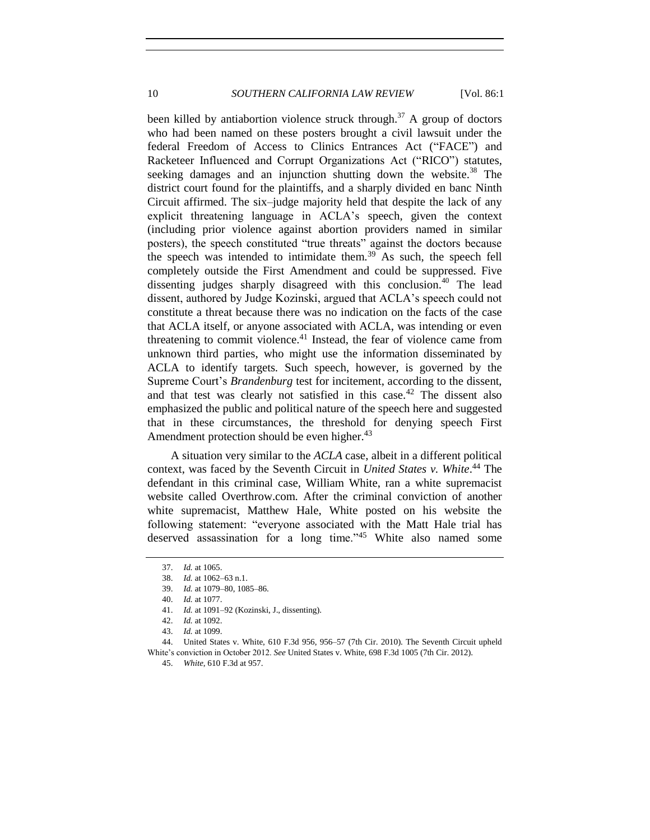10 *SOUTHERN CALIFORNIA LAW REVIEW* [Vol. 86:1]

been killed by antiabortion violence struck through.<sup>37</sup> A group of doctors who had been named on these posters brought a civil lawsuit under the federal Freedom of Access to Clinics Entrances Act ("FACE") and Racketeer Influenced and Corrupt Organizations Act ("RICO") statutes, seeking damages and an injunction shutting down the website.<sup>38</sup> The district court found for the plaintiffs, and a sharply divided en banc Ninth Circuit affirmed. The six–judge majority held that despite the lack of any explicit threatening language in ACLA's speech, given the context (including prior violence against abortion providers named in similar posters), the speech constituted "true threats" against the doctors because the speech was intended to intimidate them.<sup>39</sup> As such, the speech fell completely outside the First Amendment and could be suppressed. Five dissenting judges sharply disagreed with this conclusion.<sup>40</sup> The lead dissent, authored by Judge Kozinski, argued that ACLA's speech could not constitute a threat because there was no indication on the facts of the case that ACLA itself, or anyone associated with ACLA, was intending or even threatening to commit violence. $41$  Instead, the fear of violence came from unknown third parties, who might use the information disseminated by ACLA to identify targets. Such speech, however, is governed by the Supreme Court's *Brandenburg* test for incitement, according to the dissent, and that test was clearly not satisfied in this case.<sup>42</sup> The dissent also emphasized the public and political nature of the speech here and suggested that in these circumstances, the threshold for denying speech First Amendment protection should be even higher. $43$ 

<span id="page-9-0"></span>A situation very similar to the *ACLA* case, albeit in a different political context, was faced by the Seventh Circuit in *United States v. White*. <sup>44</sup> The defendant in this criminal case, William White, ran a white supremacist website called Overthrow.com. After the criminal conviction of another white supremacist, Matthew Hale, White posted on his website the following statement: "everyone associated with the Matt Hale trial has deserved assassination for a long time."<sup>45</sup> White also named some

<sup>37.</sup> *Id.* at 1065.

<sup>38.</sup> *Id.* at 1062–63 n.1.

<sup>39.</sup> *Id.* at 1079–80, 1085–86.

<sup>40.</sup> *Id.* at 1077.

<sup>41.</sup> *Id.* at 1091–92 (Kozinski, J., dissenting).

<sup>42.</sup> *Id.* at 1092.

<sup>43.</sup> *Id.* at 1099.

<sup>44.</sup> United States v. White, 610 F.3d 956, 956–57 (7th Cir. 2010). The Seventh Circuit upheld White's conviction in October 2012. *See* United States v. White, 698 F.3d 1005 (7th Cir. 2012).

<sup>45.</sup> *White*, 610 F.3d at 957.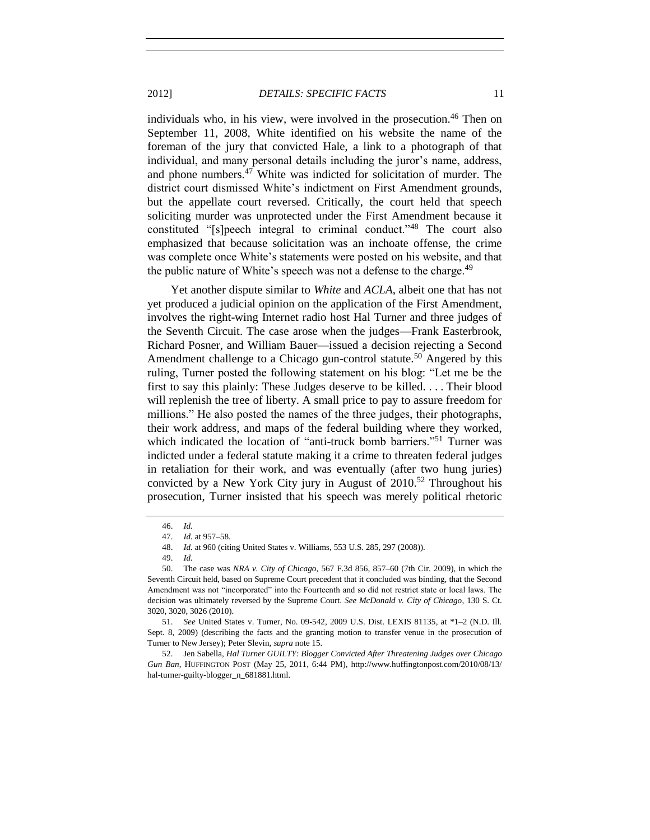individuals who, in his view, were involved in the prosecution.<sup>46</sup> Then on September 11, 2008, White identified on his website the name of the foreman of the jury that convicted Hale, a link to a photograph of that individual, and many personal details including the juror's name, address, and phone numbers.<sup>47</sup> White was indicted for solicitation of murder. The district court dismissed White's indictment on First Amendment grounds, but the appellate court reversed. Critically, the court held that speech soliciting murder was unprotected under the First Amendment because it constituted "[s]peech integral to criminal conduct."<sup>48</sup> The court also emphasized that because solicitation was an inchoate offense, the crime was complete once White's statements were posted on his website, and that the public nature of White's speech was not a defense to the charge.<sup>49</sup>

<span id="page-10-0"></span>Yet another dispute similar to *White* and *ACLA*, albeit one that has not yet produced a judicial opinion on the application of the First Amendment, involves the right-wing Internet radio host Hal Turner and three judges of the Seventh Circuit. The case arose when the judges—Frank Easterbrook, Richard Posner, and William Bauer—issued a decision rejecting a Second Amendment challenge to a Chicago gun-control statute.<sup>50</sup> Angered by this ruling, Turner posted the following statement on his blog: "Let me be the first to say this plainly: These Judges deserve to be killed. . . . Their blood will replenish the tree of liberty. A small price to pay to assure freedom for millions." He also posted the names of the three judges, their photographs, their work address, and maps of the federal building where they worked, which indicated the location of "anti-truck bomb barriers."<sup>51</sup> Turner was indicted under a federal statute making it a crime to threaten federal judges in retaliation for their work, and was eventually (after two hung juries) convicted by a New York City jury in August of  $2010^{52}$  Throughout his prosecution, Turner insisted that his speech was merely political rhetoric

<sup>46.</sup> *Id.*

<sup>47.</sup> *Id.* at 957–58.

<sup>48.</sup> *Id.* at 960 (citing United States v. Williams, 553 U.S. 285, 297 (2008)).

<sup>49.</sup> *Id.*

<sup>50.</sup> The case was *NRA v. City of Chicago*, 567 F.3d 856, 857–60 (7th Cir. 2009), in which the Seventh Circuit held, based on Supreme Court precedent that it concluded was binding, that the Second Amendment was not "incorporated" into the Fourteenth and so did not restrict state or local laws. The decision was ultimately reversed by the Supreme Court. *See McDonald v. City of Chicago*, 130 S. Ct. 3020, 3020, 3026 (2010).

<sup>51.</sup> *See* United States v. Turner, No. 09-542, 2009 U.S. Dist. LEXIS 81135, at \*1–2 (N.D. Ill. Sept. 8, 2009) (describing the facts and the granting motion to transfer venue in the prosecution of Turner to New Jersey); Peter Slevin, *supra* note [15.](#page-3-0)

<sup>52.</sup> Jen Sabella, *Hal Turner GUILTY: Blogger Convicted After Threatening Judges over Chicago Gun Ban*, HUFFINGTON POST (May 25, 2011, 6:44 PM), http://www.huffingtonpost.com/2010/08/13/ hal-turner-guilty-blogger\_n\_681881.html.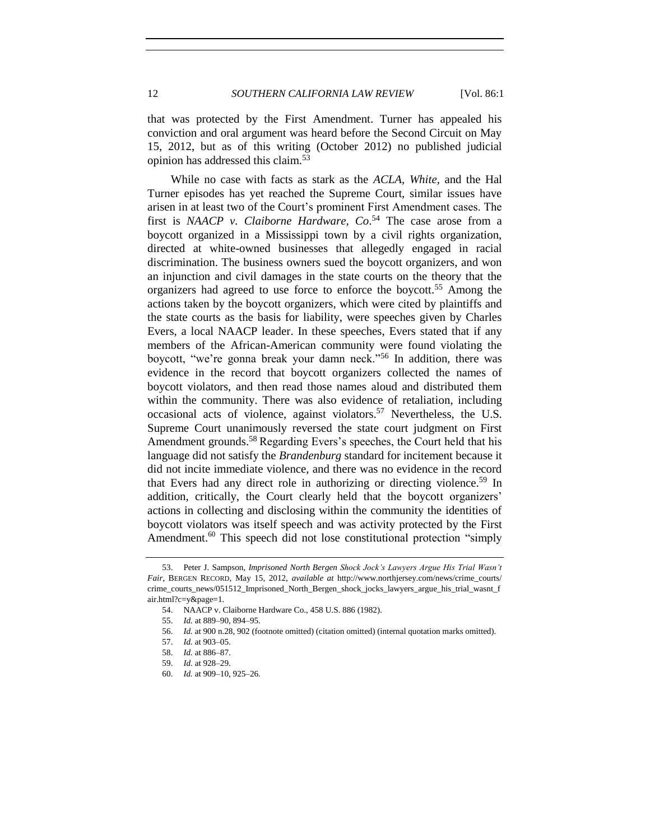that was protected by the First Amendment. Turner has appealed his conviction and oral argument was heard before the Second Circuit on May 15, 2012, but as of this writing (October 2012) no published judicial opinion has addressed this claim.<sup>53</sup>

<span id="page-11-0"></span>While no case with facts as stark as the *ACLA*, *White*, and the Hal Turner episodes has yet reached the Supreme Court, similar issues have arisen in at least two of the Court's prominent First Amendment cases. The first is *NAACP v. Claiborne Hardware, Co*. <sup>54</sup> The case arose from a boycott organized in a Mississippi town by a civil rights organization, directed at white-owned businesses that allegedly engaged in racial discrimination. The business owners sued the boycott organizers, and won an injunction and civil damages in the state courts on the theory that the organizers had agreed to use force to enforce the boycott.<sup>55</sup> Among the actions taken by the boycott organizers, which were cited by plaintiffs and the state courts as the basis for liability, were speeches given by Charles Evers, a local NAACP leader. In these speeches, Evers stated that if any members of the African-American community were found violating the boycott, "we're gonna break your damn neck."<sup>56</sup> In addition, there was evidence in the record that boycott organizers collected the names of boycott violators, and then read those names aloud and distributed them within the community. There was also evidence of retaliation, including occasional acts of violence, against violators.<sup>57</sup> Nevertheless, the U.S. Supreme Court unanimously reversed the state court judgment on First Amendment grounds.<sup>58</sup> Regarding Evers's speeches, the Court held that his language did not satisfy the *Brandenburg* standard for incitement because it did not incite immediate violence, and there was no evidence in the record that Evers had any direct role in authorizing or directing violence.<sup>59</sup> In addition, critically, the Court clearly held that the boycott organizers' actions in collecting and disclosing within the community the identities of boycott violators was itself speech and was activity protected by the First Amendment.<sup>60</sup> This speech did not lose constitutional protection "simply

<sup>53.</sup> Peter J. Sampson, *Imprisoned North Bergen Shock Jock's Lawyers Argue His Trial Wasn't Fair*, BERGEN RECORD, May 15, 2012, *available at* http://www.northjersey.com/news/crime\_courts/ crime\_courts\_news/051512\_Imprisoned\_North\_Bergen\_shock\_jocks\_lawyers\_argue\_his\_trial\_wasnt\_f air.html?c=y&page=1.

<sup>54.</sup> NAACP v. Claiborne Hardware Co., 458 U.S. 886 (1982).

<sup>55.</sup> *Id.* at 889–90, 894–95.

<sup>56.</sup> *Id.* at 900 n.28, 902 (footnote omitted) (citation omitted) (internal quotation marks omitted).

<sup>57.</sup> *Id.* at 903–05.

<sup>58.</sup> *Id.* at 886–87.

<sup>59.</sup> *Id.* at 928–29.

<sup>60.</sup> *Id.* at 909–10, 925–26.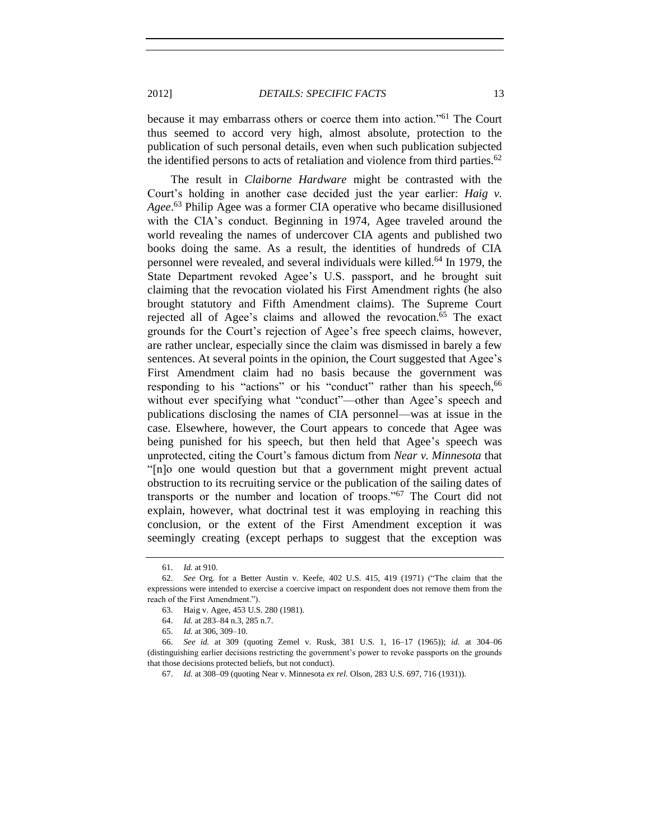because it may embarrass others or coerce them into action."<sup>61</sup> The Court thus seemed to accord very high, almost absolute, protection to the publication of such personal details, even when such publication subjected the identified persons to acts of retaliation and violence from third parties.<sup>62</sup>

The result in *Claiborne Hardware* might be contrasted with the Court's holding in another case decided just the year earlier: *Haig v. Agee*. <sup>63</sup> Philip Agee was a former CIA operative who became disillusioned with the CIA's conduct. Beginning in 1974, Agee traveled around the world revealing the names of undercover CIA agents and published two books doing the same. As a result, the identities of hundreds of CIA personnel were revealed, and several individuals were killed.<sup>64</sup> In 1979, the State Department revoked Agee's U.S. passport, and he brought suit claiming that the revocation violated his First Amendment rights (he also brought statutory and Fifth Amendment claims). The Supreme Court rejected all of Agee's claims and allowed the revocation. <sup>65</sup> The exact grounds for the Court's rejection of Agee's free speech claims, however, are rather unclear, especially since the claim was dismissed in barely a few sentences. At several points in the opinion, the Court suggested that Agee's First Amendment claim had no basis because the government was responding to his "actions" or his "conduct" rather than his speech,<sup>66</sup> without ever specifying what "conduct"—other than Agee's speech and publications disclosing the names of CIA personnel—was at issue in the case. Elsewhere, however, the Court appears to concede that Agee was being punished for his speech, but then held that Agee's speech was unprotected, citing the Court's famous dictum from *Near v. Minnesota* that "[n]o one would question but that a government might prevent actual obstruction to its recruiting service or the publication of the sailing dates of transports or the number and location of troops."<sup>67</sup> The Court did not explain, however, what doctrinal test it was employing in reaching this conclusion, or the extent of the First Amendment exception it was seemingly creating (except perhaps to suggest that the exception was

<sup>61.</sup> *Id.* at 910.

<sup>62.</sup> *See* Org. for a Better Austin v. Keefe, 402 U.S. 415, 419 (1971) ("The claim that the expressions were intended to exercise a coercive impact on respondent does not remove them from the reach of the First Amendment.").

<sup>63.</sup> Haig v. Agee, 453 U.S. 280 (1981).

<sup>64.</sup> *Id.* at 283–84 n.3, 285 n.7.

<sup>65.</sup> *Id.* at 306, 309–10.

<sup>66.</sup> *See id.* at 309 (quoting Zemel v. Rusk, 381 U.S. 1, 16–17 (1965)); *id.* at 304–06 (distinguishing earlier decisions restricting the government's power to revoke passports on the grounds that those decisions protected beliefs, but not conduct).

<sup>67.</sup> *Id.* at 308–09 (quoting Near v. Minnesota *ex rel.* Olson, 283 U.S. 697, 716 (1931)).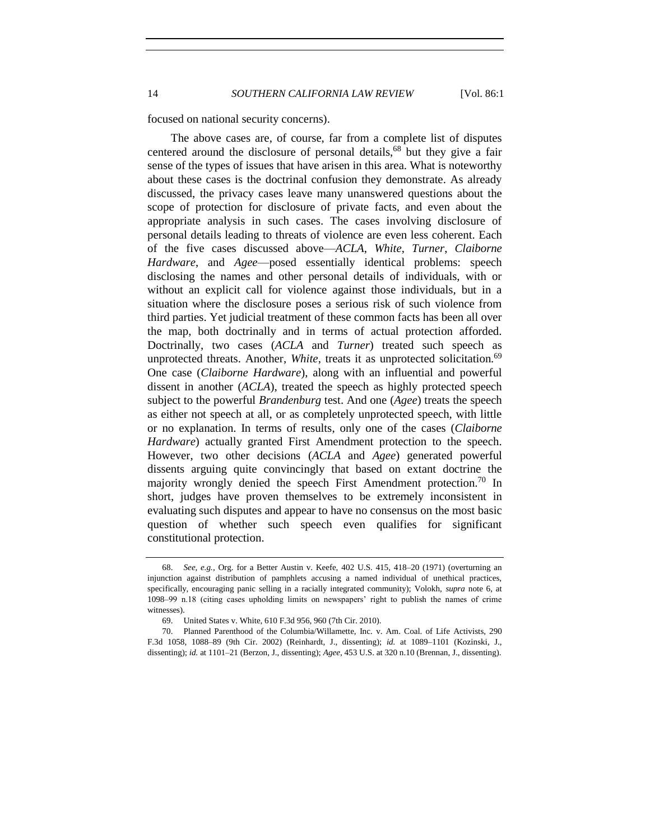focused on national security concerns).

The above cases are, of course, far from a complete list of disputes centered around the disclosure of personal details, $68$  but they give a fair sense of the types of issues that have arisen in this area. What is noteworthy about these cases is the doctrinal confusion they demonstrate. As already discussed, the privacy cases leave many unanswered questions about the scope of protection for disclosure of private facts, and even about the appropriate analysis in such cases. The cases involving disclosure of personal details leading to threats of violence are even less coherent. Each of the five cases discussed above—*ACLA*, *White*, *Turner*, *Claiborne Hardware*, and *Agee*—posed essentially identical problems: speech disclosing the names and other personal details of individuals, with or without an explicit call for violence against those individuals, but in a situation where the disclosure poses a serious risk of such violence from third parties. Yet judicial treatment of these common facts has been all over the map, both doctrinally and in terms of actual protection afforded. Doctrinally, two cases (*ACLA* and *Turner*) treated such speech as unprotected threats. Another, *White*, treats it as unprotected solicitation.<sup>69</sup> One case (*Claiborne Hardware*), along with an influential and powerful dissent in another (*ACLA*), treated the speech as highly protected speech subject to the powerful *Brandenburg* test. And one (*Agee*) treats the speech as either not speech at all, or as completely unprotected speech, with little or no explanation. In terms of results, only one of the cases (*Claiborne Hardware*) actually granted First Amendment protection to the speech. However, two other decisions (*ACLA* and *Agee*) generated powerful dissents arguing quite convincingly that based on extant doctrine the majority wrongly denied the speech First Amendment protection.<sup>70</sup> In short, judges have proven themselves to be extremely inconsistent in evaluating such disputes and appear to have no consensus on the most basic question of whether such speech even qualifies for significant constitutional protection.

<sup>68.</sup> *See, e.g.*, Org. for a Better Austin v. Keefe, 402 U.S. 415, 418–20 (1971) (overturning an injunction against distribution of pamphlets accusing a named individual of unethical practices, specifically, encouraging panic selling in a racially integrated community); Volokh, *supra* note [6,](#page-2-1) at 1098–99 n.18 (citing cases upholding limits on newspapers' right to publish the names of crime witnesses).

<sup>69.</sup> United States v. White, 610 F.3d 956, 960 (7th Cir. 2010).

<sup>70.</sup> Planned Parenthood of the Columbia/Willamette, Inc. v. Am. Coal. of Life Activists, 290 F.3d 1058, 1088–89 (9th Cir. 2002) (Reinhardt, J., dissenting); *id.* at 1089–1101 (Kozinski, J., dissenting); *id.* at 1101–21 (Berzon, J., dissenting); *Agee*, 453 U.S. at 320 n.10 (Brennan, J., dissenting).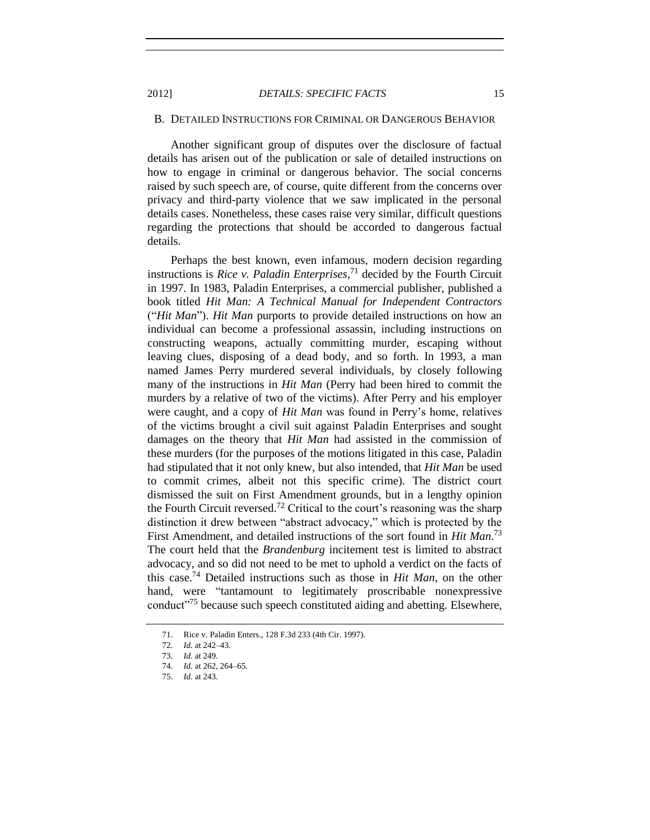#### <span id="page-14-0"></span>B. DETAILED INSTRUCTIONS FOR CRIMINAL OR DANGEROUS BEHAVIOR

Another significant group of disputes over the disclosure of factual details has arisen out of the publication or sale of detailed instructions on how to engage in criminal or dangerous behavior. The social concerns raised by such speech are, of course, quite different from the concerns over privacy and third-party violence that we saw implicated in the personal details cases. Nonetheless, these cases raise very similar, difficult questions regarding the protections that should be accorded to dangerous factual details.

<span id="page-14-1"></span>Perhaps the best known, even infamous, modern decision regarding instructions is *Rice v. Paladin Enterprises*, <sup>71</sup> decided by the Fourth Circuit in 1997. In 1983, Paladin Enterprises, a commercial publisher, published a book titled *Hit Man: A Technical Manual for Independent Contractors* ("*Hit Man*"). *Hit Man* purports to provide detailed instructions on how an individual can become a professional assassin, including instructions on constructing weapons, actually committing murder, escaping without leaving clues, disposing of a dead body, and so forth. In 1993, a man named James Perry murdered several individuals, by closely following many of the instructions in *Hit Man* (Perry had been hired to commit the murders by a relative of two of the victims). After Perry and his employer were caught, and a copy of *Hit Man* was found in Perry's home, relatives of the victims brought a civil suit against Paladin Enterprises and sought damages on the theory that *Hit Man* had assisted in the commission of these murders (for the purposes of the motions litigated in this case, Paladin had stipulated that it not only knew, but also intended, that *Hit Man* be used to commit crimes, albeit not this specific crime). The district court dismissed the suit on First Amendment grounds, but in a lengthy opinion the Fourth Circuit reversed.<sup>72</sup> Critical to the court's reasoning was the sharp distinction it drew between "abstract advocacy," which is protected by the First Amendment, and detailed instructions of the sort found in *Hit Man*. 73 The court held that the *Brandenburg* incitement test is limited to abstract advocacy, and so did not need to be met to uphold a verdict on the facts of this case.<sup>74</sup> Detailed instructions such as those in *Hit Man*, on the other hand, were "tantamount to legitimately proscribable nonexpressive conduct"<sup>75</sup> because such speech constituted aiding and abetting. Elsewhere,

<sup>71.</sup> Rice v. Paladin Enters., 128 F.3d 233 (4th Cir. 1997).

<sup>72.</sup> *Id.* at 242–43.

<sup>73.</sup> *Id.* at 249.

<sup>74.</sup> *Id.* at 262, 264–65.

<sup>75.</sup> *Id.* at 243.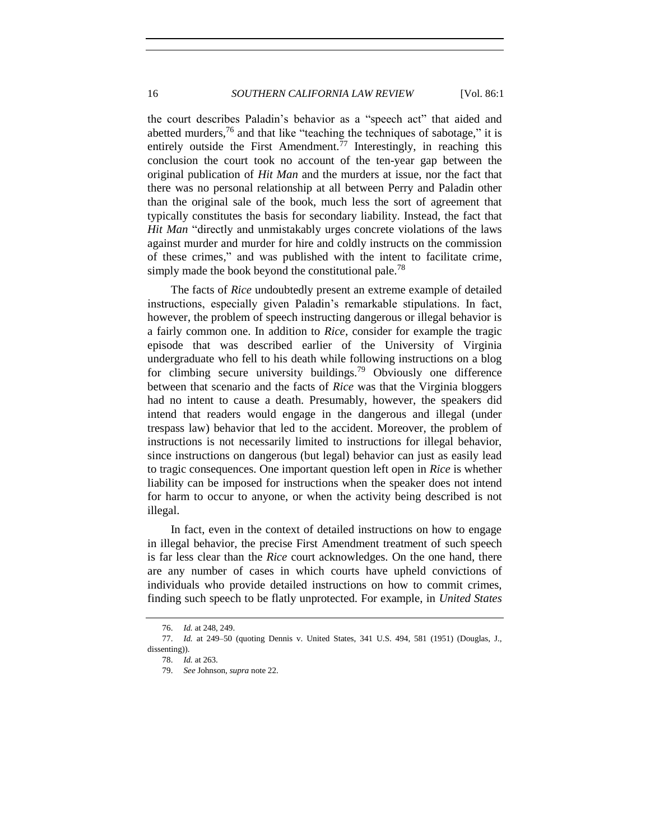the court describes Paladin's behavior as a "speech act" that aided and abetted murders,  $76$  and that like "teaching the techniques of sabotage," it is entirely outside the First Amendment.<sup>77</sup> Interestingly, in reaching this conclusion the court took no account of the ten-year gap between the original publication of *Hit Man* and the murders at issue, nor the fact that there was no personal relationship at all between Perry and Paladin other than the original sale of the book, much less the sort of agreement that typically constitutes the basis for secondary liability. Instead, the fact that *Hit Man* "directly and unmistakably urges concrete violations of the laws against murder and murder for hire and coldly instructs on the commission of these crimes," and was published with the intent to facilitate crime, simply made the book beyond the constitutional pale.<sup>78</sup>

The facts of *Rice* undoubtedly present an extreme example of detailed instructions, especially given Paladin's remarkable stipulations. In fact, however, the problem of speech instructing dangerous or illegal behavior is a fairly common one. In addition to *Rice*, consider for example the tragic episode that was described earlier of the University of Virginia undergraduate who fell to his death while following instructions on a blog for climbing secure university buildings.<sup>79</sup> Obviously one difference between that scenario and the facts of *Rice* was that the Virginia bloggers had no intent to cause a death. Presumably, however, the speakers did intend that readers would engage in the dangerous and illegal (under trespass law) behavior that led to the accident. Moreover, the problem of instructions is not necessarily limited to instructions for illegal behavior, since instructions on dangerous (but legal) behavior can just as easily lead to tragic consequences. One important question left open in *Rice* is whether liability can be imposed for instructions when the speaker does not intend for harm to occur to anyone, or when the activity being described is not illegal.

In fact, even in the context of detailed instructions on how to engage in illegal behavior, the precise First Amendment treatment of such speech is far less clear than the *Rice* court acknowledges. On the one hand, there are any number of cases in which courts have upheld convictions of individuals who provide detailed instructions on how to commit crimes, finding such speech to be flatly unprotected. For example, in *United States* 

<sup>76.</sup> *Id.* at 248, 249.

<sup>77.</sup> *Id.* at 249–50 (quoting Dennis v. United States, 341 U.S. 494, 581 (1951) (Douglas, J., dissenting)).

<sup>78.</sup> *Id.* at 263.

<sup>79.</sup> *See* Johnson, *supra* not[e 22.](#page-4-0)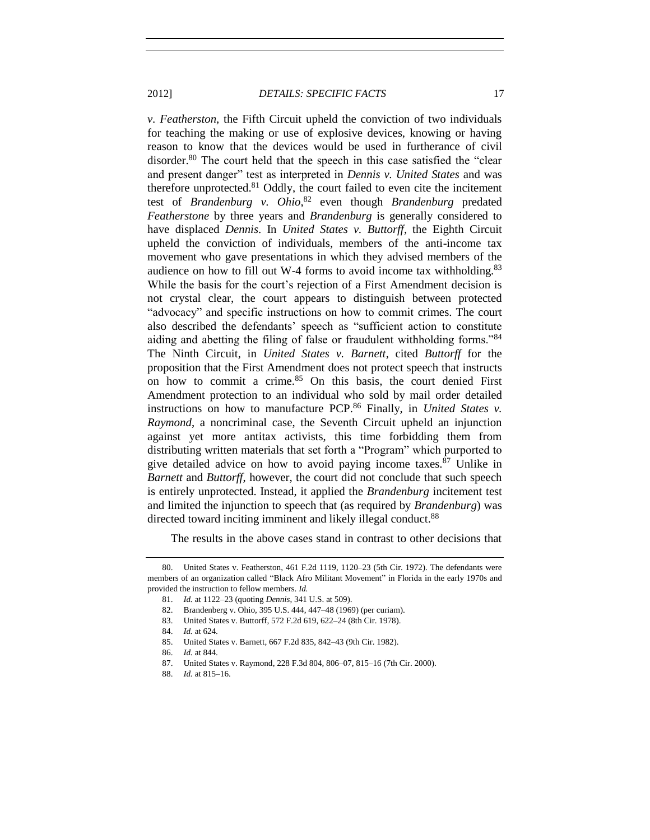*v. Featherston*, the Fifth Circuit upheld the conviction of two individuals for teaching the making or use of explosive devices, knowing or having reason to know that the devices would be used in furtherance of civil disorder. <sup>80</sup> The court held that the speech in this case satisfied the "clear and present danger" test as interpreted in *Dennis v. United States* and was therefore unprotected. $81$  Oddly, the court failed to even cite the incitement test of *Brandenburg v. Ohio*, <sup>82</sup> even though *Brandenburg* predated *Featherstone* by three years and *Brandenburg* is generally considered to have displaced *Dennis*. In *United States v. Buttorff*, the Eighth Circuit upheld the conviction of individuals, members of the anti-income tax movement who gave presentations in which they advised members of the audience on how to fill out W-4 forms to avoid income tax withholding. $83$ While the basis for the court's rejection of a First Amendment decision is not crystal clear, the court appears to distinguish between protected "advocacy" and specific instructions on how to commit crimes. The court also described the defendants' speech as "sufficient action to constitute aiding and abetting the filing of false or fraudulent withholding forms."<sup>84</sup> The Ninth Circuit, in *United States v. Barnett*, cited *Buttorff* for the proposition that the First Amendment does not protect speech that instructs on how to commit a crime.<sup>85</sup> On this basis, the court denied First Amendment protection to an individual who sold by mail order detailed instructions on how to manufacture PCP.<sup>86</sup> Finally, in *United States v. Raymond*, a noncriminal case, the Seventh Circuit upheld an injunction against yet more antitax activists, this time forbidding them from distributing written materials that set forth a "Program" which purported to give detailed advice on how to avoid paying income taxes.<sup>87</sup> Unlike in *Barnett* and *Buttorff*, however, the court did not conclude that such speech is entirely unprotected. Instead, it applied the *Brandenburg* incitement test and limited the injunction to speech that (as required by *Brandenburg*) was directed toward inciting imminent and likely illegal conduct.<sup>88</sup>

The results in the above cases stand in contrast to other decisions that

<sup>80.</sup> United States v. Featherston, 461 F.2d 1119, 1120–23 (5th Cir. 1972). The defendants were members of an organization called "Black Afro Militant Movement" in Florida in the early 1970s and provided the instruction to fellow members. *Id.*

<sup>81.</sup> *Id.* at 1122–23 (quoting *Dennis*, 341 U.S. at 509).

<sup>82.</sup> Brandenberg v. Ohio, 395 U.S. 444, 447–48 (1969) (per curiam).

<sup>83.</sup> United States v. Buttorff, 572 F.2d 619, 622–24 (8th Cir. 1978).

<sup>84.</sup> *Id.* at 624.

<sup>85.</sup> United States v. Barnett, 667 F.2d 835, 842–43 (9th Cir. 1982).

<sup>86.</sup> *Id.* at 844.

<sup>87.</sup> United States v. Raymond, 228 F.3d 804, 806–07, 815–16 (7th Cir. 2000).

<sup>88.</sup> *Id.* at 815–16.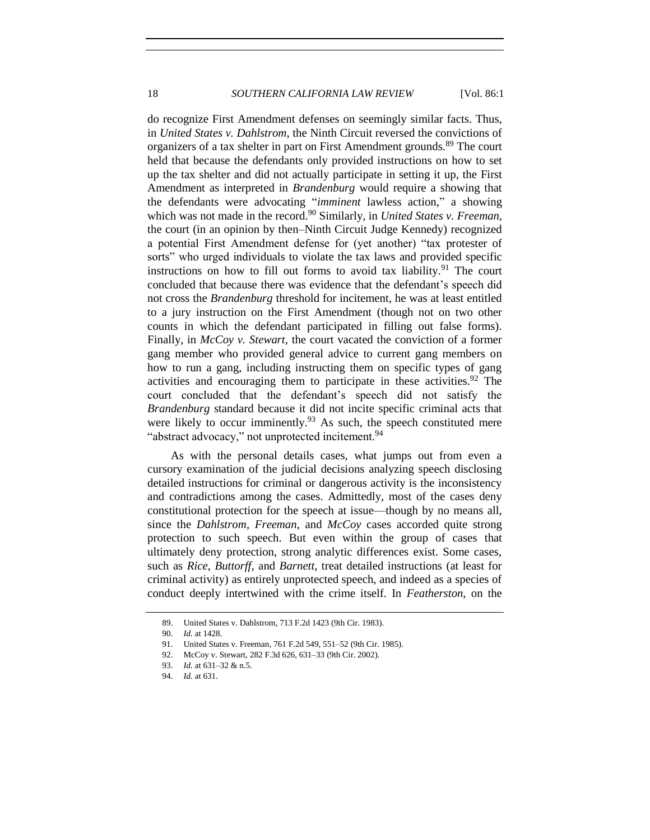do recognize First Amendment defenses on seemingly similar facts. Thus, in *United States v. Dahlstrom*, the Ninth Circuit reversed the convictions of organizers of a tax shelter in part on First Amendment grounds.<sup>89</sup> The court held that because the defendants only provided instructions on how to set up the tax shelter and did not actually participate in setting it up, the First Amendment as interpreted in *Brandenburg* would require a showing that the defendants were advocating "*imminent* lawless action," a showing which was not made in the record.<sup>90</sup> Similarly, in *United States v. Freeman*, the court (in an opinion by then–Ninth Circuit Judge Kennedy) recognized a potential First Amendment defense for (yet another) "tax protester of sorts" who urged individuals to violate the tax laws and provided specific instructions on how to fill out forms to avoid tax liability.<sup>91</sup> The court concluded that because there was evidence that the defendant's speech did not cross the *Brandenburg* threshold for incitement, he was at least entitled to a jury instruction on the First Amendment (though not on two other counts in which the defendant participated in filling out false forms). Finally, in *McCoy v. Stewart*, the court vacated the conviction of a former gang member who provided general advice to current gang members on how to run a gang, including instructing them on specific types of gang activities and encouraging them to participate in these activities. <sup>92</sup> The court concluded that the defendant's speech did not satisfy the *Brandenburg* standard because it did not incite specific criminal acts that were likely to occur imminently. $93$  As such, the speech constituted mere "abstract advocacy," not unprotected incitement.<sup>94</sup>

As with the personal details cases, what jumps out from even a cursory examination of the judicial decisions analyzing speech disclosing detailed instructions for criminal or dangerous activity is the inconsistency and contradictions among the cases. Admittedly, most of the cases deny constitutional protection for the speech at issue—though by no means all, since the *Dahlstrom*, *Freeman*, and *McCoy* cases accorded quite strong protection to such speech. But even within the group of cases that ultimately deny protection, strong analytic differences exist. Some cases, such as *Rice*, *Buttorff*, and *Barnett*, treat detailed instructions (at least for criminal activity) as entirely unprotected speech, and indeed as a species of conduct deeply intertwined with the crime itself. In *Featherston*, on the

<sup>89.</sup> United States v. Dahlstrom, 713 F.2d 1423 (9th Cir. 1983).

<sup>90.</sup> *Id.* at 1428.

<sup>91.</sup> United States v. Freeman, 761 F.2d 549, 551–52 (9th Cir. 1985).

<sup>92.</sup> McCoy v. Stewart, 282 F.3d 626, 631–33 (9th Cir. 2002).

<sup>93.</sup> *Id.* at 631–32 & n.5.

<sup>94.</sup> *Id.* at 631.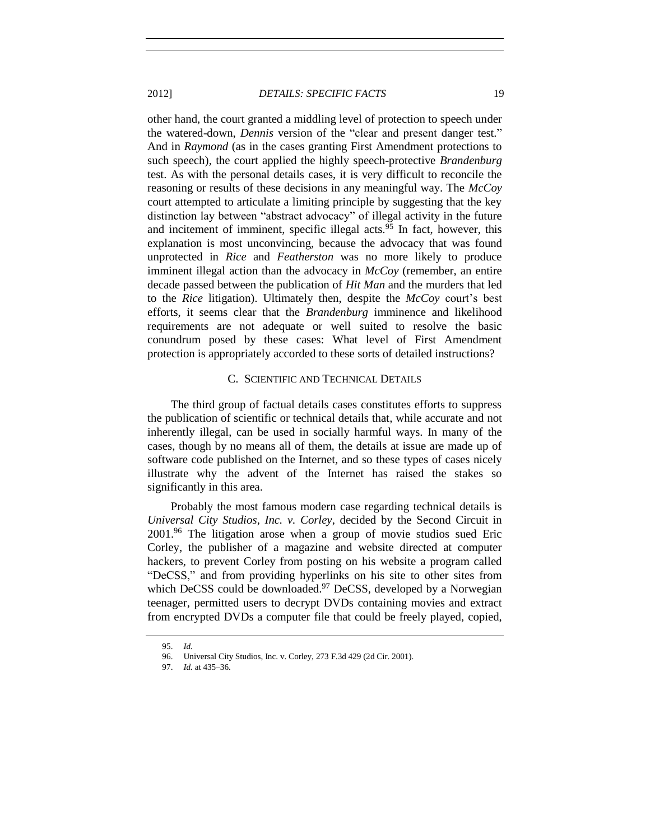other hand, the court granted a middling level of protection to speech under the watered-down, *Dennis* version of the "clear and present danger test." And in *Raymond* (as in the cases granting First Amendment protections to such speech), the court applied the highly speech-protective *Brandenburg* test. As with the personal details cases, it is very difficult to reconcile the reasoning or results of these decisions in any meaningful way. The *McCoy* court attempted to articulate a limiting principle by suggesting that the key distinction lay between "abstract advocacy" of illegal activity in the future and incitement of imminent, specific illegal acts.<sup>95</sup> In fact, however, this explanation is most unconvincing, because the advocacy that was found unprotected in *Rice* and *Featherston* was no more likely to produce imminent illegal action than the advocacy in *McCoy* (remember, an entire decade passed between the publication of *Hit Man* and the murders that led to the *Rice* litigation). Ultimately then, despite the *McCoy* court's best efforts, it seems clear that the *Brandenburg* imminence and likelihood requirements are not adequate or well suited to resolve the basic conundrum posed by these cases: What level of First Amendment protection is appropriately accorded to these sorts of detailed instructions?

#### <span id="page-18-1"></span>C. SCIENTIFIC AND TECHNICAL DETAILS

<span id="page-18-0"></span>The third group of factual details cases constitutes efforts to suppress the publication of scientific or technical details that, while accurate and not inherently illegal, can be used in socially harmful ways. In many of the cases, though by no means all of them, the details at issue are made up of software code published on the Internet, and so these types of cases nicely illustrate why the advent of the Internet has raised the stakes so significantly in this area.

Probably the most famous modern case regarding technical details is *Universal City Studios, Inc. v. Corley*, decided by the Second Circuit in 2001.<sup>96</sup> The litigation arose when a group of movie studios sued Eric Corley, the publisher of a magazine and website directed at computer hackers, to prevent Corley from posting on his website a program called "DeCSS," and from providing hyperlinks on his site to other sites from which DeCSS could be downloaded. $97$  DeCSS, developed by a Norwegian teenager, permitted users to decrypt DVDs containing movies and extract from encrypted DVDs a computer file that could be freely played, copied,

<sup>95.</sup> *Id.*

<sup>96.</sup> Universal City Studios, Inc. v. Corley, 273 F.3d 429 (2d Cir. 2001).

<sup>97.</sup> *Id.* at 435–36.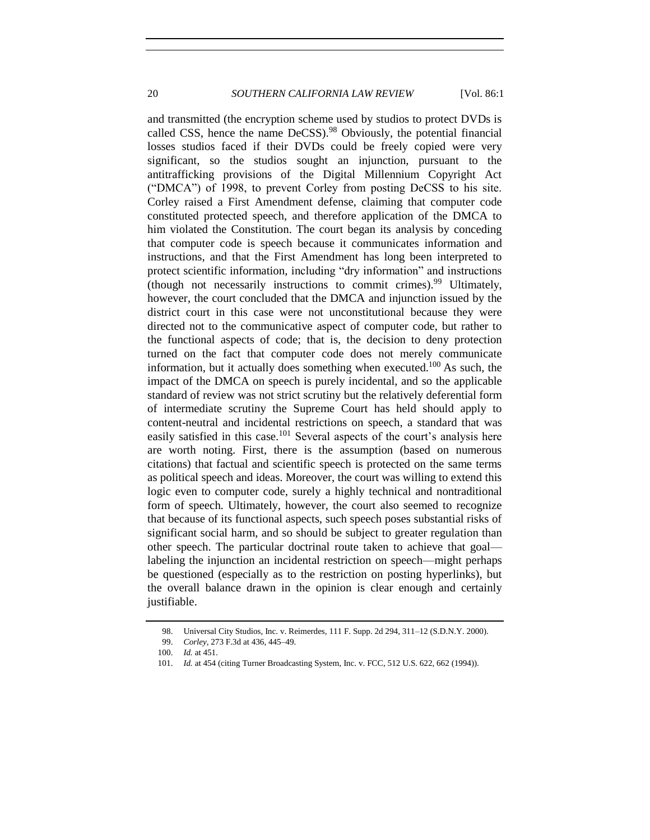20 *SOUTHERN CALIFORNIA LAW REVIEW* [Vol. 86:1

and transmitted (the encryption scheme used by studios to protect DVDs is called CSS, hence the name  $DeCSS$ ).<sup>98</sup> Obviously, the potential financial losses studios faced if their DVDs could be freely copied were very significant, so the studios sought an injunction, pursuant to the antitrafficking provisions of the Digital Millennium Copyright Act ("DMCA") of 1998, to prevent Corley from posting DeCSS to his site. Corley raised a First Amendment defense, claiming that computer code constituted protected speech, and therefore application of the DMCA to him violated the Constitution. The court began its analysis by conceding that computer code is speech because it communicates information and instructions, and that the First Amendment has long been interpreted to protect scientific information, including "dry information" and instructions (though not necessarily instructions to commit crimes).<sup>99</sup> Ultimately, however, the court concluded that the DMCA and injunction issued by the district court in this case were not unconstitutional because they were directed not to the communicative aspect of computer code, but rather to the functional aspects of code; that is, the decision to deny protection turned on the fact that computer code does not merely communicate information, but it actually does something when executed.<sup>100</sup> As such, the impact of the DMCA on speech is purely incidental, and so the applicable standard of review was not strict scrutiny but the relatively deferential form of intermediate scrutiny the Supreme Court has held should apply to content-neutral and incidental restrictions on speech, a standard that was easily satisfied in this case.<sup>101</sup> Several aspects of the court's analysis here are worth noting. First, there is the assumption (based on numerous citations) that factual and scientific speech is protected on the same terms as political speech and ideas. Moreover, the court was willing to extend this logic even to computer code, surely a highly technical and nontraditional form of speech. Ultimately, however, the court also seemed to recognize that because of its functional aspects, such speech poses substantial risks of significant social harm, and so should be subject to greater regulation than other speech. The particular doctrinal route taken to achieve that goal labeling the injunction an incidental restriction on speech—might perhaps be questioned (especially as to the restriction on posting hyperlinks), but the overall balance drawn in the opinion is clear enough and certainly justifiable.

<sup>98.</sup> Universal City Studios, Inc. v. Reimerdes, 111 F. Supp. 2d 294, 311–12 (S.D.N.Y. 2000).

<sup>99.</sup> *Corley*, 273 F.3d at 436, 445–49.

<sup>100.</sup> *Id.* at 451.

<sup>101.</sup> *Id.* at 454 (citing Turner Broadcasting System, Inc. v. FCC, 512 U.S. 622, 662 (1994)).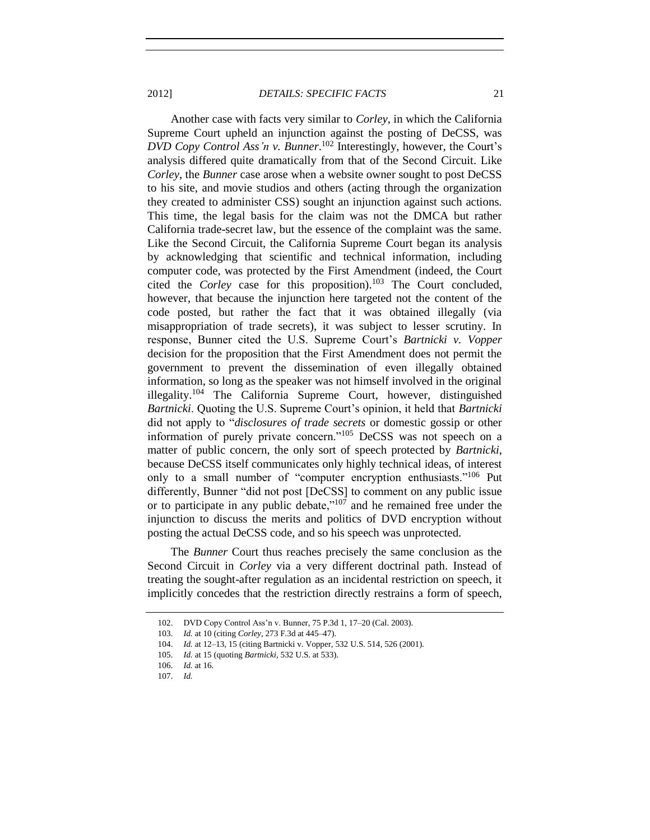Another case with facts very similar to *Corley*, in which the California Supreme Court upheld an injunction against the posting of DeCSS, was *DVD Copy Control Ass'n v. Bunner*. <sup>102</sup> Interestingly, however, the Court's analysis differed quite dramatically from that of the Second Circuit. Like *Corley*, the *Bunner* case arose when a website owner sought to post DeCSS to his site, and movie studios and others (acting through the organization they created to administer CSS) sought an injunction against such actions. This time, the legal basis for the claim was not the DMCA but rather California trade-secret law, but the essence of the complaint was the same. Like the Second Circuit, the California Supreme Court began its analysis by acknowledging that scientific and technical information, including computer code, was protected by the First Amendment (indeed, the Court cited the *Corley* case for this proposition).<sup>103</sup> The Court concluded, however, that because the injunction here targeted not the content of the code posted, but rather the fact that it was obtained illegally (via misappropriation of trade secrets), it was subject to lesser scrutiny. In response, Bunner cited the U.S. Supreme Court's *Bartnicki v. Vopper*  decision for the proposition that the First Amendment does not permit the government to prevent the dissemination of even illegally obtained information, so long as the speaker was not himself involved in the original illegality.<sup>104</sup> The California Supreme Court, however, distinguished *Bartnicki*. Quoting the U.S. Supreme Court's opinion, it held that *Bartnicki* did not apply to "*disclosures of trade secrets* or domestic gossip or other information of purely private concern."<sup>105</sup> DeCSS was not speech on a matter of public concern, the only sort of speech protected by *Bartnicki*, because DeCSS itself communicates only highly technical ideas, of interest only to a small number of "computer encryption enthusiasts."<sup>106</sup> Put differently, Bunner "did not post [DeCSS] to comment on any public issue or to participate in any public debate," $107$  and he remained free under the injunction to discuss the merits and politics of DVD encryption without posting the actual DeCSS code, and so his speech was unprotected.

The *Bunner* Court thus reaches precisely the same conclusion as the Second Circuit in *Corley* via a very different doctrinal path. Instead of treating the sought-after regulation as an incidental restriction on speech, it implicitly concedes that the restriction directly restrains a form of speech,

<sup>102.</sup> DVD Copy Control Ass'n v. Bunner, 75 P.3d 1, 17–20 (Cal. 2003).

<sup>103.</sup> *Id.* at 10 (citing *Corley*, 273 F.3d at 445–47).

<sup>104.</sup> *Id.* at 12–13, 15 (citing Bartnicki v. Vopper, 532 U.S. 514, 526 (2001).

<sup>105.</sup> *Id.* at 15 (quoting *Bartnicki*, 532 U.S. at 533).

<sup>106.</sup> *Id.* at 16.

<sup>107.</sup> *Id.*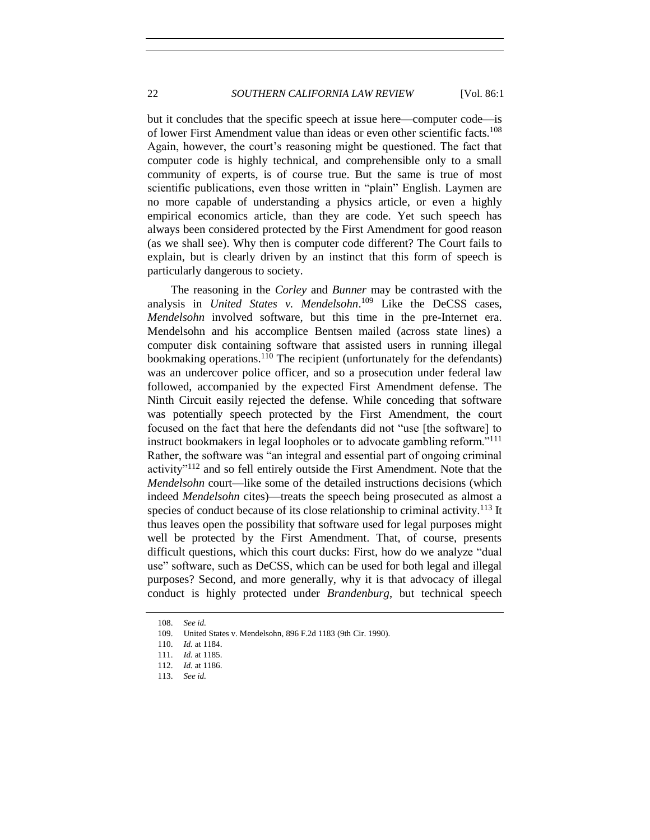but it concludes that the specific speech at issue here—computer code—is of lower First Amendment value than ideas or even other scientific facts.<sup>108</sup> Again, however, the court's reasoning might be questioned. The fact that computer code is highly technical, and comprehensible only to a small community of experts, is of course true. But the same is true of most scientific publications, even those written in "plain" English. Laymen are no more capable of understanding a physics article, or even a highly empirical economics article, than they are code. Yet such speech has always been considered protected by the First Amendment for good reason (as we shall see). Why then is computer code different? The Court fails to explain, but is clearly driven by an instinct that this form of speech is particularly dangerous to society.

The reasoning in the *Corley* and *Bunner* may be contrasted with the analysis in *United States v. Mendelsohn*. <sup>109</sup> Like the DeCSS cases, *Mendelsohn* involved software, but this time in the pre-Internet era. Mendelsohn and his accomplice Bentsen mailed (across state lines) a computer disk containing software that assisted users in running illegal bookmaking operations.<sup>110</sup> The recipient (unfortunately for the defendants) was an undercover police officer, and so a prosecution under federal law followed, accompanied by the expected First Amendment defense. The Ninth Circuit easily rejected the defense. While conceding that software was potentially speech protected by the First Amendment, the court focused on the fact that here the defendants did not "use [the software] to instruct bookmakers in legal loopholes or to advocate gambling reform."<sup>111</sup> Rather, the software was "an integral and essential part of ongoing criminal activity"<sup>112</sup> and so fell entirely outside the First Amendment. Note that the *Mendelsohn* court—like some of the detailed instructions decisions (which indeed *Mendelsohn* cites)—treats the speech being prosecuted as almost a species of conduct because of its close relationship to criminal activity.<sup>113</sup> It thus leaves open the possibility that software used for legal purposes might well be protected by the First Amendment. That, of course, presents difficult questions, which this court ducks: First, how do we analyze "dual use" software, such as DeCSS, which can be used for both legal and illegal purposes? Second, and more generally, why it is that advocacy of illegal conduct is highly protected under *Brandenburg*, but technical speech

<sup>108.</sup> *See id.*

<sup>109.</sup> United States v. Mendelsohn, 896 F.2d 1183 (9th Cir. 1990).

<sup>110.</sup> *Id.* at 1184.

<sup>111.</sup> *Id.* at 1185.

<sup>112.</sup> *Id.* at 1186.

<sup>113.</sup> *See id.*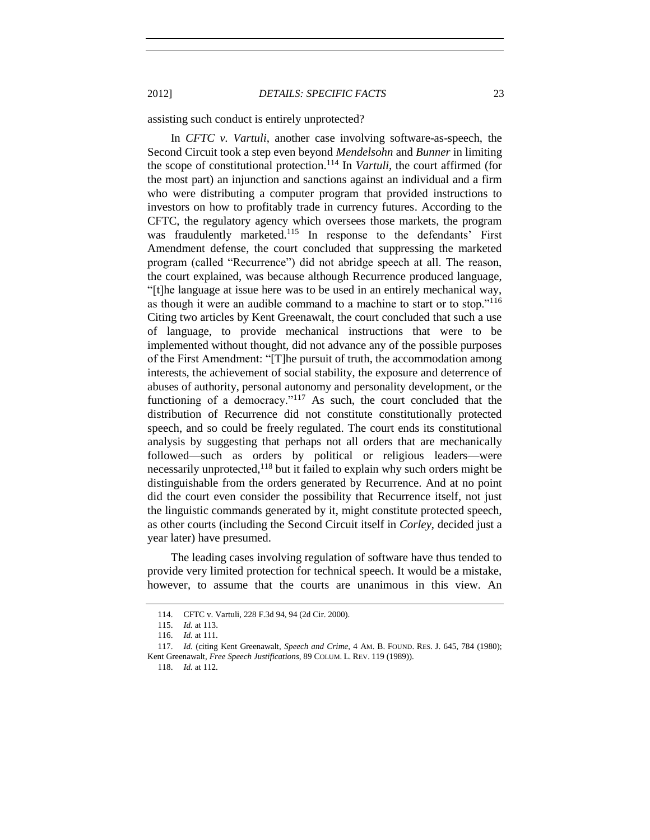assisting such conduct is entirely unprotected?

In *CFTC v. Vartuli*, another case involving software-as-speech, the Second Circuit took a step even beyond *Mendelsohn* and *Bunner* in limiting the scope of constitutional protection.<sup>114</sup> In *Vartuli*, the court affirmed (for the most part) an injunction and sanctions against an individual and a firm who were distributing a computer program that provided instructions to investors on how to profitably trade in currency futures. According to the CFTC, the regulatory agency which oversees those markets, the program was fraudulently marketed.<sup>115</sup> In response to the defendants' First Amendment defense, the court concluded that suppressing the marketed program (called "Recurrence") did not abridge speech at all. The reason, the court explained, was because although Recurrence produced language, "[t]he language at issue here was to be used in an entirely mechanical way, as though it were an audible command to a machine to start or to stop."<sup>116</sup> Citing two articles by Kent Greenawalt, the court concluded that such a use of language, to provide mechanical instructions that were to be implemented without thought, did not advance any of the possible purposes of the First Amendment: "[T]he pursuit of truth, the accommodation among interests, the achievement of social stability, the exposure and deterrence of abuses of authority, personal autonomy and personality development, or the functioning of a democracy."<sup>117</sup> As such, the court concluded that the distribution of Recurrence did not constitute constitutionally protected speech, and so could be freely regulated. The court ends its constitutional analysis by suggesting that perhaps not all orders that are mechanically followed—such as orders by political or religious leaders—were necessarily unprotected,  $118$  but it failed to explain why such orders might be distinguishable from the orders generated by Recurrence. And at no point did the court even consider the possibility that Recurrence itself, not just the linguistic commands generated by it, might constitute protected speech, as other courts (including the Second Circuit itself in *Corley*, decided just a year later) have presumed.

The leading cases involving regulation of software have thus tended to provide very limited protection for technical speech. It would be a mistake, however, to assume that the courts are unanimous in this view. An

<sup>114.</sup> CFTC v. Vartuli, 228 F.3d 94, 94 (2d Cir. 2000).

<sup>115.</sup> *Id.* at 113.

<sup>116.</sup> *Id.* at 111.

<sup>117.</sup> *Id.* (citing Kent Greenawalt, *Speech and Crime*, 4 AM. B. FOUND. RES. J. 645, 784 (1980); Kent Greenawalt, *Free Speech Justifications*, 89 COLUM. L. REV. 119 (1989)).

<sup>118.</sup> *Id.* at 112.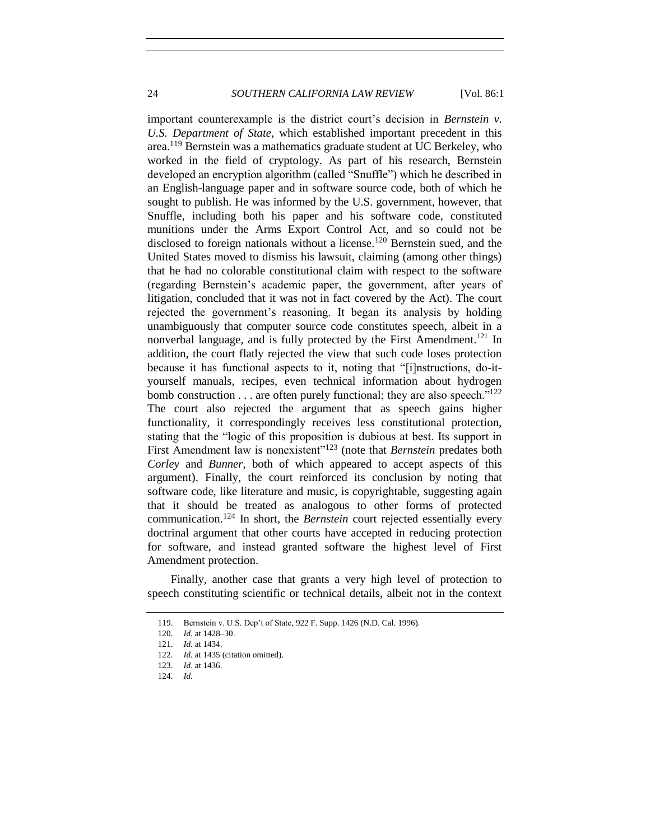24 *SOUTHERN CALIFORNIA LAW REVIEW* [Vol. 86:1

important counterexample is the district court's decision in *Bernstein v. U.S. Department of State*, which established important precedent in this area.<sup>119</sup> Bernstein was a mathematics graduate student at UC Berkeley, who worked in the field of cryptology. As part of his research, Bernstein developed an encryption algorithm (called "Snuffle") which he described in an English-language paper and in software source code, both of which he sought to publish. He was informed by the U.S. government, however, that Snuffle, including both his paper and his software code, constituted munitions under the Arms Export Control Act, and so could not be disclosed to foreign nationals without a license.<sup>120</sup> Bernstein sued, and the United States moved to dismiss his lawsuit, claiming (among other things) that he had no colorable constitutional claim with respect to the software (regarding Bernstein's academic paper, the government, after years of litigation, concluded that it was not in fact covered by the Act). The court rejected the government's reasoning. It began its analysis by holding unambiguously that computer source code constitutes speech, albeit in a nonverbal language, and is fully protected by the First Amendment.<sup>121</sup> In addition, the court flatly rejected the view that such code loses protection because it has functional aspects to it, noting that "[i]nstructions, do-ityourself manuals, recipes, even technical information about hydrogen bomb construction  $\dots$  are often purely functional; they are also speech."<sup>122</sup> The court also rejected the argument that as speech gains higher functionality, it correspondingly receives less constitutional protection, stating that the "logic of this proposition is dubious at best. Its support in First Amendment law is nonexistent<sup>"123</sup> (note that *Bernstein* predates both *Corley* and *Bunner*, both of which appeared to accept aspects of this argument). Finally, the court reinforced its conclusion by noting that software code, like literature and music, is copyrightable, suggesting again that it should be treated as analogous to other forms of protected communication.<sup>124</sup> In short, the *Bernstein* court rejected essentially every doctrinal argument that other courts have accepted in reducing protection for software, and instead granted software the highest level of First Amendment protection.

Finally, another case that grants a very high level of protection to speech constituting scientific or technical details, albeit not in the context

<sup>119.</sup> Bernstein v. U.S. Dep't of State, 922 F. Supp. 1426 (N.D. Cal. 1996).

<sup>120.</sup> *Id.* at 1428–30.

<sup>121.</sup> *Id.* at 1434.

<sup>122.</sup> *Id.* at 1435 (citation omitted).

<sup>123.</sup> *Id*. at 1436.

<sup>124.</sup> *Id.*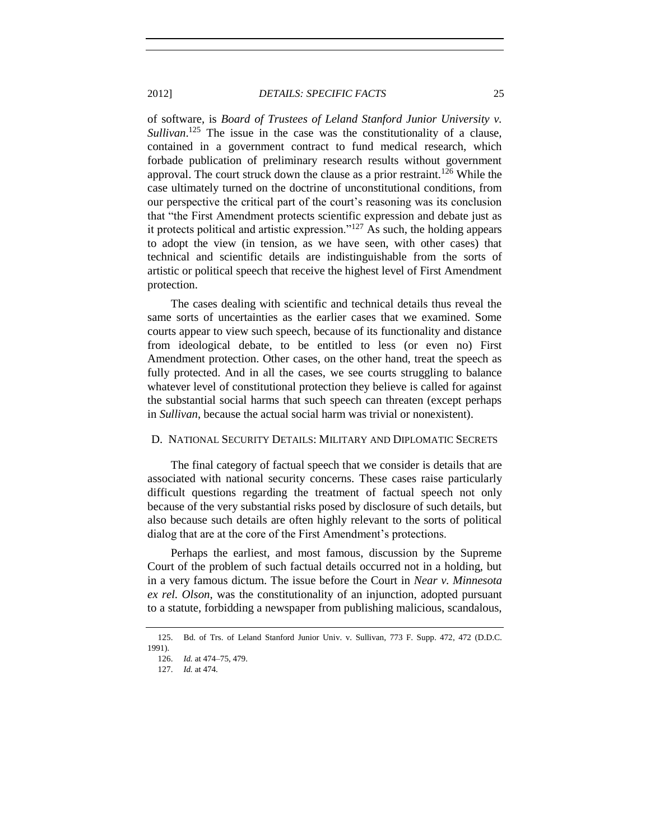of software, is *Board of Trustees of Leland Stanford Junior University v. Sullivan*. <sup>125</sup> The issue in the case was the constitutionality of a clause, contained in a government contract to fund medical research, which forbade publication of preliminary research results without government approval. The court struck down the clause as a prior restraint.<sup>126</sup> While the case ultimately turned on the doctrine of unconstitutional conditions, from our perspective the critical part of the court's reasoning was its conclusion that "the First Amendment protects scientific expression and debate just as it protects political and artistic expression."<sup>127</sup> As such, the holding appears to adopt the view (in tension, as we have seen, with other cases) that technical and scientific details are indistinguishable from the sorts of artistic or political speech that receive the highest level of First Amendment protection.

The cases dealing with scientific and technical details thus reveal the same sorts of uncertainties as the earlier cases that we examined. Some courts appear to view such speech, because of its functionality and distance from ideological debate, to be entitled to less (or even no) First Amendment protection. Other cases, on the other hand, treat the speech as fully protected. And in all the cases, we see courts struggling to balance whatever level of constitutional protection they believe is called for against the substantial social harms that such speech can threaten (except perhaps in *Sullivan*, because the actual social harm was trivial or nonexistent).

#### <span id="page-24-0"></span>D. NATIONAL SECURITY DETAILS: MILITARY AND DIPLOMATIC SECRETS

The final category of factual speech that we consider is details that are associated with national security concerns. These cases raise particularly difficult questions regarding the treatment of factual speech not only because of the very substantial risks posed by disclosure of such details, but also because such details are often highly relevant to the sorts of political dialog that are at the core of the First Amendment's protections.

Perhaps the earliest, and most famous, discussion by the Supreme Court of the problem of such factual details occurred not in a holding, but in a very famous dictum. The issue before the Court in *Near v. Minnesota ex rel. Olson*, was the constitutionality of an injunction, adopted pursuant to a statute, forbidding a newspaper from publishing malicious, scandalous,

<sup>125.</sup> Bd. of Trs. of Leland Stanford Junior Univ. v. Sullivan, 773 F. Supp. 472, 472 (D.D.C. 1991).

<sup>126.</sup> *Id.* at 474–75, 479.

<sup>127.</sup> *Id.* at 474.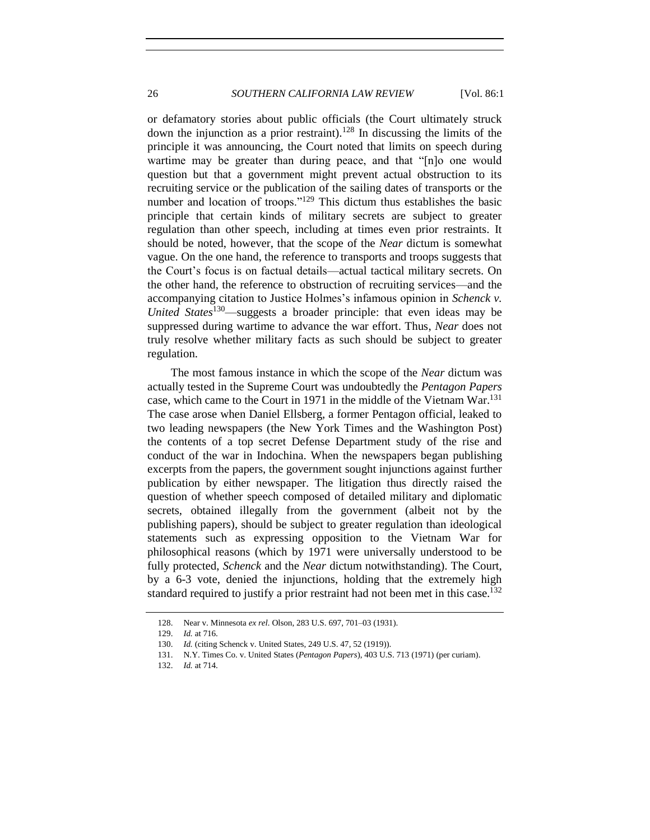26 *SOUTHERN CALIFORNIA LAW REVIEW* [Vol. 86:1

or defamatory stories about public officials (the Court ultimately struck down the injunction as a prior restraint).<sup>128</sup> In discussing the limits of the principle it was announcing, the Court noted that limits on speech during wartime may be greater than during peace, and that "[n]o one would question but that a government might prevent actual obstruction to its recruiting service or the publication of the sailing dates of transports or the number and location of troops."<sup>129</sup> This dictum thus establishes the basic principle that certain kinds of military secrets are subject to greater regulation than other speech, including at times even prior restraints. It should be noted, however, that the scope of the *Near* dictum is somewhat vague. On the one hand, the reference to transports and troops suggests that the Court's focus is on factual details—actual tactical military secrets. On the other hand, the reference to obstruction of recruiting services—and the accompanying citation to Justice Holmes's infamous opinion in *Schenck v. United States*<sup>130</sup>—suggests a broader principle: that even ideas may be suppressed during wartime to advance the war effort. Thus, *Near* does not truly resolve whether military facts as such should be subject to greater regulation.

<span id="page-25-0"></span>The most famous instance in which the scope of the *Near* dictum was actually tested in the Supreme Court was undoubtedly the *Pentagon Papers* case, which came to the Court in 1971 in the middle of the Vietnam War.<sup>131</sup> The case arose when Daniel Ellsberg, a former Pentagon official, leaked to two leading newspapers (the New York Times and the Washington Post) the contents of a top secret Defense Department study of the rise and conduct of the war in Indochina. When the newspapers began publishing excerpts from the papers, the government sought injunctions against further publication by either newspaper. The litigation thus directly raised the question of whether speech composed of detailed military and diplomatic secrets, obtained illegally from the government (albeit not by the publishing papers), should be subject to greater regulation than ideological statements such as expressing opposition to the Vietnam War for philosophical reasons (which by 1971 were universally understood to be fully protected, *Schenck* and the *Near* dictum notwithstanding). The Court, by a 6-3 vote, denied the injunctions, holding that the extremely high standard required to justify a prior restraint had not been met in this case.<sup>132</sup>

<sup>128.</sup> Near v. Minnesota *ex rel.* Olson, 283 U.S. 697, 701–03 (1931).

<sup>129.</sup> *Id.* at 716.

<sup>130.</sup> *Id.* (citing Schenck v. United States, 249 U.S. 47, 52 (1919)).

<sup>131.</sup> N.Y. Times Co. v. United States (*Pentagon Papers*), 403 U.S. 713 (1971) (per curiam).

<sup>132.</sup> *Id.* at 714.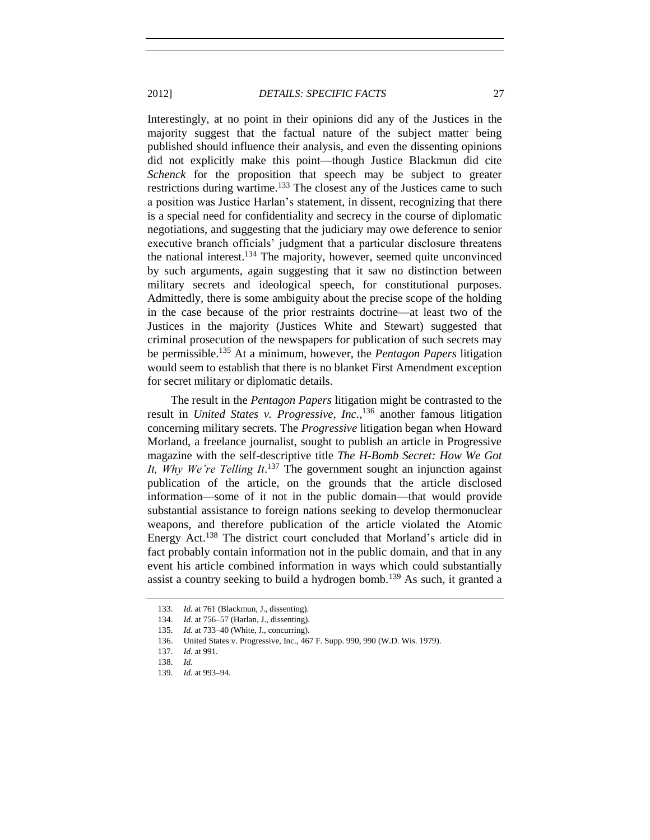Interestingly, at no point in their opinions did any of the Justices in the majority suggest that the factual nature of the subject matter being published should influence their analysis, and even the dissenting opinions did not explicitly make this point—though Justice Blackmun did cite *Schenck* for the proposition that speech may be subject to greater restrictions during wartime.<sup>133</sup> The closest any of the Justices came to such a position was Justice Harlan's statement, in dissent, recognizing that there is a special need for confidentiality and secrecy in the course of diplomatic negotiations, and suggesting that the judiciary may owe deference to senior executive branch officials' judgment that a particular disclosure threatens the national interest.<sup>134</sup> The majority, however, seemed quite unconvinced by such arguments, again suggesting that it saw no distinction between military secrets and ideological speech, for constitutional purposes. Admittedly, there is some ambiguity about the precise scope of the holding in the case because of the prior restraints doctrine—at least two of the Justices in the majority (Justices White and Stewart) suggested that criminal prosecution of the newspapers for publication of such secrets may be permissible.<sup>135</sup> At a minimum, however, the *Pentagon Papers* litigation would seem to establish that there is no blanket First Amendment exception for secret military or diplomatic details.

<span id="page-26-0"></span>The result in the *Pentagon Papers* litigation might be contrasted to the result in *United States v. Progressive, Inc.*, <sup>136</sup> another famous litigation concerning military secrets. The *Progressive* litigation began when Howard Morland, a freelance journalist, sought to publish an article in Progressive magazine with the self-descriptive title *The H-Bomb Secret: How We Got It, Why We're Telling It*. <sup>137</sup> The government sought an injunction against publication of the article, on the grounds that the article disclosed information—some of it not in the public domain—that would provide substantial assistance to foreign nations seeking to develop thermonuclear weapons, and therefore publication of the article violated the Atomic Energy Act.<sup>138</sup> The district court concluded that Morland's article did in fact probably contain information not in the public domain, and that in any event his article combined information in ways which could substantially assist a country seeking to build a hydrogen bomb.<sup>139</sup> As such, it granted a

<sup>133.</sup> *Id.* at 761 (Blackmun, J., dissenting).

<sup>134.</sup> *Id.* at 756–57 (Harlan, J., dissenting).

<sup>135.</sup> *Id.* at 733–40 (White, J., concurring).

<sup>136.</sup> United States v. Progressive, Inc., 467 F. Supp. 990, 990 (W.D. Wis. 1979).

<sup>137.</sup> *Id.* at 991.

<sup>138.</sup> *Id.*

<sup>139.</sup> *Id.* at 993–94.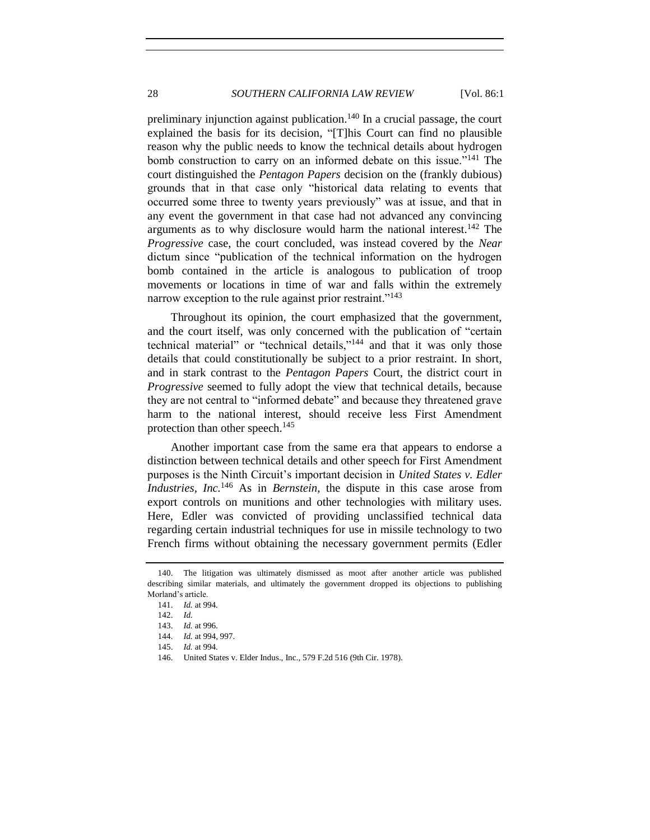### 28 *SOUTHERN CALIFORNIA LAW REVIEW* [Vol. 86:1

preliminary injunction against publication.<sup>140</sup> In a crucial passage, the court explained the basis for its decision, "[T]his Court can find no plausible reason why the public needs to know the technical details about hydrogen bomb construction to carry on an informed debate on this issue."<sup>141</sup> The court distinguished the *Pentagon Papers* decision on the (frankly dubious) grounds that in that case only "historical data relating to events that occurred some three to twenty years previously" was at issue, and that in any event the government in that case had not advanced any convincing arguments as to why disclosure would harm the national interest.<sup>142</sup> The *Progressive* case, the court concluded, was instead covered by the *Near* dictum since "publication of the technical information on the hydrogen bomb contained in the article is analogous to publication of troop movements or locations in time of war and falls within the extremely narrow exception to the rule against prior restraint."<sup>143</sup>

Throughout its opinion, the court emphasized that the government, and the court itself, was only concerned with the publication of "certain technical material" or "technical details,"<sup>144</sup> and that it was only those details that could constitutionally be subject to a prior restraint. In short, and in stark contrast to the *Pentagon Papers* Court, the district court in *Progressive* seemed to fully adopt the view that technical details, because they are not central to "informed debate" and because they threatened grave harm to the national interest, should receive less First Amendment protection than other speech.<sup>145</sup>

Another important case from the same era that appears to endorse a distinction between technical details and other speech for First Amendment purposes is the Ninth Circuit's important decision in *United States v. Edler Industries, Inc.*<sup>146</sup> As in *Bernstein*, the dispute in this case arose from export controls on munitions and other technologies with military uses. Here, Edler was convicted of providing unclassified technical data regarding certain industrial techniques for use in missile technology to two French firms without obtaining the necessary government permits (Edler

<sup>140.</sup> The litigation was ultimately dismissed as moot after another article was published describing similar materials, and ultimately the government dropped its objections to publishing Morland's article.

<sup>141.</sup> *Id.* at 994.

<sup>142.</sup> *Id.*

<sup>143.</sup> *Id.* at 996.

<sup>144.</sup> *Id.* at 994, 997.

<sup>145.</sup> *Id.* at 994.

<sup>146.</sup> United States v. Elder Indus., Inc., 579 F.2d 516 (9th Cir. 1978).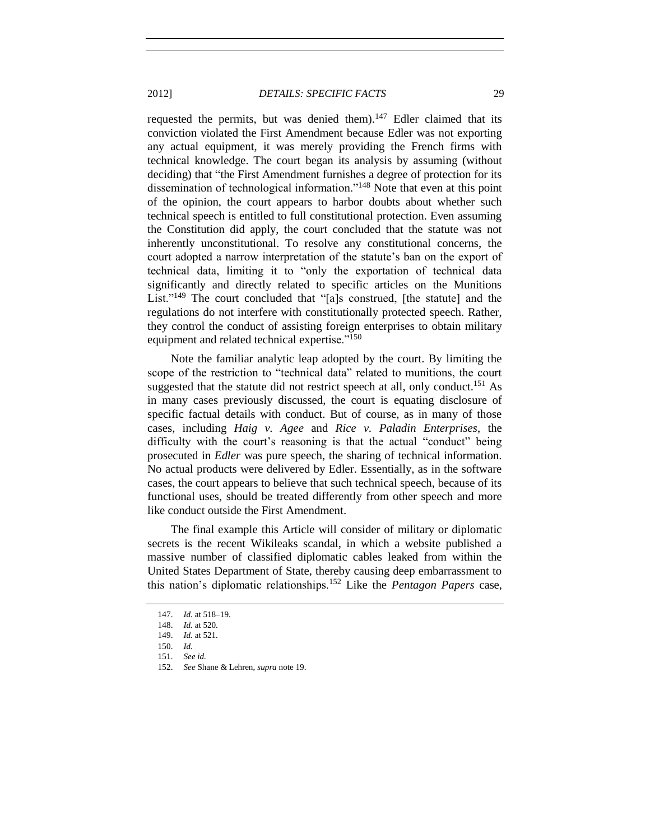requested the permits, but was denied them).<sup>147</sup> Edler claimed that its conviction violated the First Amendment because Edler was not exporting any actual equipment, it was merely providing the French firms with technical knowledge. The court began its analysis by assuming (without deciding) that "the First Amendment furnishes a degree of protection for its dissemination of technological information."<sup>148</sup> Note that even at this point of the opinion, the court appears to harbor doubts about whether such technical speech is entitled to full constitutional protection. Even assuming the Constitution did apply, the court concluded that the statute was not inherently unconstitutional. To resolve any constitutional concerns, the court adopted a narrow interpretation of the statute's ban on the export of technical data, limiting it to "only the exportation of technical data significantly and directly related to specific articles on the Munitions List."<sup>149</sup> The court concluded that "[a]s construed, [the statute] and the regulations do not interfere with constitutionally protected speech. Rather, they control the conduct of assisting foreign enterprises to obtain military

<span id="page-28-0"></span>Note the familiar analytic leap adopted by the court. By limiting the scope of the restriction to "technical data" related to munitions, the court suggested that the statute did not restrict speech at all, only conduct.<sup>151</sup> As in many cases previously discussed, the court is equating disclosure of specific factual details with conduct. But of course, as in many of those cases, including *Haig v. Agee* and *Rice v. Paladin Enterprises*, the difficulty with the court's reasoning is that the actual "conduct" being prosecuted in *Edler* was pure speech, the sharing of technical information. No actual products were delivered by Edler. Essentially, as in the software cases, the court appears to believe that such technical speech, because of its functional uses, should be treated differently from other speech and more like conduct outside the First Amendment.

The final example this Article will consider of military or diplomatic secrets is the recent Wikileaks scandal, in which a website published a massive number of classified diplomatic cables leaked from within the United States Department of State, thereby causing deep embarrassment to this nation's diplomatic relationships.<sup>152</sup> Like the *Pentagon Papers* case,

equipment and related technical expertise."<sup>150</sup>

<sup>147.</sup> *Id.* at 518–19.

<sup>148.</sup> *Id.* at 520.

<sup>149.</sup> *Id.* at 521.

<sup>150.</sup> *Id.*

<sup>151.</sup> *See id.*

<sup>152.</sup> *See* Shane & Lehren, *supra* not[e 19.](#page-4-1)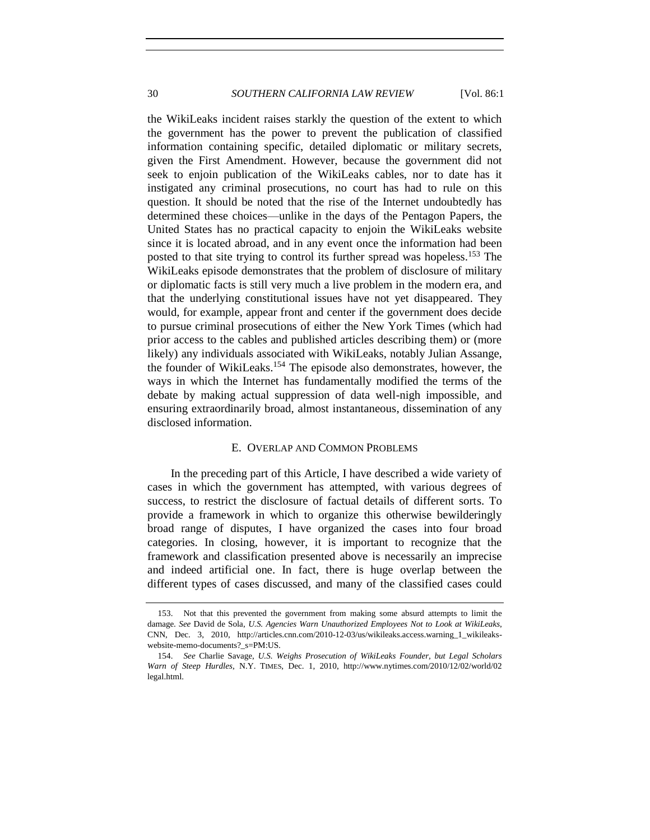30 *SOUTHERN CALIFORNIA LAW REVIEW* [Vol. 86:1

the WikiLeaks incident raises starkly the question of the extent to which the government has the power to prevent the publication of classified information containing specific, detailed diplomatic or military secrets, given the First Amendment. However, because the government did not seek to enjoin publication of the WikiLeaks cables, nor to date has it instigated any criminal prosecutions, no court has had to rule on this question. It should be noted that the rise of the Internet undoubtedly has determined these choices—unlike in the days of the Pentagon Papers, the United States has no practical capacity to enjoin the WikiLeaks website since it is located abroad, and in any event once the information had been posted to that site trying to control its further spread was hopeless.<sup>153</sup> The WikiLeaks episode demonstrates that the problem of disclosure of military or diplomatic facts is still very much a live problem in the modern era, and that the underlying constitutional issues have not yet disappeared. They would, for example, appear front and center if the government does decide to pursue criminal prosecutions of either the New York Times (which had prior access to the cables and published articles describing them) or (more likely) any individuals associated with WikiLeaks, notably Julian Assange, the founder of WikiLeaks. <sup>154</sup> The episode also demonstrates, however, the ways in which the Internet has fundamentally modified the terms of the debate by making actual suppression of data well-nigh impossible, and ensuring extraordinarily broad, almost instantaneous, dissemination of any disclosed information.

#### <span id="page-29-1"></span>E. OVERLAP AND COMMON PROBLEMS

<span id="page-29-0"></span>In the preceding part of this Article, I have described a wide variety of cases in which the government has attempted, with various degrees of success, to restrict the disclosure of factual details of different sorts. To provide a framework in which to organize this otherwise bewilderingly broad range of disputes, I have organized the cases into four broad categories. In closing, however, it is important to recognize that the framework and classification presented above is necessarily an imprecise and indeed artificial one. In fact, there is huge overlap between the different types of cases discussed, and many of the classified cases could

<sup>153.</sup> Not that this prevented the government from making some absurd attempts to limit the damage. *See* David de Sola, *U.S. Agencies Warn Unauthorized Employees Not to Look at WikiLeaks*, CNN, Dec. 3, 2010, http://articles.cnn.com/2010-12-03/us/wikileaks.access.warning\_1\_wikileakswebsite-memo-documents?\_s=PM:US.

<sup>154.</sup> *See* Charlie Savage, *U.S. Weighs Prosecution of WikiLeaks Founder, but Legal Scholars Warn of Steep Hurdles*, N.Y. TIMES, Dec. 1, 2010, http://www.nytimes.com/2010/12/02/world/02 legal.html.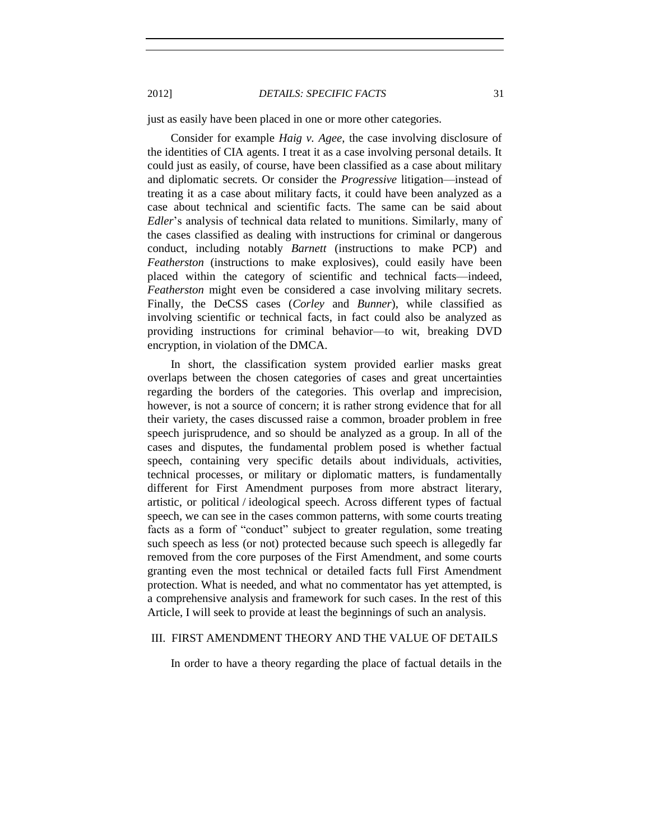just as easily have been placed in one or more other categories.

Consider for example *Haig v. Agee*, the case involving disclosure of the identities of CIA agents. I treat it as a case involving personal details. It could just as easily, of course, have been classified as a case about military and diplomatic secrets. Or consider the *Progressive* litigation—instead of treating it as a case about military facts, it could have been analyzed as a case about technical and scientific facts. The same can be said about *Edler*'s analysis of technical data related to munitions. Similarly, many of the cases classified as dealing with instructions for criminal or dangerous conduct, including notably *Barnett* (instructions to make PCP) and *Featherston* (instructions to make explosives), could easily have been placed within the category of scientific and technical facts—indeed, *Featherston* might even be considered a case involving military secrets. Finally, the DeCSS cases (*Corley* and *Bunner*), while classified as involving scientific or technical facts, in fact could also be analyzed as providing instructions for criminal behavior—to wit, breaking DVD encryption, in violation of the DMCA.

In short, the classification system provided earlier masks great overlaps between the chosen categories of cases and great uncertainties regarding the borders of the categories. This overlap and imprecision, however, is not a source of concern; it is rather strong evidence that for all their variety, the cases discussed raise a common, broader problem in free speech jurisprudence, and so should be analyzed as a group. In all of the cases and disputes, the fundamental problem posed is whether factual speech, containing very specific details about individuals, activities, technical processes, or military or diplomatic matters, is fundamentally different for First Amendment purposes from more abstract literary, artistic, or political / ideological speech. Across different types of factual speech, we can see in the cases common patterns, with some courts treating facts as a form of "conduct" subject to greater regulation, some treating such speech as less (or not) protected because such speech is allegedly far removed from the core purposes of the First Amendment, and some courts granting even the most technical or detailed facts full First Amendment protection. What is needed, and what no commentator has yet attempted, is a comprehensive analysis and framework for such cases. In the rest of this Article, I will seek to provide at least the beginnings of such an analysis.

#### <span id="page-30-0"></span>III. FIRST AMENDMENT THEORY AND THE VALUE OF DETAILS

In order to have a theory regarding the place of factual details in the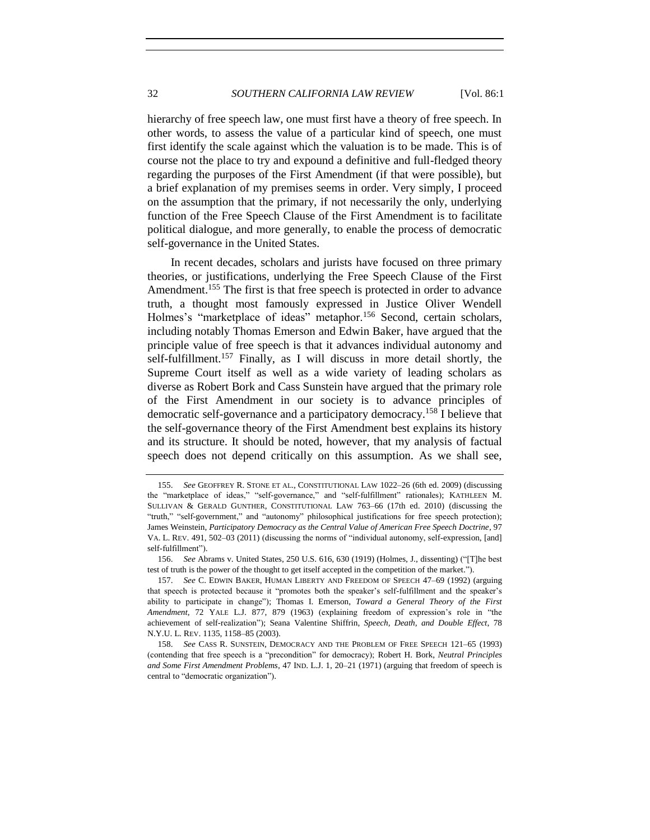hierarchy of free speech law, one must first have a theory of free speech. In other words, to assess the value of a particular kind of speech, one must first identify the scale against which the valuation is to be made. This is of course not the place to try and expound a definitive and full-fledged theory regarding the purposes of the First Amendment (if that were possible), but a brief explanation of my premises seems in order. Very simply, I proceed on the assumption that the primary, if not necessarily the only, underlying function of the Free Speech Clause of the First Amendment is to facilitate political dialogue, and more generally, to enable the process of democratic self-governance in the United States.

<span id="page-31-0"></span>In recent decades, scholars and jurists have focused on three primary theories, or justifications, underlying the Free Speech Clause of the First Amendment.<sup>155</sup> The first is that free speech is protected in order to advance truth, a thought most famously expressed in Justice Oliver Wendell Holmes's "marketplace of ideas" metaphor.<sup>156</sup> Second, certain scholars, including notably Thomas Emerson and Edwin Baker, have argued that the principle value of free speech is that it advances individual autonomy and self-fulfillment.<sup>157</sup> Finally, as I will discuss in more detail shortly, the Supreme Court itself as well as a wide variety of leading scholars as diverse as Robert Bork and Cass Sunstein have argued that the primary role of the First Amendment in our society is to advance principles of democratic self-governance and a participatory democracy.<sup>158</sup> I believe that the self-governance theory of the First Amendment best explains its history and its structure. It should be noted, however, that my analysis of factual speech does not depend critically on this assumption. As we shall see,

156. *See* Abrams v. United States, 250 U.S. 616, 630 (1919) (Holmes, J., dissenting) ("[T]he best test of truth is the power of the thought to get itself accepted in the competition of the market.").

<span id="page-31-1"></span><sup>155.</sup> *See* GEOFFREY R. STONE ET AL., CONSTITUTIONAL LAW 1022–26 (6th ed. 2009) (discussing the "marketplace of ideas," "self-governance," and "self-fulfillment" rationales); KATHLEEN M. SULLIVAN & GERALD GUNTHER, CONSTITUTIONAL LAW 763–66 (17th ed. 2010) (discussing the "truth," "self-government," and "autonomy" philosophical justifications for free speech protection); James Weinstein, *Participatory Democracy as the Central Value of American Free Speech Doctrine*, 97 VA. L. REV. 491, 502–03 (2011) (discussing the norms of "individual autonomy, self-expression, [and] self-fulfillment").

<sup>157.</sup> *See* C. EDWIN BAKER, HUMAN LIBERTY AND FREEDOM OF SPEECH 47–69 (1992) (arguing that speech is protected because it "promotes both the speaker's self-fulfillment and the speaker's ability to participate in change"); Thomas I. Emerson, *Toward a General Theory of the First Amendment*, 72 YALE L.J. 877, 879 (1963) (explaining freedom of expression's role in "the achievement of self-realization"); Seana Valentine Shiffrin, *Speech, Death, and Double Effect*, 78 N.Y.U. L. REV. 1135, 1158–85 (2003).

<sup>158.</sup> *See* CASS R. SUNSTEIN, DEMOCRACY AND THE PROBLEM OF FREE SPEECH 121–65 (1993) (contending that free speech is a "precondition" for democracy); Robert H. Bork, *Neutral Principles and Some First Amendment Problems*, 47 IND. L.J. 1, 20–21 (1971) (arguing that freedom of speech is central to "democratic organization").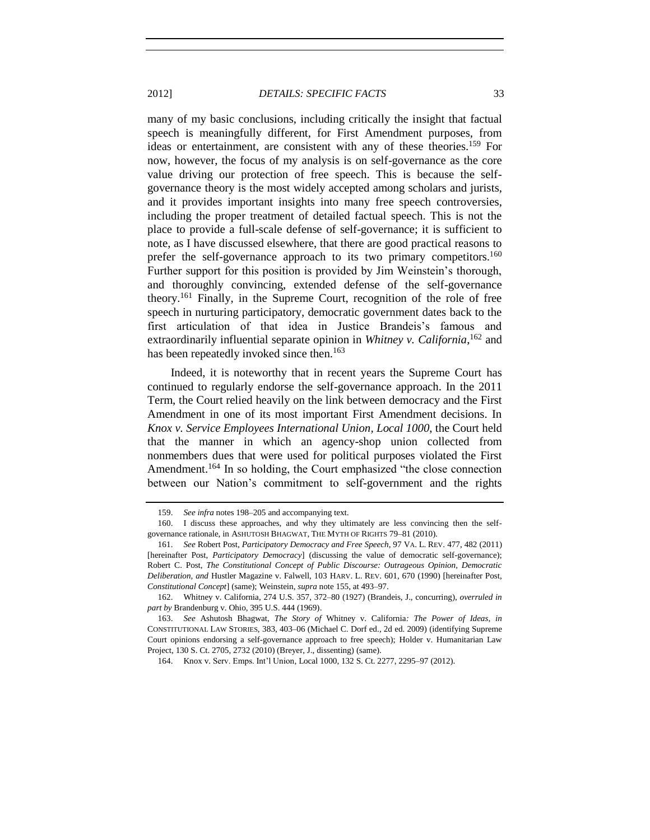many of my basic conclusions, including critically the insight that factual speech is meaningfully different, for First Amendment purposes, from ideas or entertainment, are consistent with any of these theories.<sup>159</sup> For now, however, the focus of my analysis is on self-governance as the core value driving our protection of free speech. This is because the selfgovernance theory is the most widely accepted among scholars and jurists, and it provides important insights into many free speech controversies, including the proper treatment of detailed factual speech. This is not the place to provide a full-scale defense of self-governance; it is sufficient to note, as I have discussed elsewhere, that there are good practical reasons to prefer the self-governance approach to its two primary competitors.<sup>160</sup> Further support for this position is provided by Jim Weinstein's thorough, and thoroughly convincing, extended defense of the self-governance theory.<sup>161</sup> Finally, in the Supreme Court, recognition of the role of free speech in nurturing participatory, democratic government dates back to the first articulation of that idea in Justice Brandeis's famous and extraordinarily influential separate opinion in *Whitney v. California*, <sup>162</sup> and has been repeatedly invoked since then.<sup>163</sup>

<span id="page-32-0"></span>Indeed, it is noteworthy that in recent years the Supreme Court has continued to regularly endorse the self-governance approach. In the 2011 Term, the Court relied heavily on the link between democracy and the First Amendment in one of its most important First Amendment decisions. In *Knox v. Service Employees International Union, Local 1000*, the Court held that the manner in which an agency-shop union collected from nonmembers dues that were used for political purposes violated the First Amendment.<sup>164</sup> In so holding, the Court emphasized "the close connection" between our Nation's commitment to self-government and the rights

<sup>159.</sup> *See infra* note[s 198](#page-41-0)[–205](#page-43-1) and accompanying text.

<sup>160.</sup> I discuss these approaches, and why they ultimately are less convincing then the selfgovernance rationale, in ASHUTOSH BHAGWAT, THE MYTH OF RIGHTS 79–81 (2010).

<sup>161.</sup> *See* Robert Post, *Participatory Democracy and Free Speech*, 97 VA. L. REV. 477, 482 (2011) [hereinafter Post, *Participatory Democracy*] (discussing the value of democratic self-governance); Robert C. Post, *The Constitutional Concept of Public Discourse: Outrageous Opinion, Democratic Deliberation, and* Hustler Magazine v. Falwell, 103 HARV. L. REV. 601, 670 (1990) [hereinafter Post, *Constitutional Concept*] (same); Weinstein, *supra* not[e 155,](#page-31-0) at 493–97.

<sup>162.</sup> Whitney v. California, 274 U.S. 357, 372–80 (1927) (Brandeis, J., concurring), *overruled in part by* Brandenburg v. Ohio, 395 U.S. 444 (1969).

<sup>163.</sup> *See* Ashutosh Bhagwat, *The Story of* Whitney v. California*: The Power of Ideas*, *in* CONSTITUTIONAL LAW STORIES, 383, 403–06 (Michael C. Dorf ed., 2d ed. 2009) (identifying Supreme Court opinions endorsing a self-governance approach to free speech); Holder v. Humanitarian Law Project, 130 S. Ct. 2705, 2732 (2010) (Breyer, J., dissenting) (same).

<sup>164.</sup> Knox v. Serv. Emps. Int'l Union, Local 1000, 132 S. Ct. 2277, 2295–97 (2012).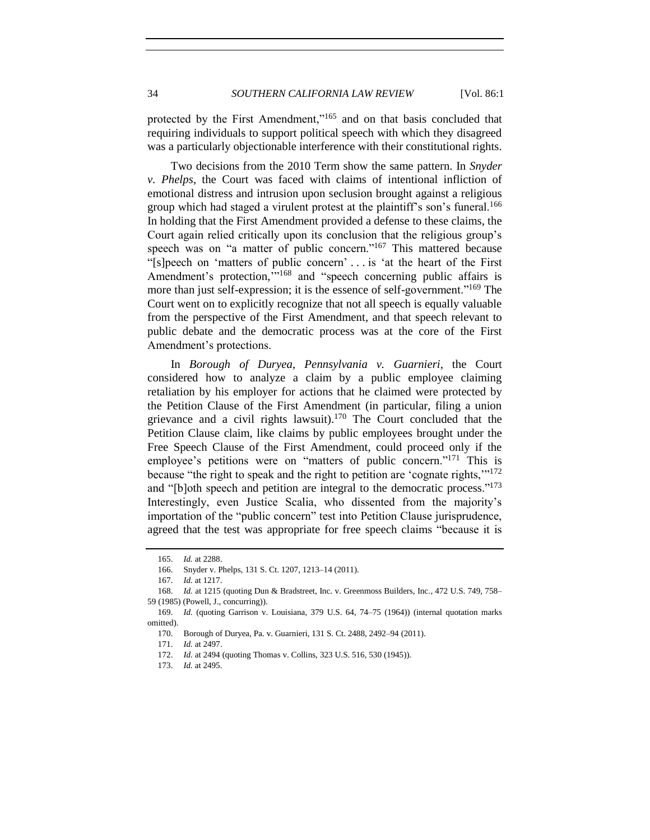protected by the First Amendment,"<sup>165</sup> and on that basis concluded that requiring individuals to support political speech with which they disagreed was a particularly objectionable interference with their constitutional rights.

Two decisions from the 2010 Term show the same pattern. In *Snyder v. Phelps*, the Court was faced with claims of intentional infliction of emotional distress and intrusion upon seclusion brought against a religious group which had staged a virulent protest at the plaintiff's son's funeral.<sup>166</sup> In holding that the First Amendment provided a defense to these claims, the Court again relied critically upon its conclusion that the religious group's speech was on "a matter of public concern."<sup>167</sup> This mattered because "[s]peech on 'matters of public concern' . . . is 'at the heart of the First Amendment's protection,"<sup>168</sup> and "speech concerning public affairs is more than just self-expression; it is the essence of self-government."<sup>169</sup> The Court went on to explicitly recognize that not all speech is equally valuable from the perspective of the First Amendment, and that speech relevant to public debate and the democratic process was at the core of the First Amendment's protections.

In *Borough of Duryea, Pennsylvania v. Guarnieri*, the Court considered how to analyze a claim by a public employee claiming retaliation by his employer for actions that he claimed were protected by the Petition Clause of the First Amendment (in particular, filing a union grievance and a civil rights lawsuit).<sup>170</sup> The Court concluded that the Petition Clause claim, like claims by public employees brought under the Free Speech Clause of the First Amendment, could proceed only if the employee's petitions were on "matters of public concern."<sup>171</sup> This is because "the right to speak and the right to petition are 'cognate rights,'"<sup>172</sup> and "[b]oth speech and petition are integral to the democratic process."<sup>173</sup> Interestingly, even Justice Scalia, who dissented from the majority's importation of the "public concern" test into Petition Clause jurisprudence, agreed that the test was appropriate for free speech claims "because it is

<sup>165.</sup> *Id.* at 2288.

<sup>166.</sup> Snyder v. Phelps, 131 S. Ct. 1207, 1213–14 (2011).

<sup>167.</sup> *Id.* at 1217.

<sup>168.</sup> *Id.* at 1215 (quoting Dun & Bradstreet, Inc. v. Greenmoss Builders, Inc*.*, 472 U.S. 749, 758– 59 (1985) (Powell, J., concurring)).

<sup>169.</sup> *Id.* (quoting Garrison v. Louisiana, 379 U.S. 64, 74–75 (1964)) (internal quotation marks omitted).

<sup>170.</sup> Borough of Duryea, Pa. v. Guarnieri, 131 S. Ct. 2488, 2492–94 (2011).

<sup>171.</sup> *Id.* at 2497.

<sup>172.</sup> *Id.* at 2494 (quoting Thomas v. Collins, 323 U.S. 516, 530 (1945)).

<sup>173.</sup> *Id.* at 2495.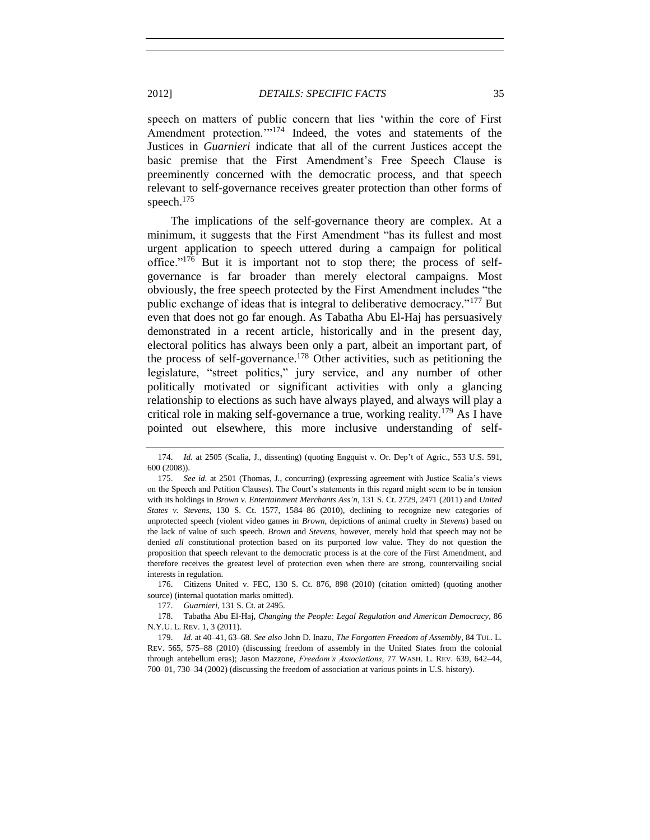speech on matters of public concern that lies 'within the core of First Amendment protection."<sup>174</sup> Indeed, the votes and statements of the Justices in *Guarnieri* indicate that all of the current Justices accept the basic premise that the First Amendment's Free Speech Clause is preeminently concerned with the democratic process, and that speech relevant to self-governance receives greater protection than other forms of speech.<sup>175</sup>

The implications of the self-governance theory are complex. At a minimum, it suggests that the First Amendment "has its fullest and most urgent application to speech uttered during a campaign for political office."<sup>176</sup> But it is important not to stop there; the process of selfgovernance is far broader than merely electoral campaigns. Most obviously, the free speech protected by the First Amendment includes "the public exchange of ideas that is integral to deliberative democracy."<sup>177</sup> But even that does not go far enough. As Tabatha Abu El-Haj has persuasively demonstrated in a recent article, historically and in the present day, electoral politics has always been only a part, albeit an important part, of the process of self-governance.<sup>178</sup> Other activities, such as petitioning the legislature, "street politics," jury service, and any number of other politically motivated or significant activities with only a glancing relationship to elections as such have always played, and always will play a critical role in making self-governance a true, working reality.<sup>179</sup> As I have pointed out elsewhere, this more inclusive understanding of self-

176. Citizens United v. FEC, 130 S. Ct. 876, 898 (2010) (citation omitted) (quoting another source) (internal quotation marks omitted).

177. *Guarnieri*, 131 S. Ct. at 2495.

178. Tabatha Abu El-Haj, *Changing the People: Legal Regulation and American Democracy*, 86 N.Y.U. L. REV. 1, 3 (2011).

<sup>174.</sup> *Id.* at 2505 (Scalia, J., dissenting) (quoting Engquist v. Or. Dep't of Agric., 553 U.S. 591, 600 (2008)).

<sup>175.</sup> *See id.* at 2501 (Thomas, J., concurring) (expressing agreement with Justice Scalia's views on the Speech and Petition Clauses). The Court's statements in this regard might seem to be in tension with its holdings in *Brown v. Entertainment Merchants Ass'n*, 131 S. Ct. 2729, 2471 (2011) and *United States v. Stevens*, 130 S. Ct. 1577, 1584–86 (2010), declining to recognize new categories of unprotected speech (violent video games in *Brown*, depictions of animal cruelty in *Stevens*) based on the lack of value of such speech. *Brown* and *Stevens*, however, merely hold that speech may not be denied *all* constitutional protection based on its purported low value. They do not question the proposition that speech relevant to the democratic process is at the core of the First Amendment, and therefore receives the greatest level of protection even when there are strong, countervailing social interests in regulation.

<sup>179.</sup> *Id.* at 40–41, 63–68. *See also* John D. Inazu, *The Forgotten Freedom of Assembly*, 84 TUL. L. REV. 565, 575–88 (2010) (discussing freedom of assembly in the United States from the colonial through antebellum eras); Jason Mazzone, *Freedom's Associations*, 77 WASH. L. REV. 639, 642–44, 700–01, 730–34 (2002) (discussing the freedom of association at various points in U.S. history).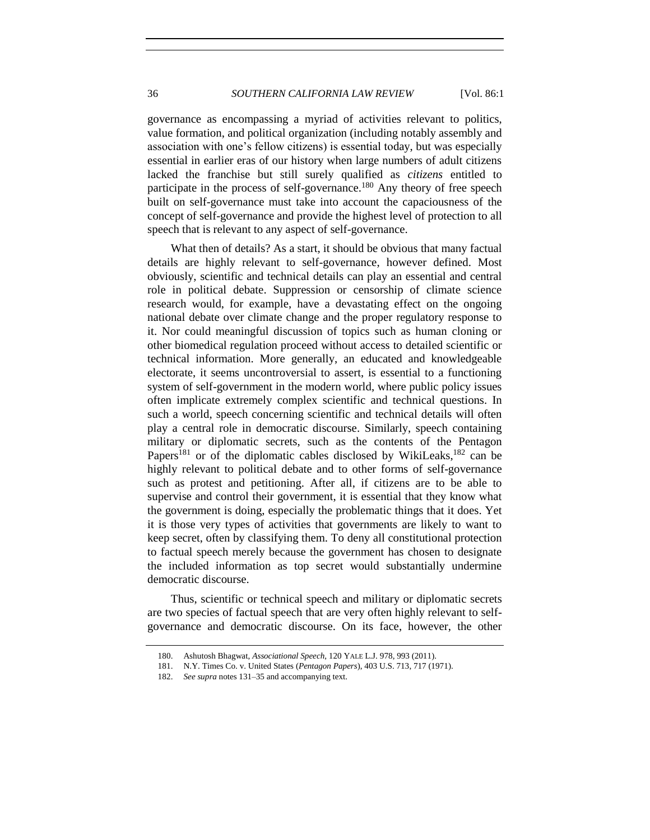<span id="page-35-0"></span>

governance as encompassing a myriad of activities relevant to politics, value formation, and political organization (including notably assembly and association with one's fellow citizens) is essential today, but was especially essential in earlier eras of our history when large numbers of adult citizens lacked the franchise but still surely qualified as *citizens* entitled to participate in the process of self-governance.<sup>180</sup> Any theory of free speech built on self-governance must take into account the capaciousness of the concept of self-governance and provide the highest level of protection to all speech that is relevant to any aspect of self-governance.

What then of details? As a start, it should be obvious that many factual details are highly relevant to self-governance, however defined. Most obviously, scientific and technical details can play an essential and central role in political debate. Suppression or censorship of climate science research would, for example, have a devastating effect on the ongoing national debate over climate change and the proper regulatory response to it. Nor could meaningful discussion of topics such as human cloning or other biomedical regulation proceed without access to detailed scientific or technical information. More generally, an educated and knowledgeable electorate, it seems uncontroversial to assert, is essential to a functioning system of self-government in the modern world, where public policy issues often implicate extremely complex scientific and technical questions. In such a world, speech concerning scientific and technical details will often play a central role in democratic discourse. Similarly, speech containing military or diplomatic secrets, such as the contents of the Pentagon Papers<sup>181</sup> or of the diplomatic cables disclosed by WikiLeaks,  $182$  can be highly relevant to political debate and to other forms of self-governance such as protest and petitioning. After all, if citizens are to be able to supervise and control their government, it is essential that they know what the government is doing, especially the problematic things that it does. Yet it is those very types of activities that governments are likely to want to keep secret, often by classifying them. To deny all constitutional protection to factual speech merely because the government has chosen to designate the included information as top secret would substantially undermine democratic discourse.

<span id="page-35-1"></span>Thus, scientific or technical speech and military or diplomatic secrets are two species of factual speech that are very often highly relevant to selfgovernance and democratic discourse. On its face, however, the other

<sup>180.</sup> Ashutosh Bhagwat, *Associational Speech*, 120 YALE L.J. 978, 993 (2011).

<sup>181.</sup> N.Y. Times Co. v. United States (*Pentagon Papers*), 403 U.S. 713, 717 (1971).

<sup>182.</sup> *See supra* note[s 131](#page-25-0)[–35](#page-26-0) and accompanying text.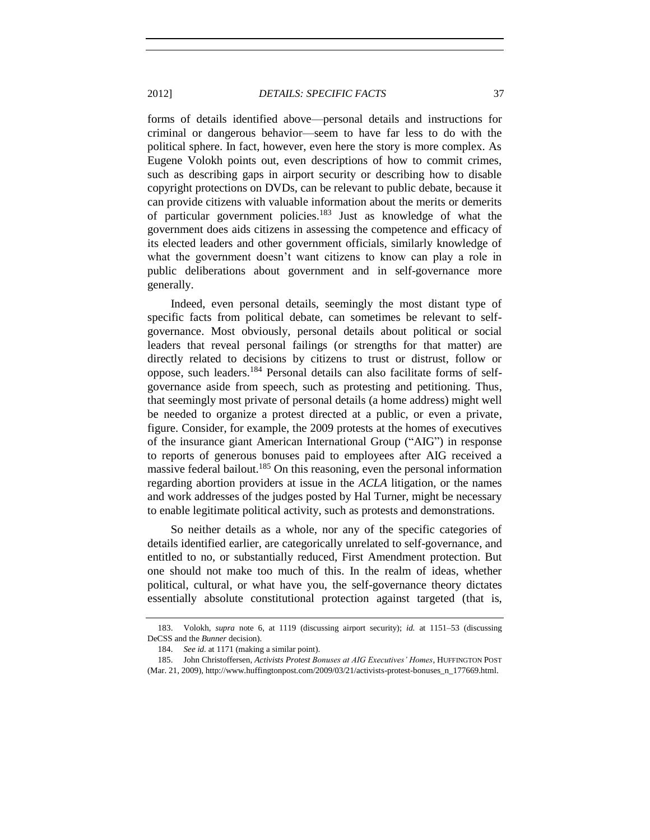forms of details identified above—personal details and instructions for criminal or dangerous behavior—seem to have far less to do with the political sphere. In fact, however, even here the story is more complex. As Eugene Volokh points out, even descriptions of how to commit crimes, such as describing gaps in airport security or describing how to disable copyright protections on DVDs, can be relevant to public debate, because it can provide citizens with valuable information about the merits or demerits of particular government policies.<sup>183</sup> Just as knowledge of what the government does aids citizens in assessing the competence and efficacy of its elected leaders and other government officials, similarly knowledge of what the government doesn't want citizens to know can play a role in public deliberations about government and in self-governance more generally.

<span id="page-36-0"></span>Indeed, even personal details, seemingly the most distant type of specific facts from political debate, can sometimes be relevant to selfgovernance. Most obviously, personal details about political or social leaders that reveal personal failings (or strengths for that matter) are directly related to decisions by citizens to trust or distrust, follow or oppose, such leaders.<sup>184</sup> Personal details can also facilitate forms of selfgovernance aside from speech, such as protesting and petitioning. Thus, that seemingly most private of personal details (a home address) might well be needed to organize a protest directed at a public, or even a private, figure. Consider, for example, the 2009 protests at the homes of executives of the insurance giant American International Group ("AIG") in response to reports of generous bonuses paid to employees after AIG received a massive federal bailout.<sup>185</sup> On this reasoning, even the personal information regarding abortion providers at issue in the *ACLA* litigation, or the names and work addresses of the judges posted by Hal Turner, might be necessary to enable legitimate political activity, such as protests and demonstrations.

So neither details as a whole, nor any of the specific categories of details identified earlier, are categorically unrelated to self-governance, and entitled to no, or substantially reduced, First Amendment protection. But one should not make too much of this. In the realm of ideas, whether political, cultural, or what have you, the self-governance theory dictates essentially absolute constitutional protection against targeted (that is,

<sup>183.</sup> Volokh, *supra* note [6,](#page-2-1) at 1119 (discussing airport security); *id.* at 1151–53 (discussing DeCSS and the *Bunner* decision).

<sup>184.</sup> *See id.* at 1171 (making a similar point).

<sup>185.</sup> John Christoffersen, *Activists Protest Bonuses at AIG Executives' Homes*, HUFFINGTON POST (Mar. 21, 2009), http://www.huffingtonpost.com/2009/03/21/activists-protest-bonuses\_n\_177669.html.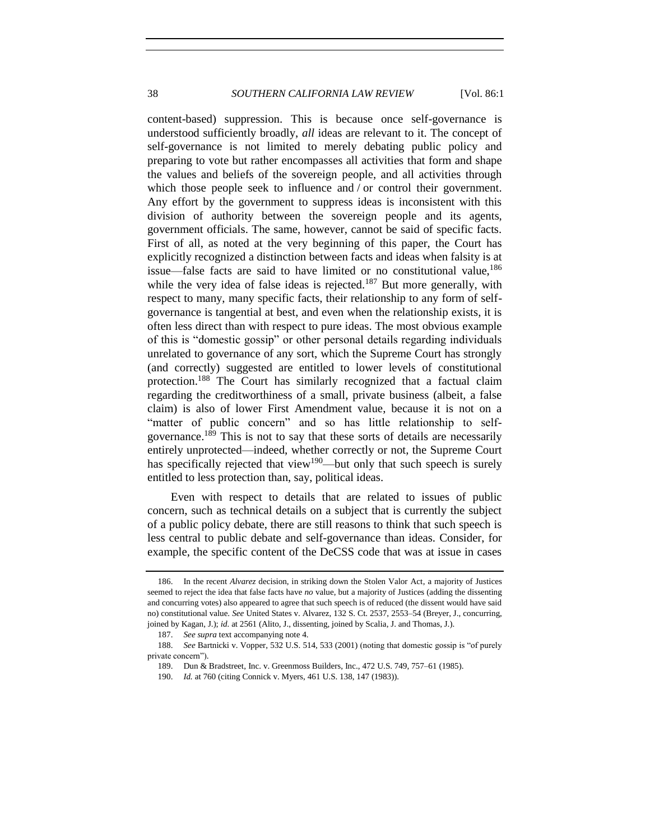content-based) suppression. This is because once self-governance is understood sufficiently broadly, *all* ideas are relevant to it. The concept of self-governance is not limited to merely debating public policy and preparing to vote but rather encompasses all activities that form and shape the values and beliefs of the sovereign people, and all activities through which those people seek to influence and / or control their government. Any effort by the government to suppress ideas is inconsistent with this division of authority between the sovereign people and its agents, government officials. The same, however, cannot be said of specific facts. First of all, as noted at the very beginning of this paper, the Court has explicitly recognized a distinction between facts and ideas when falsity is at issue—false facts are said to have limited or no constitutional value, <sup>186</sup> while the very idea of false ideas is rejected.<sup>187</sup> But more generally, with respect to many, many specific facts, their relationship to any form of selfgovernance is tangential at best, and even when the relationship exists, it is often less direct than with respect to pure ideas. The most obvious example of this is "domestic gossip" or other personal details regarding individuals unrelated to governance of any sort, which the Supreme Court has strongly (and correctly) suggested are entitled to lower levels of constitutional protection.<sup>188</sup> The Court has similarly recognized that a factual claim regarding the creditworthiness of a small, private business (albeit, a false claim) is also of lower First Amendment value, because it is not on a "matter of public concern" and so has little relationship to selfgovernance.<sup>189</sup> This is not to say that these sorts of details are necessarily entirely unprotected—indeed, whether correctly or not, the Supreme Court has specifically rejected that view<sup>190</sup>—but only that such speech is surely entitled to less protection than, say, political ideas.

<span id="page-37-0"></span>Even with respect to details that are related to issues of public concern, such as technical details on a subject that is currently the subject of a public policy debate, there are still reasons to think that such speech is less central to public debate and self-governance than ideas. Consider, for example, the specific content of the DeCSS code that was at issue in cases

<sup>186.</sup> In the recent *Alvarez* decision, in striking down the Stolen Valor Act, a majority of Justices seemed to reject the idea that false facts have *no* value, but a majority of Justices (adding the dissenting and concurring votes) also appeared to agree that such speech is of reduced (the dissent would have said no) constitutional value. *See* United States v. Alvarez, 132 S. Ct. 2537, 2553–54 (Breyer, J., concurring, joined by Kagan, J.); *id.* at 2561 (Alito, J., dissenting, joined by Scalia, J. and Thomas, J.).

<sup>187.</sup> *See supra* text accompanying not[e 4.](#page-1-1)

<sup>188.</sup> *See* Bartnicki v. Vopper, 532 U.S. 514, 533 (2001) (noting that domestic gossip is "of purely private concern").

<sup>189.</sup> Dun & Bradstreet, Inc. v. Greenmoss Builders, Inc., 472 U.S. 749, 757–61 (1985).

<sup>190.</sup> *Id.* at 760 (citing Connick v. Myers, 461 U.S. 138, 147 (1983)).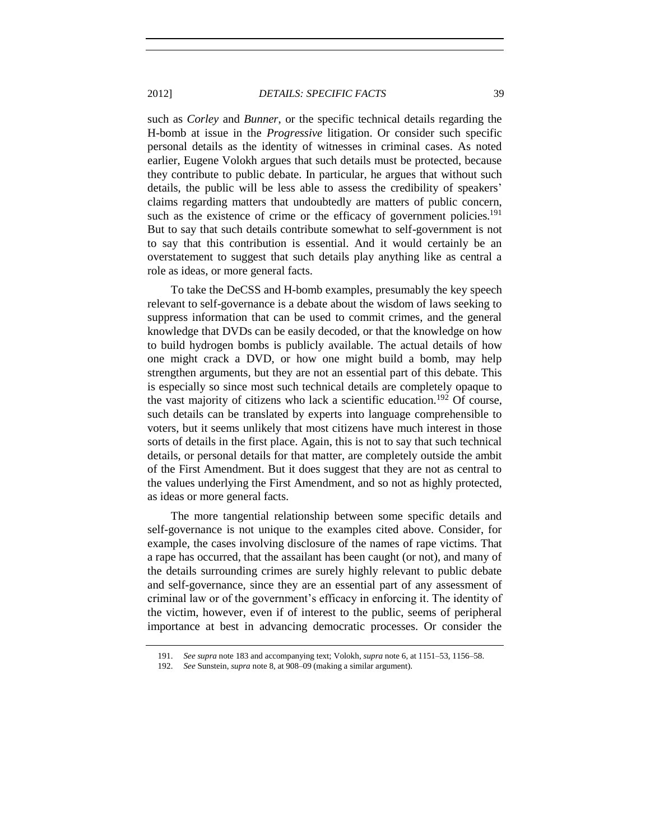such as *Corley* and *Bunner*, or the specific technical details regarding the H-bomb at issue in the *Progressive* litigation. Or consider such specific personal details as the identity of witnesses in criminal cases. As noted earlier, Eugene Volokh argues that such details must be protected, because they contribute to public debate. In particular, he argues that without such details, the public will be less able to assess the credibility of speakers' claims regarding matters that undoubtedly are matters of public concern, such as the existence of crime or the efficacy of government policies.<sup>191</sup> But to say that such details contribute somewhat to self-government is not to say that this contribution is essential. And it would certainly be an

<span id="page-38-0"></span>overstatement to suggest that such details play anything like as central a

role as ideas, or more general facts.

<span id="page-38-1"></span>To take the DeCSS and H-bomb examples, presumably the key speech relevant to self-governance is a debate about the wisdom of laws seeking to suppress information that can be used to commit crimes, and the general knowledge that DVDs can be easily decoded, or that the knowledge on how to build hydrogen bombs is publicly available. The actual details of how one might crack a DVD, or how one might build a bomb, may help strengthen arguments, but they are not an essential part of this debate. This is especially so since most such technical details are completely opaque to the vast majority of citizens who lack a scientific education.<sup>192</sup> Of course, such details can be translated by experts into language comprehensible to voters, but it seems unlikely that most citizens have much interest in those sorts of details in the first place. Again, this is not to say that such technical details, or personal details for that matter, are completely outside the ambit of the First Amendment. But it does suggest that they are not as central to the values underlying the First Amendment, and so not as highly protected, as ideas or more general facts.

The more tangential relationship between some specific details and self-governance is not unique to the examples cited above. Consider, for example, the cases involving disclosure of the names of rape victims. That a rape has occurred, that the assailant has been caught (or not), and many of the details surrounding crimes are surely highly relevant to public debate and self-governance, since they are an essential part of any assessment of criminal law or of the government's efficacy in enforcing it. The identity of the victim, however, even if of interest to the public, seems of peripheral importance at best in advancing democratic processes. Or consider the

<sup>191.</sup> *See supra* not[e 183](#page-36-0) and accompanying text; Volokh, *supra* not[e 6,](#page-2-1) at 1151–53, 1156–58.

<sup>192.</sup> *See* Sunstein, *supra* not[e 8,](#page-2-2) at 908–09 (making a similar argument).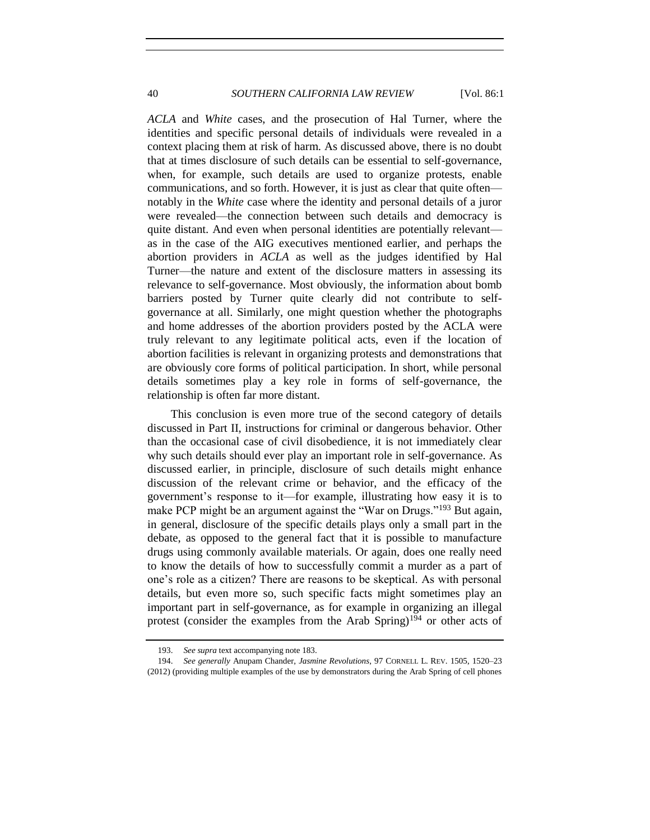*ACLA* and *White* cases, and the prosecution of Hal Turner, where the identities and specific personal details of individuals were revealed in a context placing them at risk of harm. As discussed above, there is no doubt that at times disclosure of such details can be essential to self-governance, when, for example, such details are used to organize protests, enable communications, and so forth. However, it is just as clear that quite often notably in the *White* case where the identity and personal details of a juror were revealed—the connection between such details and democracy is quite distant. And even when personal identities are potentially relevant as in the case of the AIG executives mentioned earlier, and perhaps the abortion providers in *ACLA* as well as the judges identified by Hal Turner—the nature and extent of the disclosure matters in assessing its relevance to self-governance. Most obviously, the information about bomb barriers posted by Turner quite clearly did not contribute to selfgovernance at all. Similarly, one might question whether the photographs and home addresses of the abortion providers posted by the ACLA were truly relevant to any legitimate political acts, even if the location of abortion facilities is relevant in organizing protests and demonstrations that are obviously core forms of political participation. In short, while personal details sometimes play a key role in forms of self-governance, the relationship is often far more distant.

This conclusion is even more true of the second category of details discussed in Part II, instructions for criminal or dangerous behavior. Other than the occasional case of civil disobedience, it is not immediately clear why such details should ever play an important role in self-governance. As discussed earlier, in principle, disclosure of such details might enhance discussion of the relevant crime or behavior, and the efficacy of the government's response to it—for example, illustrating how easy it is to make PCP might be an argument against the "War on Drugs."<sup>193</sup> But again, in general, disclosure of the specific details plays only a small part in the debate, as opposed to the general fact that it is possible to manufacture drugs using commonly available materials. Or again, does one really need to know the details of how to successfully commit a murder as a part of one's role as a citizen? There are reasons to be skeptical. As with personal details, but even more so, such specific facts might sometimes play an important part in self-governance, as for example in organizing an illegal protest (consider the examples from the Arab Spring)<sup>194</sup> or other acts of

<sup>193.</sup> *See supra* text accompanying note [183.](#page-36-0)

<sup>194.</sup> *See generally* Anupam Chander, *Jasmine Revolutions*, 97 CORNELL L. REV. 1505, 1520–23 (2012) (providing multiple examples of the use by demonstrators during the Arab Spring of cell phones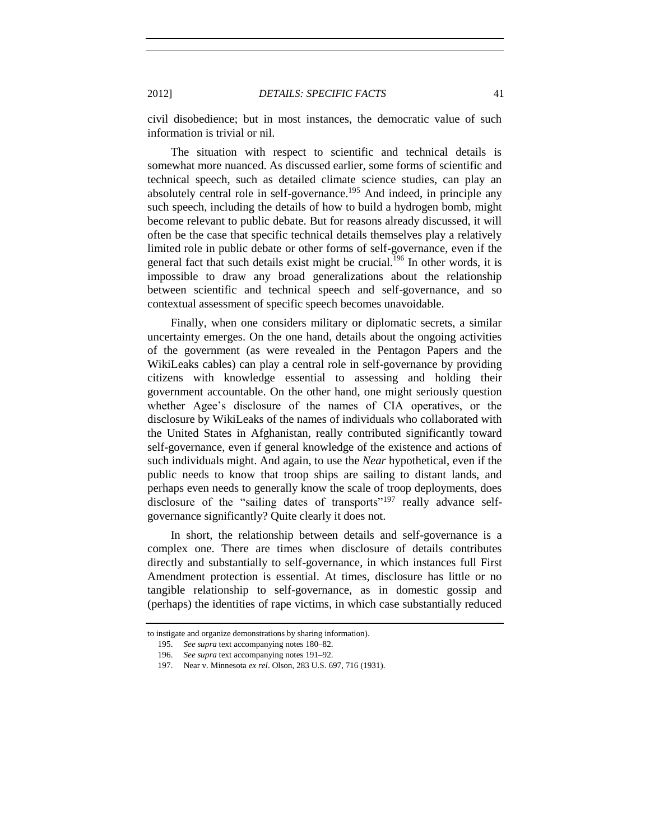civil disobedience; but in most instances, the democratic value of such information is trivial or nil.

The situation with respect to scientific and technical details is somewhat more nuanced. As discussed earlier, some forms of scientific and technical speech, such as detailed climate science studies, can play an absolutely central role in self-governance.<sup>195</sup> And indeed, in principle any such speech, including the details of how to build a hydrogen bomb, might become relevant to public debate. But for reasons already discussed, it will often be the case that specific technical details themselves play a relatively limited role in public debate or other forms of self-governance, even if the general fact that such details exist might be crucial.<sup>196</sup> In other words, it is impossible to draw any broad generalizations about the relationship between scientific and technical speech and self-governance, and so contextual assessment of specific speech becomes unavoidable.

Finally, when one considers military or diplomatic secrets, a similar uncertainty emerges. On the one hand, details about the ongoing activities of the government (as were revealed in the Pentagon Papers and the WikiLeaks cables) can play a central role in self-governance by providing citizens with knowledge essential to assessing and holding their government accountable. On the other hand, one might seriously question whether Agee's disclosure of the names of CIA operatives, or the disclosure by WikiLeaks of the names of individuals who collaborated with the United States in Afghanistan, really contributed significantly toward self-governance, even if general knowledge of the existence and actions of such individuals might. And again, to use the *Near* hypothetical, even if the public needs to know that troop ships are sailing to distant lands, and perhaps even needs to generally know the scale of troop deployments, does disclosure of the "sailing dates of transports"<sup>197</sup> really advance selfgovernance significantly? Quite clearly it does not.

In short, the relationship between details and self-governance is a complex one. There are times when disclosure of details contributes directly and substantially to self-governance, in which instances full First Amendment protection is essential. At times, disclosure has little or no tangible relationship to self-governance, as in domestic gossip and (perhaps) the identities of rape victims, in which case substantially reduced

to instigate and organize demonstrations by sharing information).

<sup>195.</sup> *See supra* text accompanying notes [180–](#page-35-0)[82.](#page-35-1)

<sup>196.</sup> *See supra* text accompanying notes [191–](#page-38-0)[92.](#page-38-1)

<sup>197.</sup> Near v. Minnesota *ex rel*. Olson, 283 U.S. 697, 716 (1931).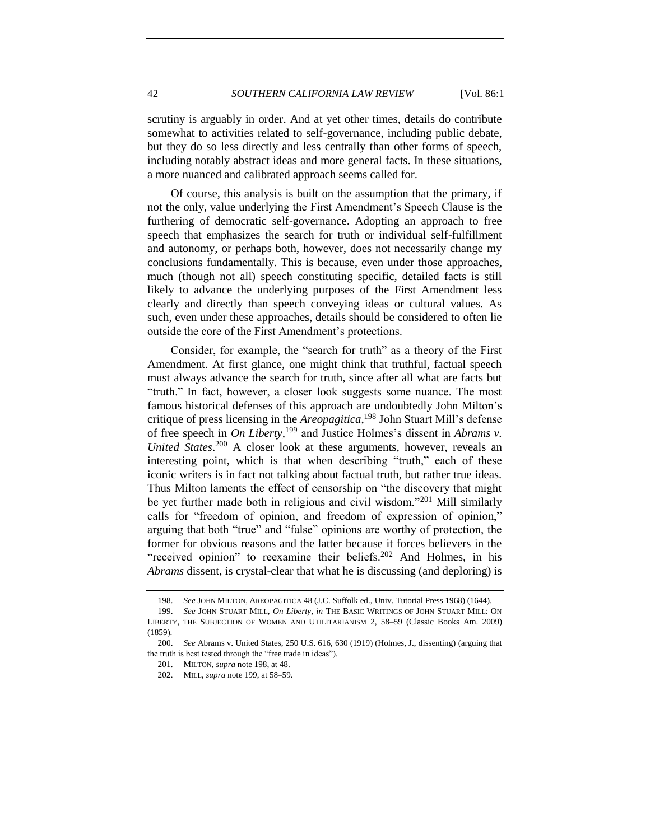scrutiny is arguably in order. And at yet other times, details do contribute somewhat to activities related to self-governance, including public debate, but they do so less directly and less centrally than other forms of speech, including notably abstract ideas and more general facts. In these situations, a more nuanced and calibrated approach seems called for.

Of course, this analysis is built on the assumption that the primary, if not the only, value underlying the First Amendment's Speech Clause is the furthering of democratic self-governance. Adopting an approach to free speech that emphasizes the search for truth or individual self-fulfillment and autonomy, or perhaps both, however, does not necessarily change my conclusions fundamentally. This is because, even under those approaches, much (though not all) speech constituting specific, detailed facts is still likely to advance the underlying purposes of the First Amendment less clearly and directly than speech conveying ideas or cultural values. As such, even under these approaches, details should be considered to often lie outside the core of the First Amendment's protections.

<span id="page-41-1"></span><span id="page-41-0"></span>Consider, for example, the "search for truth" as a theory of the First Amendment. At first glance, one might think that truthful, factual speech must always advance the search for truth, since after all what are facts but "truth." In fact, however, a closer look suggests some nuance. The most famous historical defenses of this approach are undoubtedly John Milton's critique of press licensing in the *Areopagitica*, <sup>198</sup> John Stuart Mill's defense of free speech in *On Liberty*, <sup>199</sup> and Justice Holmes's dissent in *Abrams v. United States*. <sup>200</sup> A closer look at these arguments, however, reveals an interesting point, which is that when describing "truth," each of these iconic writers is in fact not talking about factual truth, but rather true ideas. Thus Milton laments the effect of censorship on "the discovery that might be yet further made both in religious and civil wisdom."<sup>201</sup> Mill similarly calls for "freedom of opinion, and freedom of expression of opinion," arguing that both "true" and "false" opinions are worthy of protection, the former for obvious reasons and the latter because it forces believers in the "received opinion" to reexamine their beliefs.<sup>202</sup> And Holmes, in his *Abrams* dissent, is crystal-clear that what he is discussing (and deploring) is

<sup>198.</sup> *See* JOHN MILTON, AREOPAGITICA 48 (J.C. Suffolk ed., Univ. Tutorial Press 1968) (1644).

<sup>199.</sup> *See* JOHN STUART MILL, *On Liberty*, *in* THE BASIC WRITINGS OF JOHN STUART MILL: ON LIBERTY, THE SUBJECTION OF WOMEN AND UTILITARIANISM 2, 58–59 (Classic Books Am. 2009) (1859).

<sup>200.</sup> *See* Abrams v. United States, 250 U.S. 616, 630 (1919) (Holmes, J., dissenting) (arguing that the truth is best tested through the "free trade in ideas").

<sup>201.</sup> MILTON, *supra* not[e 198,](#page-41-0) at 48.

<sup>202.</sup> MILL, *supra* not[e 199,](#page-41-1) at 58–59.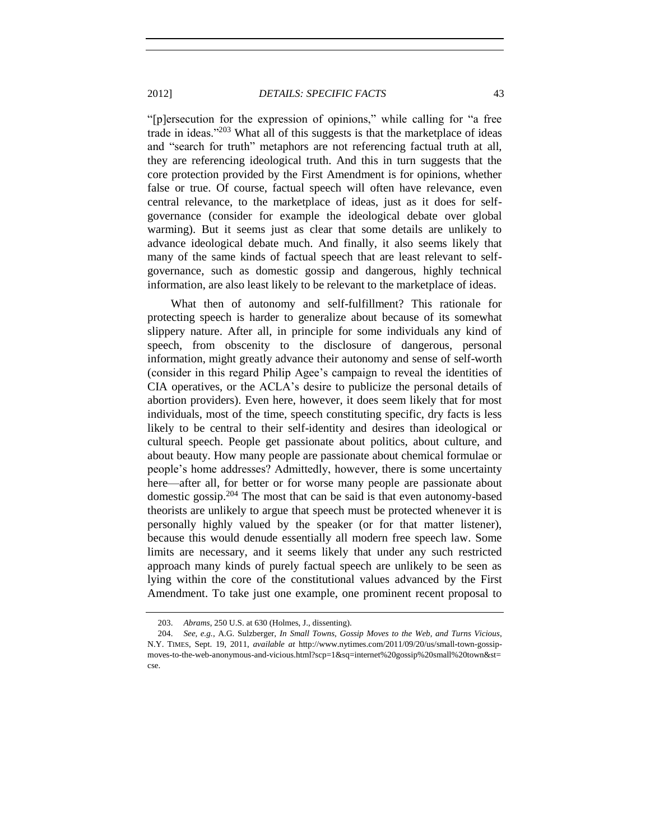"[p]ersecution for the expression of opinions," while calling for "a free trade in ideas."<sup>203</sup> What all of this suggests is that the marketplace of ideas and "search for truth" metaphors are not referencing factual truth at all, they are referencing ideological truth. And this in turn suggests that the core protection provided by the First Amendment is for opinions, whether false or true. Of course, factual speech will often have relevance, even central relevance, to the marketplace of ideas, just as it does for selfgovernance (consider for example the ideological debate over global warming). But it seems just as clear that some details are unlikely to advance ideological debate much. And finally, it also seems likely that many of the same kinds of factual speech that are least relevant to selfgovernance, such as domestic gossip and dangerous, highly technical information, are also least likely to be relevant to the marketplace of ideas.

What then of autonomy and self-fulfillment? This rationale for protecting speech is harder to generalize about because of its somewhat slippery nature. After all, in principle for some individuals any kind of speech, from obscenity to the disclosure of dangerous, personal information, might greatly advance their autonomy and sense of self-worth (consider in this regard Philip Agee's campaign to reveal the identities of CIA operatives, or the ACLA's desire to publicize the personal details of abortion providers). Even here, however, it does seem likely that for most individuals, most of the time, speech constituting specific, dry facts is less likely to be central to their self-identity and desires than ideological or cultural speech. People get passionate about politics, about culture, and about beauty. How many people are passionate about chemical formulae or people's home addresses? Admittedly, however, there is some uncertainty here—after all, for better or for worse many people are passionate about domestic gossip.<sup>204</sup> The most that can be said is that even autonomy-based theorists are unlikely to argue that speech must be protected whenever it is personally highly valued by the speaker (or for that matter listener), because this would denude essentially all modern free speech law. Some limits are necessary, and it seems likely that under any such restricted approach many kinds of purely factual speech are unlikely to be seen as lying within the core of the constitutional values advanced by the First Amendment. To take just one example, one prominent recent proposal to

<sup>203.</sup> *Abrams*, 250 U.S. at 630 (Holmes, J., dissenting).

<sup>204.</sup> *See, e.g.*, A.G. Sulzberger, *In Small Towns, Gossip Moves to the Web, and Turns Vicious*, N.Y. TIMES, Sept. 19, 2011, *available at* http://www.nytimes.com/2011/09/20/us/small-town-gossipmoves-to-the-web-anonymous-and-vicious.html?scp=1&sq=internet%20gossip%20small%20town&st= cse.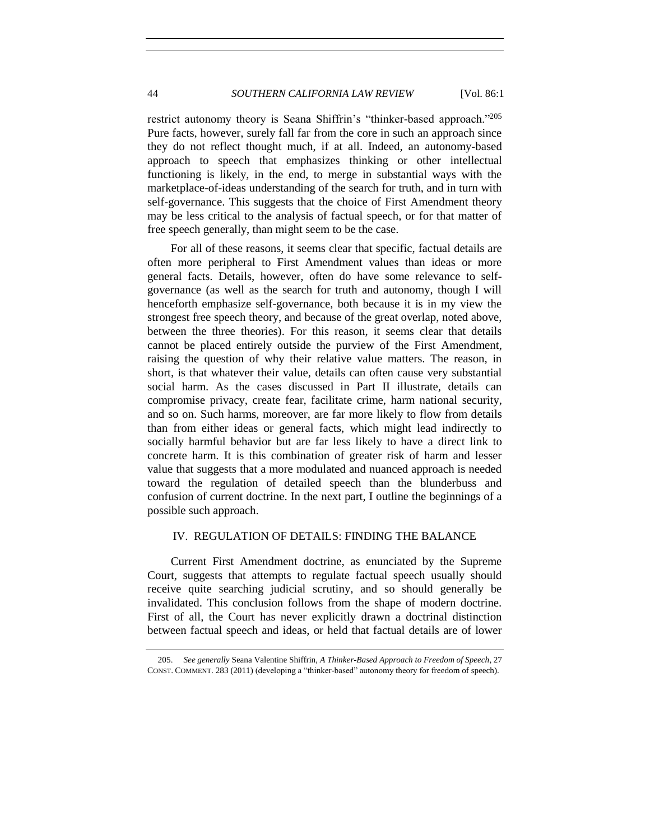<span id="page-43-1"></span>restrict autonomy theory is Seana Shiffrin's "thinker-based approach."<sup>205</sup> Pure facts, however, surely fall far from the core in such an approach since they do not reflect thought much, if at all. Indeed, an autonomy-based approach to speech that emphasizes thinking or other intellectual functioning is likely, in the end, to merge in substantial ways with the marketplace-of-ideas understanding of the search for truth, and in turn with self-governance. This suggests that the choice of First Amendment theory may be less critical to the analysis of factual speech, or for that matter of free speech generally, than might seem to be the case.

For all of these reasons, it seems clear that specific, factual details are often more peripheral to First Amendment values than ideas or more general facts. Details, however, often do have some relevance to selfgovernance (as well as the search for truth and autonomy, though I will henceforth emphasize self-governance, both because it is in my view the strongest free speech theory, and because of the great overlap, noted above, between the three theories). For this reason, it seems clear that details cannot be placed entirely outside the purview of the First Amendment, raising the question of why their relative value matters. The reason, in short, is that whatever their value, details can often cause very substantial social harm. As the cases discussed in Part II illustrate, details can compromise privacy, create fear, facilitate crime, harm national security, and so on. Such harms, moreover, are far more likely to flow from details than from either ideas or general facts, which might lead indirectly to socially harmful behavior but are far less likely to have a direct link to concrete harm. It is this combination of greater risk of harm and lesser value that suggests that a more modulated and nuanced approach is needed toward the regulation of detailed speech than the blunderbuss and confusion of current doctrine. In the next part, I outline the beginnings of a possible such approach.

## <span id="page-43-0"></span>IV. REGULATION OF DETAILS: FINDING THE BALANCE

Current First Amendment doctrine, as enunciated by the Supreme Court, suggests that attempts to regulate factual speech usually should receive quite searching judicial scrutiny, and so should generally be invalidated. This conclusion follows from the shape of modern doctrine. First of all, the Court has never explicitly drawn a doctrinal distinction between factual speech and ideas, or held that factual details are of lower

<sup>205.</sup> *See generally* Seana Valentine Shiffrin, *A Thinker-Based Approach to Freedom of Speech*, 27 CONST. COMMENT. 283 (2011) (developing a "thinker-based" autonomy theory for freedom of speech).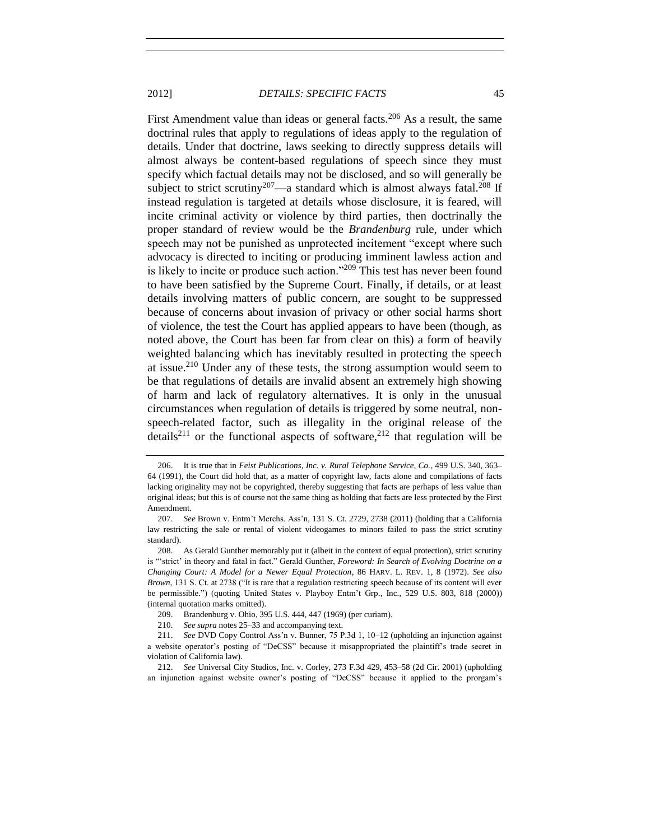First Amendment value than ideas or general facts.<sup>206</sup> As a result, the same doctrinal rules that apply to regulations of ideas apply to the regulation of details. Under that doctrine, laws seeking to directly suppress details will almost always be content-based regulations of speech since they must specify which factual details may not be disclosed, and so will generally be subject to strict scrutiny<sup>207</sup>—a standard which is almost always fatal.<sup>208</sup> If instead regulation is targeted at details whose disclosure, it is feared, will incite criminal activity or violence by third parties, then doctrinally the proper standard of review would be the *Brandenburg* rule, under which speech may not be punished as unprotected incitement "except where such advocacy is directed to inciting or producing imminent lawless action and is likely to incite or produce such action."<sup>209</sup> This test has never been found to have been satisfied by the Supreme Court. Finally, if details, or at least details involving matters of public concern, are sought to be suppressed because of concerns about invasion of privacy or other social harms short of violence, the test the Court has applied appears to have been (though, as noted above, the Court has been far from clear on this) a form of heavily weighted balancing which has inevitably resulted in protecting the speech at issue.<sup>210</sup> Under any of these tests, the strong assumption would seem to be that regulations of details are invalid absent an extremely high showing of harm and lack of regulatory alternatives. It is only in the unusual circumstances when regulation of details is triggered by some neutral, nonspeech-related factor, such as illegality in the original release of the details<sup>211</sup> or the functional aspects of software,<sup>212</sup> that regulation will be

<sup>206.</sup> It is true that in *Feist Publications, Inc. v. Rural Telephone Service, Co.*, 499 U.S. 340, 363– 64 (1991), the Court did hold that, as a matter of copyright law, facts alone and compilations of facts lacking originality may not be copyrighted, thereby suggesting that facts are perhaps of less value than original ideas; but this is of course not the same thing as holding that facts are less protected by the First Amendment.

<sup>207.</sup> *See* Brown v. Entm't Merchs. Ass'n, 131 S. Ct. 2729, 2738 (2011) (holding that a California law restricting the sale or rental of violent videogames to minors failed to pass the strict scrutiny standard).

<sup>208.</sup> As Gerald Gunther memorably put it (albeit in the context of equal protection), strict scrutiny is "'strict' in theory and fatal in fact." Gerald Gunther, *Foreword: In Search of Evolving Doctrine on a Changing Court: A Model for a Newer Equal Protection*, 86 HARV. L. REV. 1, 8 (1972). *See also Brown*, 131 S. Ct. at 2738 ("It is rare that a regulation restricting speech because of its content will ever be permissible.") (quoting United States v. Playboy Entm't Grp., Inc., 529 U.S. 803, 818 (2000)) (internal quotation marks omitted).

<sup>209.</sup> Brandenburg v. Ohio, 395 U.S. 444, 447 (1969) (per curiam).

<sup>210.</sup> *See supra* notes [25](#page-6-2)[–33](#page-8-0) and accompanying text.

<sup>211.</sup> *See* DVD Copy Control Ass'n v. Bunner, 75 P.3d 1, 10–12 (upholding an injunction against a website operator's posting of "DeCSS" because it misappropriated the plaintiff's trade secret in violation of California law).

<sup>212.</sup> *See* Universal City Studios, Inc. v. Corley, 273 F.3d 429, 453–58 (2d Cir. 2001) (upholding an injunction against website owner's posting of "DeCSS" because it applied to the prorgam's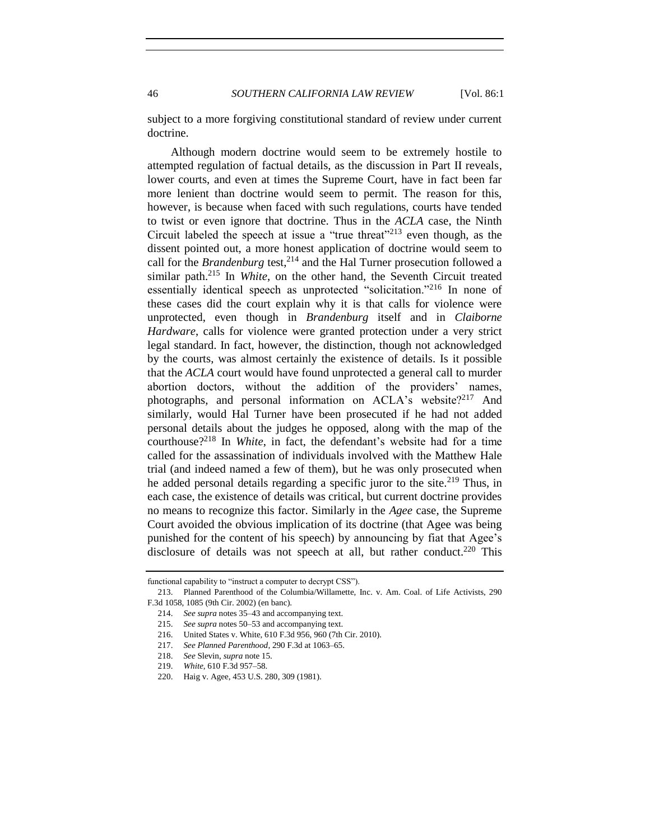46 *SOUTHERN CALIFORNIA LAW REVIEW* [Vol. 86:1

subject to a more forgiving constitutional standard of review under current doctrine.

Although modern doctrine would seem to be extremely hostile to attempted regulation of factual details, as the discussion in Part II reveals, lower courts, and even at times the Supreme Court, have in fact been far more lenient than doctrine would seem to permit. The reason for this, however, is because when faced with such regulations, courts have tended to twist or even ignore that doctrine. Thus in the *ACLA* case, the Ninth Circuit labeled the speech at issue a "true threat"<sup>213</sup> even though, as the dissent pointed out, a more honest application of doctrine would seem to call for the *Brandenburg* test,<sup>214</sup> and the Hal Turner prosecution followed a similar path.<sup>215</sup> In *White*, on the other hand, the Seventh Circuit treated essentially identical speech as unprotected "solicitation."<sup>216</sup> In none of these cases did the court explain why it is that calls for violence were unprotected, even though in *Brandenburg* itself and in *Claiborne Hardware*, calls for violence were granted protection under a very strict legal standard. In fact, however, the distinction, though not acknowledged by the courts, was almost certainly the existence of details. Is it possible that the *ACLA* court would have found unprotected a general call to murder abortion doctors, without the addition of the providers' names, photographs, and personal information on ACLA's website?<sup>217</sup> And similarly, would Hal Turner have been prosecuted if he had not added personal details about the judges he opposed, along with the map of the courthouse?<sup>218</sup> In *White*, in fact, the defendant's website had for a time called for the assassination of individuals involved with the Matthew Hale trial (and indeed named a few of them), but he was only prosecuted when he added personal details regarding a specific juror to the site.<sup>219</sup> Thus, in each case, the existence of details was critical, but current doctrine provides no means to recognize this factor. Similarly in the *Agee* case, the Supreme Court avoided the obvious implication of its doctrine (that Agee was being punished for the content of his speech) by announcing by fiat that Agee's disclosure of details was not speech at all, but rather conduct.<sup>220</sup> This

functional capability to "instruct a computer to decrypt CSS").

<sup>213.</sup> Planned Parenthood of the Columbia/Willamette, Inc. v. Am. Coal. of Life Activists, 290 F.3d 1058, 1085 (9th Cir. 2002) (en banc).

<sup>214.</sup> *See supra* note[s 35](#page-8-1)[–43](#page-9-0) and accompanying text.

<sup>215.</sup> *See supra* note[s 50](#page-10-0)[–53](#page-11-0) and accompanying text.

<sup>216.</sup> United States v. White, 610 F.3d 956, 960 (7th Cir. 2010).

<sup>217.</sup> *See Planned Parenthood*, 290 F.3d at 1063–65.

<sup>218.</sup> *See* Slevin, *supra* not[e 15.](#page-3-0)

<sup>219.</sup> *White*, 610 F.3d 957–58.

<sup>220.</sup> Haig v. Agee, 453 U.S. 280, 309 (1981).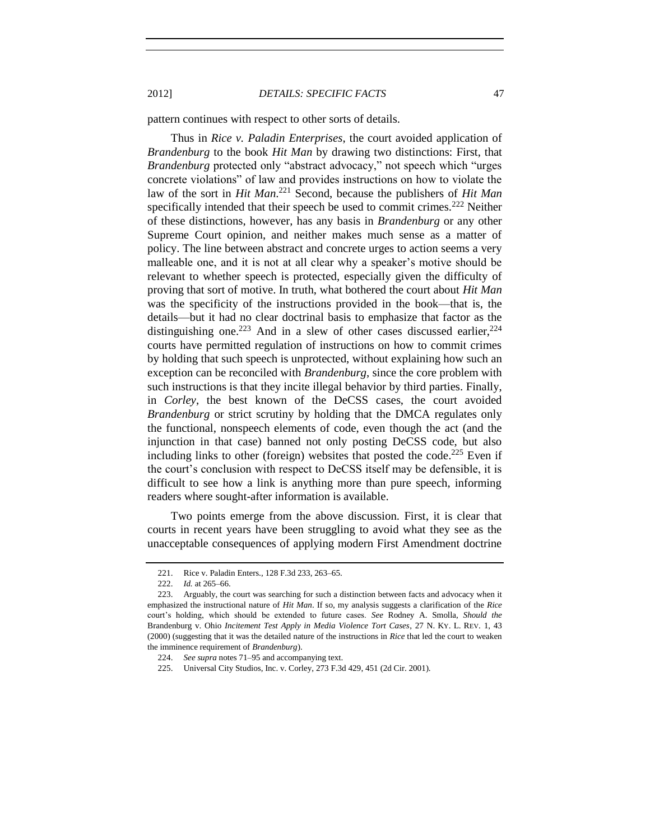pattern continues with respect to other sorts of details.

Thus in *Rice v. Paladin Enterprises*, the court avoided application of *Brandenburg* to the book *Hit Man* by drawing two distinctions: First, that *Brandenburg* protected only "abstract advocacy," not speech which "urges concrete violations" of law and provides instructions on how to violate the law of the sort in *Hit Man*. <sup>221</sup> Second, because the publishers of *Hit Man* specifically intended that their speech be used to commit crimes.<sup>222</sup> Neither of these distinctions, however, has any basis in *Brandenburg* or any other Supreme Court opinion, and neither makes much sense as a matter of policy. The line between abstract and concrete urges to action seems a very malleable one, and it is not at all clear why a speaker's motive should be relevant to whether speech is protected, especially given the difficulty of proving that sort of motive. In truth, what bothered the court about *Hit Man* was the specificity of the instructions provided in the book—that is, the details—but it had no clear doctrinal basis to emphasize that factor as the distinguishing one.<sup>223</sup> And in a slew of other cases discussed earlier,  $2^{24}$ courts have permitted regulation of instructions on how to commit crimes by holding that such speech is unprotected, without explaining how such an exception can be reconciled with *Brandenburg*, since the core problem with such instructions is that they incite illegal behavior by third parties. Finally, in *Corley*, the best known of the DeCSS cases, the court avoided *Brandenburg* or strict scrutiny by holding that the DMCA regulates only the functional, nonspeech elements of code, even though the act (and the injunction in that case) banned not only posting DeCSS code, but also including links to other (foreign) websites that posted the code.<sup>225</sup> Even if the court's conclusion with respect to DeCSS itself may be defensible, it is difficult to see how a link is anything more than pure speech, informing readers where sought-after information is available.

Two points emerge from the above discussion. First, it is clear that courts in recent years have been struggling to avoid what they see as the unacceptable consequences of applying modern First Amendment doctrine

225. Universal City Studios, Inc. v. Corley, 273 F.3d 429, 451 (2d Cir. 2001).

<sup>221.</sup> Rice v. Paladin Enters., 128 F.3d 233, 263–65.

<sup>222.</sup> *Id.* at 265–66.

<sup>223.</sup> Arguably, the court was searching for such a distinction between facts and advocacy when it emphasized the instructional nature of *Hit Man*. If so, my analysis suggests a clarification of the *Rice* court's holding, which should be extended to future cases. *See* Rodney A. Smolla, *Should the*  Brandenburg v. Ohio *Incitement Test Apply in Media Violence Tort Cases*, 27 N. KY. L. REV. 1, 43 (2000) (suggesting that it was the detailed nature of the instructions in *Rice* that led the court to weaken the imminence requirement of *Brandenburg*).

<sup>224.</sup> *See supra* notes [71](#page-14-1)[–95](#page-18-1) and accompanying text.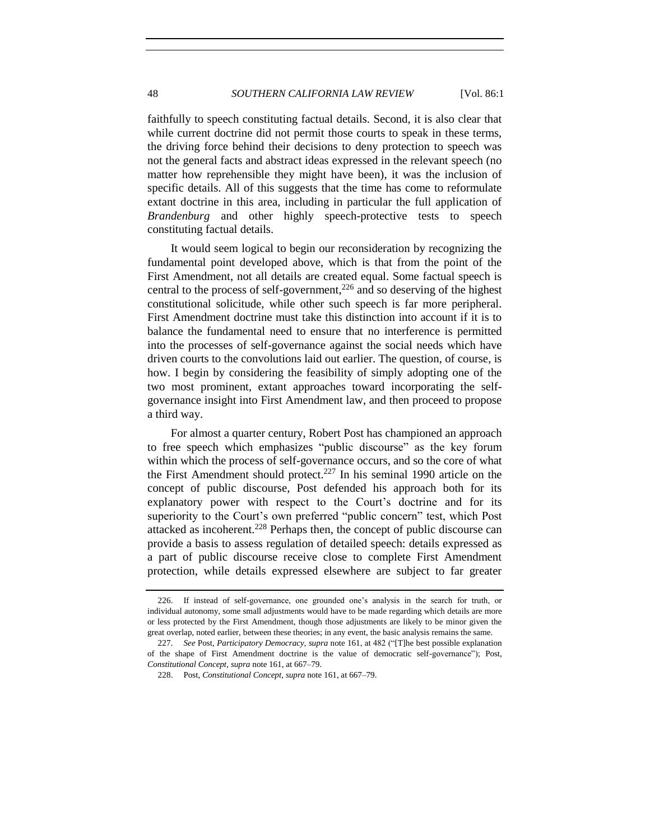faithfully to speech constituting factual details. Second, it is also clear that while current doctrine did not permit those courts to speak in these terms, the driving force behind their decisions to deny protection to speech was not the general facts and abstract ideas expressed in the relevant speech (no matter how reprehensible they might have been), it was the inclusion of specific details. All of this suggests that the time has come to reformulate extant doctrine in this area, including in particular the full application of *Brandenburg* and other highly speech-protective tests to speech constituting factual details.

It would seem logical to begin our reconsideration by recognizing the fundamental point developed above, which is that from the point of the First Amendment, not all details are created equal. Some factual speech is central to the process of self-government, $^{226}$  and so deserving of the highest constitutional solicitude, while other such speech is far more peripheral. First Amendment doctrine must take this distinction into account if it is to balance the fundamental need to ensure that no interference is permitted into the processes of self-governance against the social needs which have driven courts to the convolutions laid out earlier. The question, of course, is how. I begin by considering the feasibility of simply adopting one of the two most prominent, extant approaches toward incorporating the selfgovernance insight into First Amendment law, and then proceed to propose a third way.

For almost a quarter century, Robert Post has championed an approach to free speech which emphasizes "public discourse" as the key forum within which the process of self-governance occurs, and so the core of what the First Amendment should protect.<sup>227</sup> In his seminal 1990 article on the concept of public discourse, Post defended his approach both for its explanatory power with respect to the Court's doctrine and for its superiority to the Court's own preferred "public concern" test, which Post attacked as incoherent.<sup>228</sup> Perhaps then, the concept of public discourse can provide a basis to assess regulation of detailed speech: details expressed as a part of public discourse receive close to complete First Amendment protection, while details expressed elsewhere are subject to far greater

<sup>226.</sup> If instead of self-governance, one grounded one's analysis in the search for truth, or individual autonomy, some small adjustments would have to be made regarding which details are more or less protected by the First Amendment, though those adjustments are likely to be minor given the great overlap, noted earlier, between these theories; in any event, the basic analysis remains the same.

<sup>227.</sup> *See* Post, *Participatory Democracy*, *supra* not[e 161,](#page-32-0) at 482 ("[T]he best possible explanation of the shape of First Amendment doctrine is the value of democratic self-governance"); Post, *Constitutional Concept*, *supra* not[e 161,](#page-32-0) at 667–79.

<sup>228.</sup> Post, *Constitutional Concept*, *supra* not[e 161,](#page-32-0) at 667–79.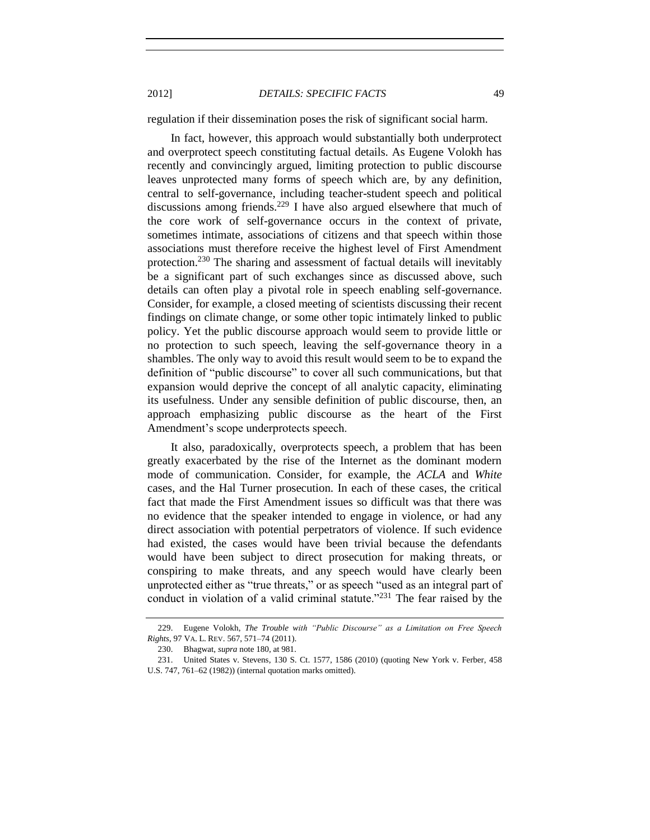regulation if their dissemination poses the risk of significant social harm.

<span id="page-48-0"></span>In fact, however, this approach would substantially both underprotect and overprotect speech constituting factual details. As Eugene Volokh has recently and convincingly argued, limiting protection to public discourse leaves unprotected many forms of speech which are, by any definition, central to self-governance, including teacher-student speech and political discussions among friends.<sup>229</sup> I have also argued elsewhere that much of the core work of self-governance occurs in the context of private, sometimes intimate, associations of citizens and that speech within those associations must therefore receive the highest level of First Amendment protection.<sup>230</sup> The sharing and assessment of factual details will inevitably be a significant part of such exchanges since as discussed above, such details can often play a pivotal role in speech enabling self-governance. Consider, for example, a closed meeting of scientists discussing their recent findings on climate change, or some other topic intimately linked to public policy. Yet the public discourse approach would seem to provide little or no protection to such speech, leaving the self-governance theory in a shambles. The only way to avoid this result would seem to be to expand the definition of "public discourse" to cover all such communications, but that expansion would deprive the concept of all analytic capacity, eliminating its usefulness. Under any sensible definition of public discourse, then, an approach emphasizing public discourse as the heart of the First Amendment's scope underprotects speech.

It also, paradoxically, overprotects speech, a problem that has been greatly exacerbated by the rise of the Internet as the dominant modern mode of communication. Consider, for example, the *ACLA* and *White* cases, and the Hal Turner prosecution. In each of these cases, the critical fact that made the First Amendment issues so difficult was that there was no evidence that the speaker intended to engage in violence, or had any direct association with potential perpetrators of violence. If such evidence had existed, the cases would have been trivial because the defendants would have been subject to direct prosecution for making threats, or conspiring to make threats, and any speech would have clearly been unprotected either as "true threats," or as speech "used as an integral part of conduct in violation of a valid criminal statute."<sup>231</sup> The fear raised by the

<sup>229.</sup> Eugene Volokh, *The Trouble with "Public Discourse" as a Limitation on Free Speech Rights*, 97 VA. L. REV. 567, 571–74 (2011).

<sup>230.</sup> Bhagwat, *supra* not[e 180,](#page-35-0) at 981.

<sup>231.</sup> United States v. Stevens, 130 S. Ct. 1577, 1586 (2010) (quoting New York v. Ferber, 458 U.S. 747, 761–62 (1982)) (internal quotation marks omitted).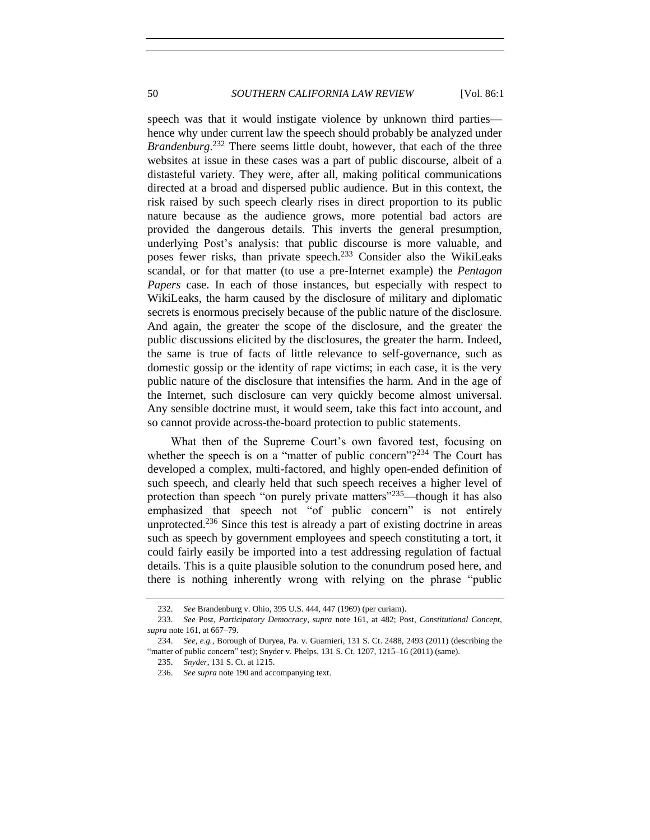speech was that it would instigate violence by unknown third parties hence why under current law the speech should probably be analyzed under *Brandenburg*. <sup>232</sup> There seems little doubt, however, that each of the three websites at issue in these cases was a part of public discourse, albeit of a distasteful variety. They were, after all, making political communications directed at a broad and dispersed public audience. But in this context, the risk raised by such speech clearly rises in direct proportion to its public nature because as the audience grows, more potential bad actors are provided the dangerous details. This inverts the general presumption, underlying Post's analysis: that public discourse is more valuable, and poses fewer risks, than private speech.<sup>233</sup> Consider also the WikiLeaks scandal, or for that matter (to use a pre-Internet example) the *Pentagon Papers* case. In each of those instances, but especially with respect to WikiLeaks, the harm caused by the disclosure of military and diplomatic secrets is enormous precisely because of the public nature of the disclosure. And again, the greater the scope of the disclosure, and the greater the public discussions elicited by the disclosures, the greater the harm. Indeed, the same is true of facts of little relevance to self-governance, such as domestic gossip or the identity of rape victims; in each case, it is the very public nature of the disclosure that intensifies the harm. And in the age of the Internet, such disclosure can very quickly become almost universal. Any sensible doctrine must, it would seem, take this fact into account, and so cannot provide across-the-board protection to public statements.

What then of the Supreme Court's own favored test, focusing on whether the speech is on a "matter of public concern"?<sup>234</sup> The Court has developed a complex, multi-factored, and highly open-ended definition of such speech, and clearly held that such speech receives a higher level of protection than speech "on purely private matters"<sup>235</sup>—though it has also emphasized that speech not "of public concern" is not entirely unprotected.<sup>236</sup> Since this test is already a part of existing doctrine in areas such as speech by government employees and speech constituting a tort, it could fairly easily be imported into a test addressing regulation of factual details. This is a quite plausible solution to the conundrum posed here, and there is nothing inherently wrong with relying on the phrase "public

<sup>232.</sup> *See* Brandenburg v. Ohio, 395 U.S. 444, 447 (1969) (per curiam).

<sup>233.</sup> *See* Post, *Participatory Democracy*, *supra* note [161,](#page-32-0) at 482; Post, *Constitutional Concept*, *supra* not[e 161,](#page-32-0) at 667–79.

<sup>234.</sup> *See, e.g.*, Borough of Duryea, Pa. v. Guarnieri, 131 S. Ct. 2488, 2493 (2011) (describing the "matter of public concern" test); Snyder v. Phelps, 131 S. Ct. 1207, 1215-16 (2011) (same).

<sup>235.</sup> *Snyder*, 131 S. Ct. at 1215.

<sup>236.</sup> *See supra* not[e 190](#page-37-0) and accompanying text.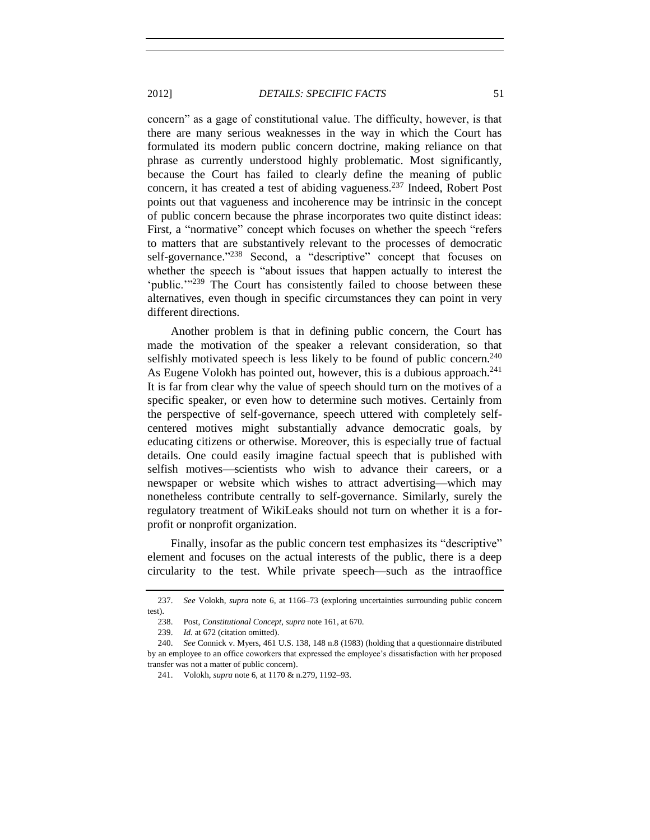concern" as a gage of constitutional value. The difficulty, however, is that there are many serious weaknesses in the way in which the Court has formulated its modern public concern doctrine, making reliance on that phrase as currently understood highly problematic. Most significantly, because the Court has failed to clearly define the meaning of public concern, it has created a test of abiding vagueness.<sup>237</sup> Indeed, Robert Post points out that vagueness and incoherence may be intrinsic in the concept of public concern because the phrase incorporates two quite distinct ideas: First, a "normative" concept which focuses on whether the speech "refers to matters that are substantively relevant to the processes of democratic self-governance."<sup>238</sup> Second, a "descriptive" concept that focuses on whether the speech is "about issues that happen actually to interest the 'public.'"<sup>239</sup> The Court has consistently failed to choose between these alternatives, even though in specific circumstances they can point in very different directions.

Another problem is that in defining public concern, the Court has made the motivation of the speaker a relevant consideration, so that selfishly motivated speech is less likely to be found of public concern.<sup>240</sup> As Eugene Volokh has pointed out, however, this is a dubious approach.<sup>241</sup> It is far from clear why the value of speech should turn on the motives of a specific speaker, or even how to determine such motives. Certainly from the perspective of self-governance, speech uttered with completely selfcentered motives might substantially advance democratic goals, by educating citizens or otherwise. Moreover, this is especially true of factual details. One could easily imagine factual speech that is published with selfish motives—scientists who wish to advance their careers, or a newspaper or website which wishes to attract advertising—which may nonetheless contribute centrally to self-governance. Similarly, surely the regulatory treatment of WikiLeaks should not turn on whether it is a forprofit or nonprofit organization.

Finally, insofar as the public concern test emphasizes its "descriptive" element and focuses on the actual interests of the public, there is a deep circularity to the test. While private speech—such as the intraoffice

<sup>237.</sup> *See* Volokh, *supra* note [6,](#page-2-1) at 1166–73 (exploring uncertainties surrounding public concern test).

<sup>238.</sup> Post, *Constitutional Concept*, *supra* not[e 161,](#page-32-0) at 670.

<sup>239.</sup> *Id.* at 672 (citation omitted).

<sup>240.</sup> *See* Connick v. Myers, 461 U.S. 138, 148 n.8 (1983) (holding that a questionnaire distributed by an employee to an office coworkers that expressed the employee's dissatisfaction with her proposed transfer was not a matter of public concern).

<sup>241.</sup> Volokh, *supra* not[e 6,](#page-2-1) at 1170 & n.279, 1192–93.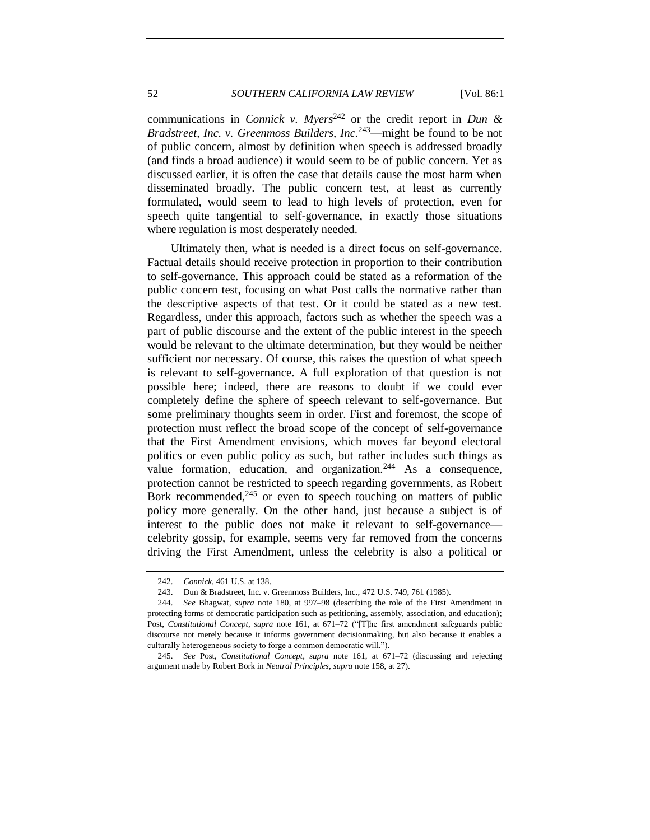communications in *Connick v. Myers*<sup>242</sup> or the credit report in *Dun & Bradstreet, Inc. v. Greenmoss Builders, Inc.*<sup>243</sup>—might be found to be not of public concern, almost by definition when speech is addressed broadly (and finds a broad audience) it would seem to be of public concern. Yet as discussed earlier, it is often the case that details cause the most harm when disseminated broadly. The public concern test, at least as currently formulated, would seem to lead to high levels of protection, even for speech quite tangential to self-governance, in exactly those situations where regulation is most desperately needed.

Ultimately then, what is needed is a direct focus on self-governance. Factual details should receive protection in proportion to their contribution to self-governance. This approach could be stated as a reformation of the public concern test, focusing on what Post calls the normative rather than the descriptive aspects of that test. Or it could be stated as a new test. Regardless, under this approach, factors such as whether the speech was a part of public discourse and the extent of the public interest in the speech would be relevant to the ultimate determination, but they would be neither sufficient nor necessary. Of course, this raises the question of what speech is relevant to self-governance. A full exploration of that question is not possible here; indeed, there are reasons to doubt if we could ever completely define the sphere of speech relevant to self-governance. But some preliminary thoughts seem in order. First and foremost, the scope of protection must reflect the broad scope of the concept of self-governance that the First Amendment envisions, which moves far beyond electoral politics or even public policy as such, but rather includes such things as value formation, education, and organization.<sup>244</sup> As a consequence, protection cannot be restricted to speech regarding governments, as Robert Bork recommended,  $245$  or even to speech touching on matters of public policy more generally. On the other hand, just because a subject is of interest to the public does not make it relevant to self-governance celebrity gossip, for example, seems very far removed from the concerns driving the First Amendment, unless the celebrity is also a political or

<sup>242.</sup> *Connick*, 461 U.S. at 138.

<sup>243.</sup> Dun & Bradstreet, Inc. v. Greenmoss Builders, Inc., 472 U.S. 749, 761 (1985).

<sup>244.</sup> *See* Bhagwat, *supra* note [180,](#page-35-0) at 997–98 (describing the role of the First Amendment in protecting forms of democratic participation such as petitioning, assembly, association, and education); Post, *Constitutional Concept*, *supra* note [161,](#page-32-0) at 671-72 ("[T]he first amendment safeguards public discourse not merely because it informs government decisionmaking, but also because it enables a culturally heterogeneous society to forge a common democratic will.").

<sup>245.</sup> *See* Post, *Constitutional Concept*, *supra* note [161,](#page-32-0) at 671–72 (discussing and rejecting argument made by Robert Bork in *Neutral Principles*, *supra* not[e 158,](#page-31-1) at 27).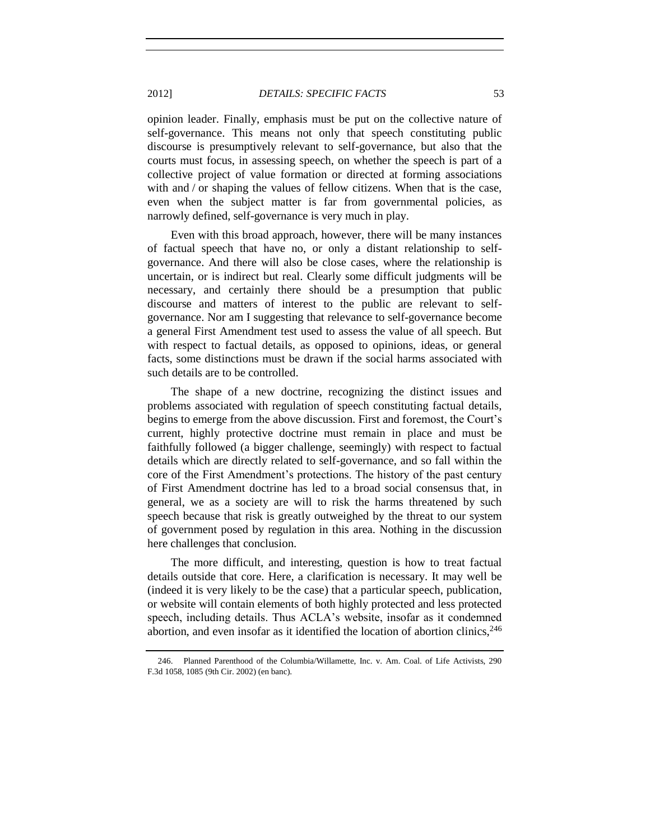opinion leader. Finally, emphasis must be put on the collective nature of self-governance. This means not only that speech constituting public discourse is presumptively relevant to self-governance, but also that the courts must focus, in assessing speech, on whether the speech is part of a collective project of value formation or directed at forming associations with and / or shaping the values of fellow citizens. When that is the case, even when the subject matter is far from governmental policies, as narrowly defined, self-governance is very much in play.

Even with this broad approach, however, there will be many instances of factual speech that have no, or only a distant relationship to selfgovernance. And there will also be close cases, where the relationship is uncertain, or is indirect but real. Clearly some difficult judgments will be necessary, and certainly there should be a presumption that public discourse and matters of interest to the public are relevant to selfgovernance. Nor am I suggesting that relevance to self-governance become a general First Amendment test used to assess the value of all speech. But with respect to factual details, as opposed to opinions, ideas, or general facts, some distinctions must be drawn if the social harms associated with such details are to be controlled.

The shape of a new doctrine, recognizing the distinct issues and problems associated with regulation of speech constituting factual details, begins to emerge from the above discussion. First and foremost, the Court's current, highly protective doctrine must remain in place and must be faithfully followed (a bigger challenge, seemingly) with respect to factual details which are directly related to self-governance, and so fall within the core of the First Amendment's protections. The history of the past century of First Amendment doctrine has led to a broad social consensus that, in general, we as a society are will to risk the harms threatened by such speech because that risk is greatly outweighed by the threat to our system of government posed by regulation in this area. Nothing in the discussion here challenges that conclusion.

The more difficult, and interesting, question is how to treat factual details outside that core. Here, a clarification is necessary. It may well be (indeed it is very likely to be the case) that a particular speech, publication, or website will contain elements of both highly protected and less protected speech, including details. Thus ACLA's website, insofar as it condemned abortion, and even insofar as it identified the location of abortion clinics,  $246$ 

<sup>246.</sup> Planned Parenthood of the Columbia/Willamette, Inc. v. Am. Coal. of Life Activists, 290 F.3d 1058, 1085 (9th Cir. 2002) (en banc).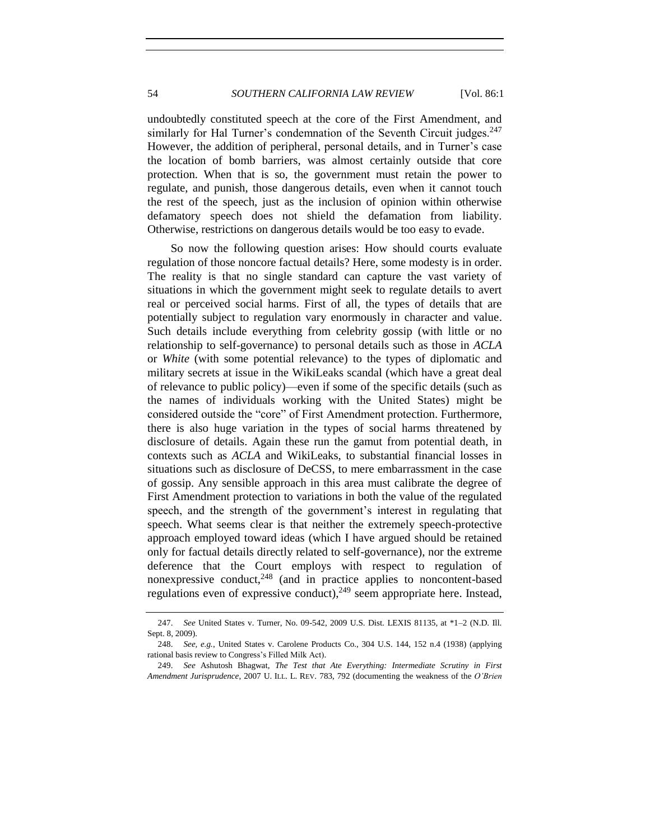undoubtedly constituted speech at the core of the First Amendment, and similarly for Hal Turner's condemnation of the Seventh Circuit judges.<sup>247</sup> However, the addition of peripheral, personal details, and in Turner's case the location of bomb barriers, was almost certainly outside that core protection. When that is so, the government must retain the power to regulate, and punish, those dangerous details, even when it cannot touch the rest of the speech, just as the inclusion of opinion within otherwise defamatory speech does not shield the defamation from liability. Otherwise, restrictions on dangerous details would be too easy to evade.

So now the following question arises: How should courts evaluate regulation of those noncore factual details? Here, some modesty is in order. The reality is that no single standard can capture the vast variety of situations in which the government might seek to regulate details to avert real or perceived social harms. First of all, the types of details that are potentially subject to regulation vary enormously in character and value. Such details include everything from celebrity gossip (with little or no relationship to self-governance) to personal details such as those in *ACLA* or *White* (with some potential relevance) to the types of diplomatic and military secrets at issue in the WikiLeaks scandal (which have a great deal of relevance to public policy)—even if some of the specific details (such as the names of individuals working with the United States) might be considered outside the "core" of First Amendment protection. Furthermore, there is also huge variation in the types of social harms threatened by disclosure of details. Again these run the gamut from potential death, in contexts such as *ACLA* and WikiLeaks, to substantial financial losses in situations such as disclosure of DeCSS, to mere embarrassment in the case of gossip. Any sensible approach in this area must calibrate the degree of First Amendment protection to variations in both the value of the regulated speech, and the strength of the government's interest in regulating that speech. What seems clear is that neither the extremely speech-protective approach employed toward ideas (which I have argued should be retained only for factual details directly related to self-governance), nor the extreme deference that the Court employs with respect to regulation of nonexpressive conduct, $248$  (and in practice applies to noncontent-based regulations even of expressive conduct),  $249$  seem appropriate here. Instead,

<span id="page-53-0"></span><sup>247.</sup> *See* United States v. Turner, No. 09-542, 2009 U.S. Dist. LEXIS 81135, at \*1–2 (N.D. Ill. Sept. 8, 2009).

<sup>248.</sup> *See, e.g.*, United States v. Carolene Products Co., 304 U.S. 144, 152 n.4 (1938) (applying rational basis review to Congress's Filled Milk Act).

<sup>249.</sup> *See* Ashutosh Bhagwat, *The Test that Ate Everything: Intermediate Scrutiny in First Amendment Jurisprudence*, 2007 U. ILL. L. REV. 783, 792 (documenting the weakness of the *O'Brien*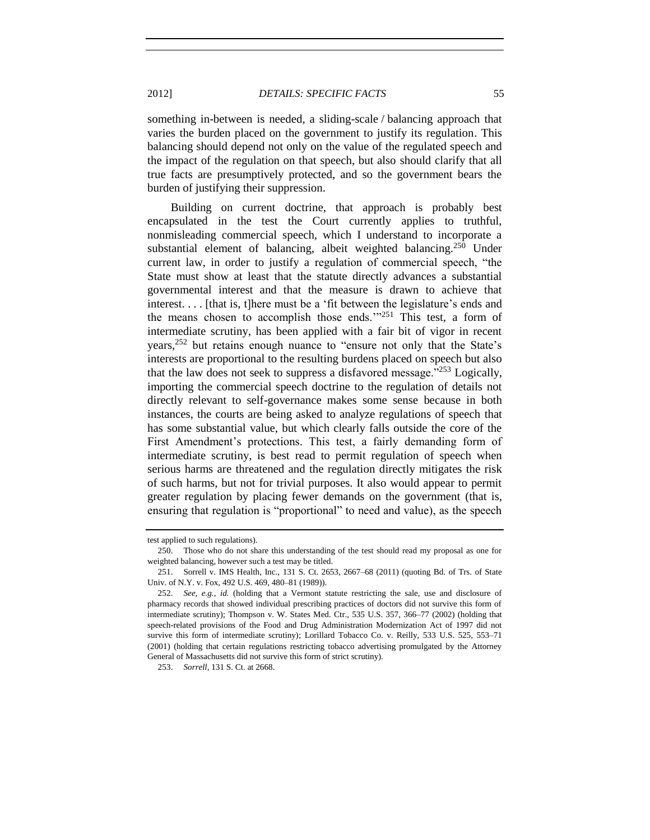something in-between is needed, a sliding-scale / balancing approach that varies the burden placed on the government to justify its regulation. This balancing should depend not only on the value of the regulated speech and the impact of the regulation on that speech, but also should clarify that all true facts are presumptively protected, and so the government bears the burden of justifying their suppression.

Building on current doctrine, that approach is probably best encapsulated in the test the Court currently applies to truthful, nonmisleading commercial speech, which I understand to incorporate a substantial element of balancing, albeit weighted balancing.<sup>250</sup> Under current law, in order to justify a regulation of commercial speech, "the State must show at least that the statute directly advances a substantial governmental interest and that the measure is drawn to achieve that interest. . . . [that is, t]here must be a 'fit between the legislature's ends and the means chosen to accomplish those ends.'"<sup>251</sup> This test, a form of intermediate scrutiny, has been applied with a fair bit of vigor in recent years,<sup>252</sup> but retains enough nuance to "ensure not only that the State's interests are proportional to the resulting burdens placed on speech but also that the law does not seek to suppress a disfavored message. $^{253}$  Logically, importing the commercial speech doctrine to the regulation of details not directly relevant to self-governance makes some sense because in both instances, the courts are being asked to analyze regulations of speech that has some substantial value, but which clearly falls outside the core of the First Amendment's protections. This test, a fairly demanding form of intermediate scrutiny, is best read to permit regulation of speech when serious harms are threatened and the regulation directly mitigates the risk of such harms, but not for trivial purposes. It also would appear to permit greater regulation by placing fewer demands on the government (that is, ensuring that regulation is "proportional" to need and value), as the speech

test applied to such regulations).

<sup>250.</sup> Those who do not share this understanding of the test should read my proposal as one for weighted balancing, however such a test may be titled.

<sup>251.</sup> Sorrell v. IMS Health, Inc., 131 S. Ct. 2653, 2667–68 (2011) (quoting Bd. of Trs. of State Univ. of N.Y. v. Fox, 492 U.S. 469, 480–81 (1989)).

<sup>252.</sup> *See, e.g.*, *id.* (holding that a Vermont statute restricting the sale, use and disclosure of pharmacy records that showed individual prescribing practices of doctors did not survive this form of intermediate scrutiny); Thompson v. W. States Med. Ctr., 535 U.S. 357, 366–77 (2002) (holding that speech-related provisions of the Food and Drug Administration Modernization Act of 1997 did not survive this form of intermediate scrutiny); Lorillard Tobacco Co. v. Reilly, 533 U.S. 525, 553-71 (2001) (holding that certain regulations restricting tobacco advertising promulgated by the Attorney General of Massachusetts did not survive this form of strict scrutiny).

<sup>253.</sup> *Sorrell*, 131 S. Ct. at 2668.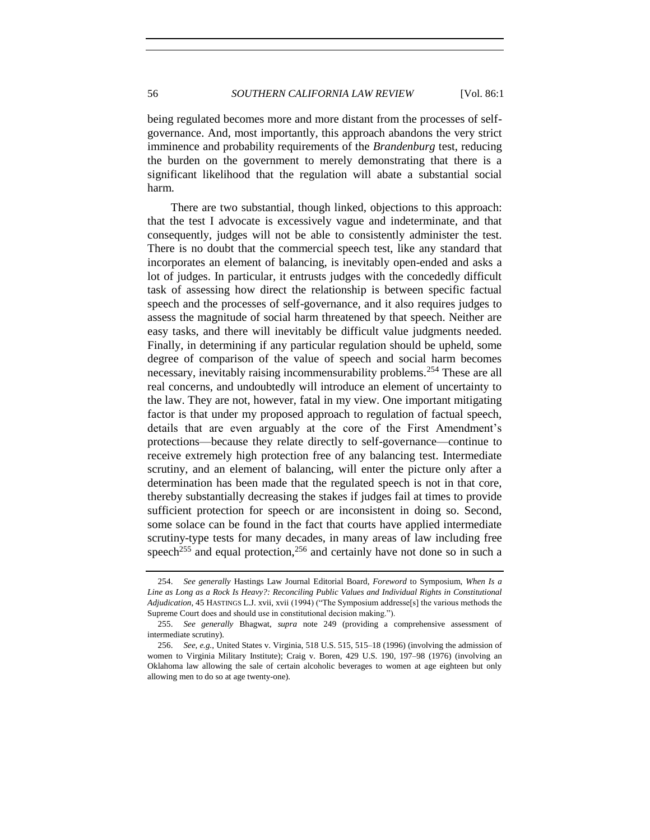being regulated becomes more and more distant from the processes of selfgovernance. And, most importantly, this approach abandons the very strict imminence and probability requirements of the *Brandenburg* test, reducing the burden on the government to merely demonstrating that there is a significant likelihood that the regulation will abate a substantial social harm.

There are two substantial, though linked, objections to this approach: that the test I advocate is excessively vague and indeterminate, and that consequently, judges will not be able to consistently administer the test. There is no doubt that the commercial speech test, like any standard that incorporates an element of balancing, is inevitably open-ended and asks a lot of judges. In particular, it entrusts judges with the concededly difficult task of assessing how direct the relationship is between specific factual speech and the processes of self-governance, and it also requires judges to assess the magnitude of social harm threatened by that speech. Neither are easy tasks, and there will inevitably be difficult value judgments needed. Finally, in determining if any particular regulation should be upheld, some degree of comparison of the value of speech and social harm becomes necessary, inevitably raising incommensurability problems.<sup>254</sup> These are all real concerns, and undoubtedly will introduce an element of uncertainty to the law. They are not, however, fatal in my view. One important mitigating factor is that under my proposed approach to regulation of factual speech, details that are even arguably at the core of the First Amendment's protections—because they relate directly to self-governance—continue to receive extremely high protection free of any balancing test. Intermediate scrutiny, and an element of balancing, will enter the picture only after a determination has been made that the regulated speech is not in that core, thereby substantially decreasing the stakes if judges fail at times to provide sufficient protection for speech or are inconsistent in doing so. Second, some solace can be found in the fact that courts have applied intermediate scrutiny-type tests for many decades, in many areas of law including free speech<sup>255</sup> and equal protection,<sup>256</sup> and certainly have not done so in such a

<sup>254.</sup> *See generally* Hastings Law Journal Editorial Board*, Foreword* to Symposium, *When Is a Line as Long as a Rock Is Heavy?: Reconciling Public Values and Individual Rights in Constitutional Adjudication*, 45 HASTINGS L.J. xvii, xvii (1994) ("The Symposium addresse[s] the various methods the Supreme Court does and should use in constitutional decision making.").

<sup>255.</sup> *See generally* Bhagwat, *supra* note [249](#page-53-0) (providing a comprehensive assessment of intermediate scrutiny).

<sup>256.</sup> *See, e.g.*, United States v. Virginia, 518 U.S. 515, 515–18 (1996) (involving the admission of women to Virginia Military Institute); Craig v. Boren, 429 U.S. 190, 197–98 (1976) (involving an Oklahoma law allowing the sale of certain alcoholic beverages to women at age eighteen but only allowing men to do so at age twenty-one).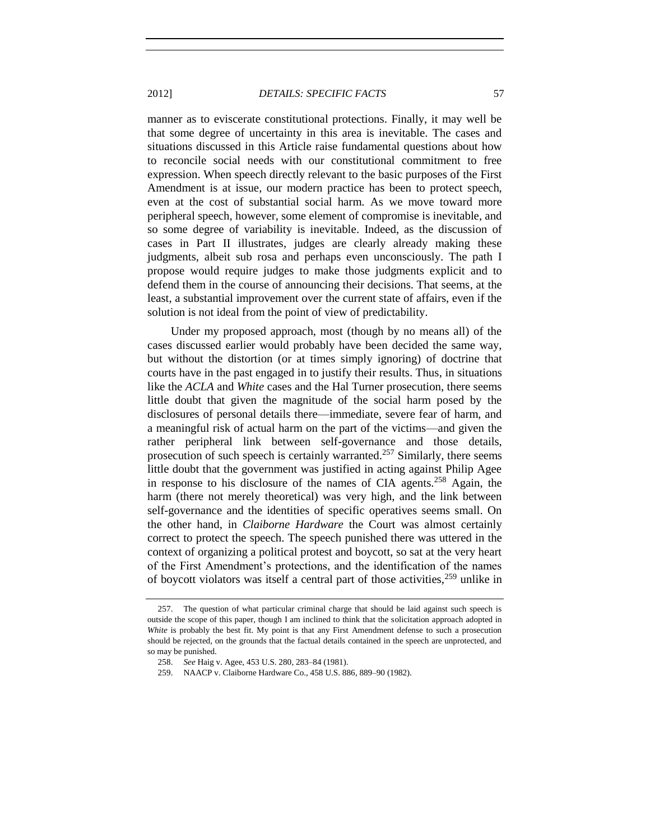manner as to eviscerate constitutional protections. Finally, it may well be that some degree of uncertainty in this area is inevitable. The cases and situations discussed in this Article raise fundamental questions about how to reconcile social needs with our constitutional commitment to free expression. When speech directly relevant to the basic purposes of the First Amendment is at issue, our modern practice has been to protect speech, even at the cost of substantial social harm. As we move toward more peripheral speech, however, some element of compromise is inevitable, and so some degree of variability is inevitable. Indeed, as the discussion of cases in Part II illustrates, judges are clearly already making these judgments, albeit sub rosa and perhaps even unconsciously. The path I propose would require judges to make those judgments explicit and to defend them in the course of announcing their decisions. That seems, at the least, a substantial improvement over the current state of affairs, even if the solution is not ideal from the point of view of predictability.

Under my proposed approach, most (though by no means all) of the cases discussed earlier would probably have been decided the same way, but without the distortion (or at times simply ignoring) of doctrine that courts have in the past engaged in to justify their results. Thus, in situations like the *ACLA* and *White* cases and the Hal Turner prosecution, there seems little doubt that given the magnitude of the social harm posed by the disclosures of personal details there—immediate, severe fear of harm, and a meaningful risk of actual harm on the part of the victims—and given the rather peripheral link between self-governance and those details, prosecution of such speech is certainly warranted.<sup>257</sup> Similarly, there seems little doubt that the government was justified in acting against Philip Agee in response to his disclosure of the names of CIA agents.<sup>258</sup> Again, the harm (there not merely theoretical) was very high, and the link between self-governance and the identities of specific operatives seems small. On the other hand, in *Claiborne Hardware* the Court was almost certainly correct to protect the speech. The speech punished there was uttered in the context of organizing a political protest and boycott, so sat at the very heart of the First Amendment's protections, and the identification of the names of boycott violators was itself a central part of those activities,  $259$  unlike in

<sup>257.</sup> The question of what particular criminal charge that should be laid against such speech is outside the scope of this paper, though I am inclined to think that the solicitation approach adopted in *White* is probably the best fit. My point is that any First Amendment defense to such a prosecution should be rejected, on the grounds that the factual details contained in the speech are unprotected, and so may be punished.

<sup>258.</sup> *See* Haig v. Agee, 453 U.S. 280, 283–84 (1981).

<sup>259.</sup> NAACP v. Claiborne Hardware Co., 458 U.S. 886, 889–90 (1982).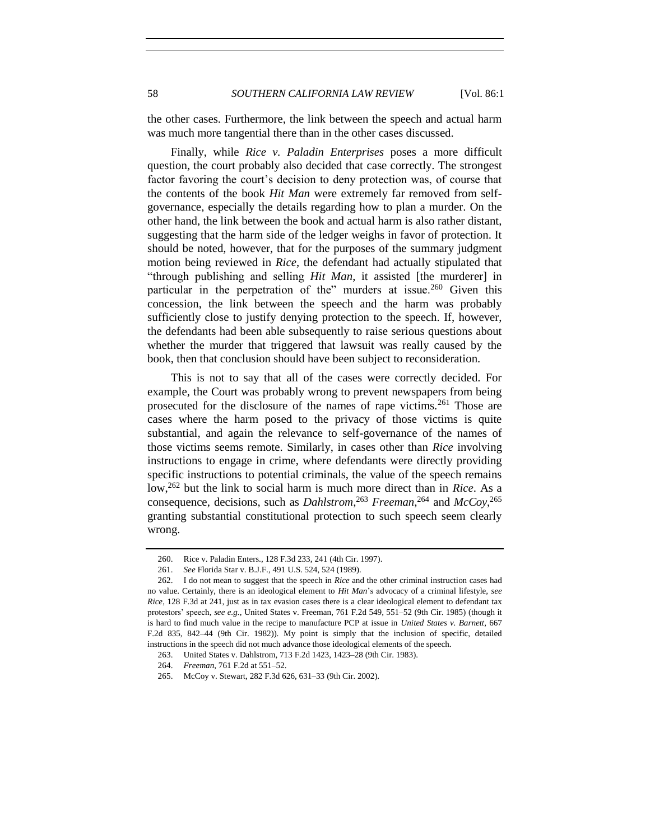the other cases. Furthermore, the link between the speech and actual harm was much more tangential there than in the other cases discussed.

Finally, while *Rice v. Paladin Enterprises* poses a more difficult question, the court probably also decided that case correctly. The strongest factor favoring the court's decision to deny protection was, of course that the contents of the book *Hit Man* were extremely far removed from selfgovernance, especially the details regarding how to plan a murder. On the other hand, the link between the book and actual harm is also rather distant, suggesting that the harm side of the ledger weighs in favor of protection. It should be noted, however, that for the purposes of the summary judgment motion being reviewed in *Rice*, the defendant had actually stipulated that "through publishing and selling *Hit Man*, it assisted [the murderer] in particular in the perpetration of the" murders at issue.<sup>260</sup> Given this concession, the link between the speech and the harm was probably sufficiently close to justify denying protection to the speech. If, however, the defendants had been able subsequently to raise serious questions about whether the murder that triggered that lawsuit was really caused by the book, then that conclusion should have been subject to reconsideration.

This is not to say that all of the cases were correctly decided. For example, the Court was probably wrong to prevent newspapers from being prosecuted for the disclosure of the names of rape victims.<sup>261</sup> Those are cases where the harm posed to the privacy of those victims is quite substantial, and again the relevance to self-governance of the names of those victims seems remote. Similarly, in cases other than *Rice* involving instructions to engage in crime, where defendants were directly providing specific instructions to potential criminals, the value of the speech remains low,<sup>262</sup> but the link to social harm is much more direct than in *Rice*. As a consequence, decisions, such as *Dahlstrom*, <sup>263</sup> *Freeman*, <sup>264</sup> and *McCoy*, 265 granting substantial constitutional protection to such speech seem clearly wrong.

<sup>260.</sup> Rice v. Paladin Enters., 128 F.3d 233, 241 (4th Cir. 1997).

<sup>261.</sup> *See* Florida Star v. B.J.F., 491 U.S. 524, 524 (1989).

<sup>262.</sup> I do not mean to suggest that the speech in *Rice* and the other criminal instruction cases had no value. Certainly, there is an ideological element to *Hit Man*'s advocacy of a criminal lifestyle, *see Rice*, 128 F.3d at 241, just as in tax evasion cases there is a clear ideological element to defendant tax protestors' speech, *see e.g.*, United States v. Freeman, 761 F.2d 549, 551–52 (9th Cir. 1985) (though it is hard to find much value in the recipe to manufacture PCP at issue in *United States v. Barnett*, 667 F.2d 835, 842–44 (9th Cir. 1982)). My point is simply that the inclusion of specific, detailed instructions in the speech did not much advance those ideological elements of the speech.

<sup>263.</sup> United States v. Dahlstrom, 713 F.2d 1423, 1423–28 (9th Cir. 1983).

<sup>264.</sup> *Freeman*, 761 F.2d at 551–52.

<sup>265.</sup> McCoy v. Stewart, 282 F.3d 626, 631–33 (9th Cir. 2002).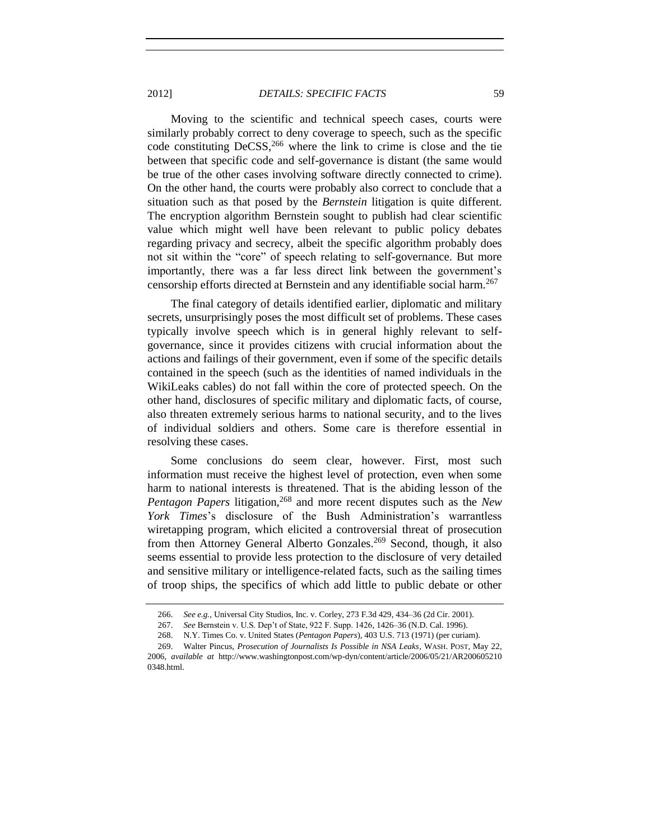Moving to the scientific and technical speech cases, courts were similarly probably correct to deny coverage to speech, such as the specific code constituting  $DeCSS<sub>1</sub><sup>266</sup>$  where the link to crime is close and the tie between that specific code and self-governance is distant (the same would be true of the other cases involving software directly connected to crime). On the other hand, the courts were probably also correct to conclude that a situation such as that posed by the *Bernstein* litigation is quite different. The encryption algorithm Bernstein sought to publish had clear scientific value which might well have been relevant to public policy debates regarding privacy and secrecy, albeit the specific algorithm probably does not sit within the "core" of speech relating to self-governance. But more importantly, there was a far less direct link between the government's censorship efforts directed at Bernstein and any identifiable social harm.<sup>267</sup>

The final category of details identified earlier, diplomatic and military secrets, unsurprisingly poses the most difficult set of problems. These cases typically involve speech which is in general highly relevant to selfgovernance, since it provides citizens with crucial information about the actions and failings of their government, even if some of the specific details contained in the speech (such as the identities of named individuals in the WikiLeaks cables) do not fall within the core of protected speech. On the other hand, disclosures of specific military and diplomatic facts, of course, also threaten extremely serious harms to national security, and to the lives of individual soldiers and others. Some care is therefore essential in resolving these cases.

Some conclusions do seem clear, however. First, most such information must receive the highest level of protection, even when some harm to national interests is threatened. That is the abiding lesson of the *Pentagon Papers* litigation,<sup>268</sup> and more recent disputes such as the *New York Times*'s disclosure of the Bush Administration's warrantless wiretapping program, which elicited a controversial threat of prosecution from then Attorney General Alberto Gonzales.<sup>269</sup> Second, though, it also seems essential to provide less protection to the disclosure of very detailed and sensitive military or intelligence-related facts, such as the sailing times of troop ships, the specifics of which add little to public debate or other

<sup>266.</sup> *See e.g.*, Universal City Studios, Inc. v. Corley, 273 F.3d 429, 434–36 (2d Cir. 2001).

<sup>267.</sup> *See* Bernstein v. U.S. Dep't of State, 922 F. Supp. 1426, 1426–36 (N.D. Cal. 1996).

<sup>268.</sup> N.Y. Times Co. v. United States (*Pentagon Papers*), 403 U.S. 713 (1971) (per curiam).

<sup>269.</sup> Walter Pincus, *Prosecution of Journalists Is Possible in NSA Leaks*, WASH. POST, May 22, 2006, *available at* http://www.washingtonpost.com/wp-dyn/content/article/2006/05/21/AR200605210 0348.html.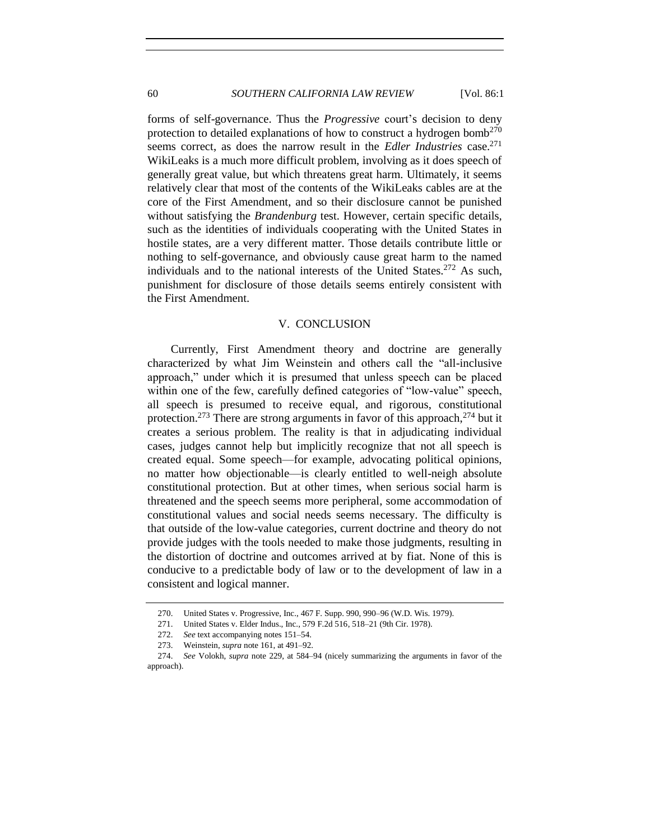forms of self-governance. Thus the *Progressive* court's decision to deny protection to detailed explanations of how to construct a hydrogen bomb<sup>270</sup> seems correct, as does the narrow result in the *Edler Industries* case.<sup>271</sup> WikiLeaks is a much more difficult problem, involving as it does speech of generally great value, but which threatens great harm. Ultimately, it seems relatively clear that most of the contents of the WikiLeaks cables are at the core of the First Amendment, and so their disclosure cannot be punished without satisfying the *Brandenburg* test. However, certain specific details, such as the identities of individuals cooperating with the United States in hostile states, are a very different matter. Those details contribute little or nothing to self-governance, and obviously cause great harm to the named individuals and to the national interests of the United States.<sup>272</sup> As such, punishment for disclosure of those details seems entirely consistent with the First Amendment.

#### V. CONCLUSION

<span id="page-59-0"></span>Currently, First Amendment theory and doctrine are generally characterized by what Jim Weinstein and others call the "all-inclusive approach," under which it is presumed that unless speech can be placed within one of the few, carefully defined categories of "low-value" speech, all speech is presumed to receive equal, and rigorous, constitutional protection.<sup>273</sup> There are strong arguments in favor of this approach,  $274$  but it creates a serious problem. The reality is that in adjudicating individual cases, judges cannot help but implicitly recognize that not all speech is created equal. Some speech—for example, advocating political opinions, no matter how objectionable—is clearly entitled to well-neigh absolute constitutional protection. But at other times, when serious social harm is threatened and the speech seems more peripheral, some accommodation of constitutional values and social needs seems necessary. The difficulty is that outside of the low-value categories, current doctrine and theory do not provide judges with the tools needed to make those judgments, resulting in the distortion of doctrine and outcomes arrived at by fiat. None of this is conducive to a predictable body of law or to the development of law in a consistent and logical manner.

<sup>270.</sup> United States v. Progressive, Inc., 467 F. Supp. 990, 990–96 (W.D. Wis. 1979).

<sup>271.</sup> United States v. Elder Indus., Inc., 579 F.2d 516, 518–21 (9th Cir. 1978).

<sup>272.</sup> *See* text accompanying note[s 151](#page-28-0)[–54.](#page-29-1)

<sup>273.</sup> Weinstein, *supra* not[e 161,](#page-32-0) at 491–92.

<sup>274.</sup> *See* Volokh, *supra* note [229,](#page-48-0) at 584–94 (nicely summarizing the arguments in favor of the approach).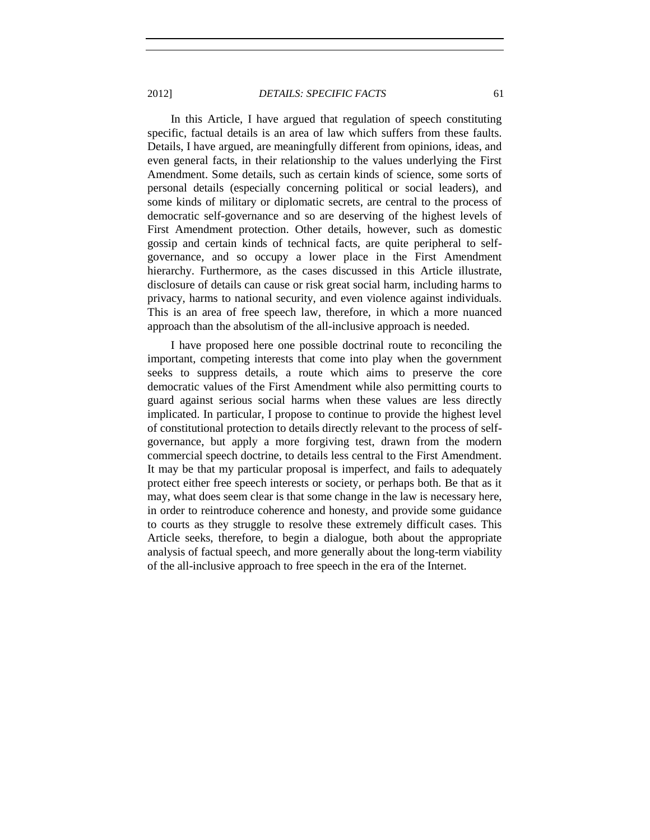In this Article, I have argued that regulation of speech constituting specific, factual details is an area of law which suffers from these faults. Details, I have argued, are meaningfully different from opinions, ideas, and even general facts, in their relationship to the values underlying the First Amendment. Some details, such as certain kinds of science, some sorts of personal details (especially concerning political or social leaders), and some kinds of military or diplomatic secrets, are central to the process of democratic self-governance and so are deserving of the highest levels of First Amendment protection. Other details, however, such as domestic gossip and certain kinds of technical facts, are quite peripheral to selfgovernance, and so occupy a lower place in the First Amendment hierarchy. Furthermore, as the cases discussed in this Article illustrate, disclosure of details can cause or risk great social harm, including harms to privacy, harms to national security, and even violence against individuals. This is an area of free speech law, therefore, in which a more nuanced approach than the absolutism of the all-inclusive approach is needed.

I have proposed here one possible doctrinal route to reconciling the important, competing interests that come into play when the government seeks to suppress details, a route which aims to preserve the core democratic values of the First Amendment while also permitting courts to guard against serious social harms when these values are less directly implicated. In particular, I propose to continue to provide the highest level of constitutional protection to details directly relevant to the process of selfgovernance, but apply a more forgiving test, drawn from the modern commercial speech doctrine, to details less central to the First Amendment. It may be that my particular proposal is imperfect, and fails to adequately protect either free speech interests or society, or perhaps both. Be that as it may, what does seem clear is that some change in the law is necessary here, in order to reintroduce coherence and honesty, and provide some guidance to courts as they struggle to resolve these extremely difficult cases. This Article seeks, therefore, to begin a dialogue, both about the appropriate analysis of factual speech, and more generally about the long-term viability of the all-inclusive approach to free speech in the era of the Internet.